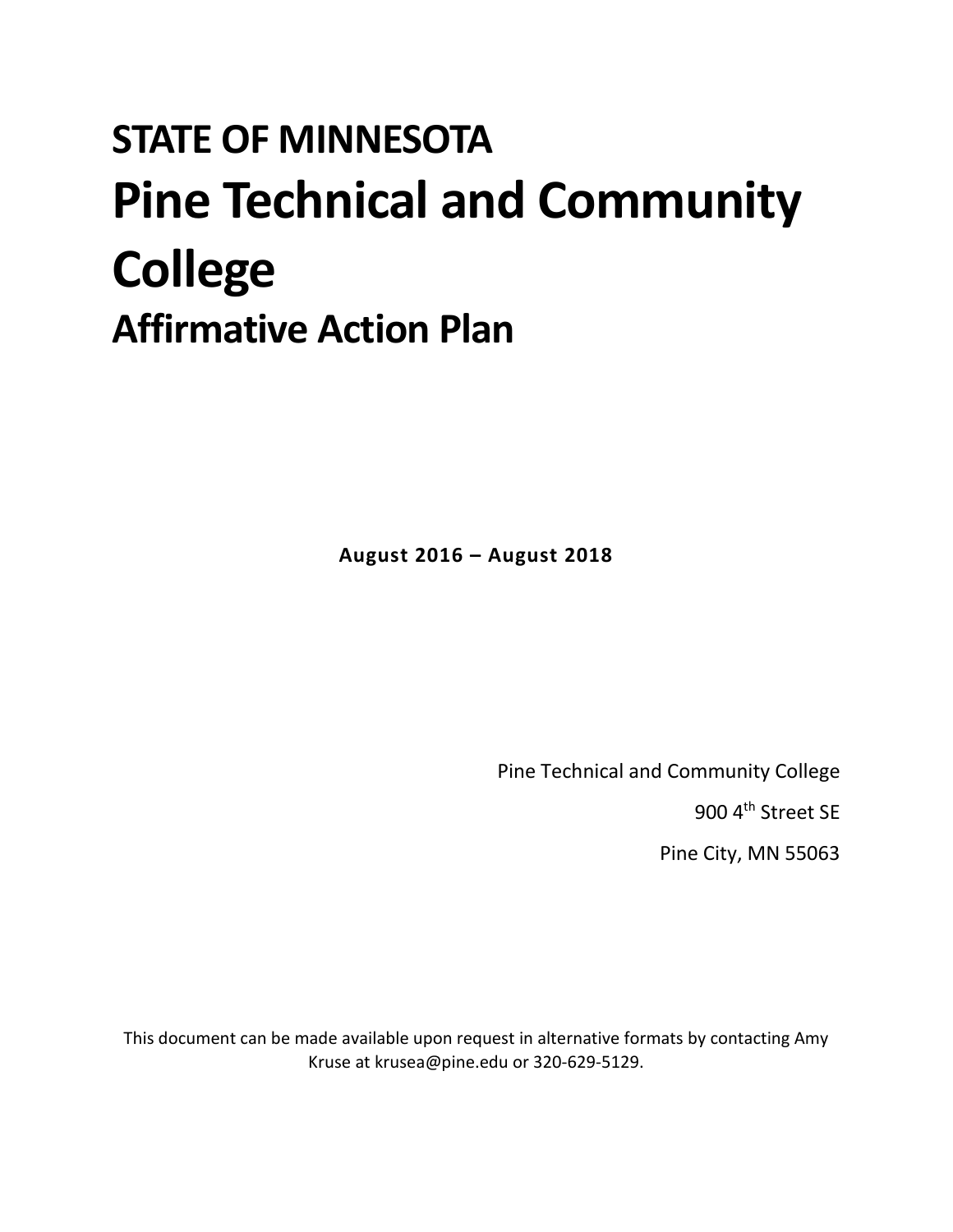# **STATE OF MINNESOTA Pine Technical and Community College Affirmative Action Plan**

**August 2016 – August 2018**

Pine Technical and Community College

900 4<sup>th</sup> Street SE

Pine City, MN 55063

This document can be made available upon request in alternative formats by contacting Amy Kruse at krusea@pine.edu or 320-629-5129.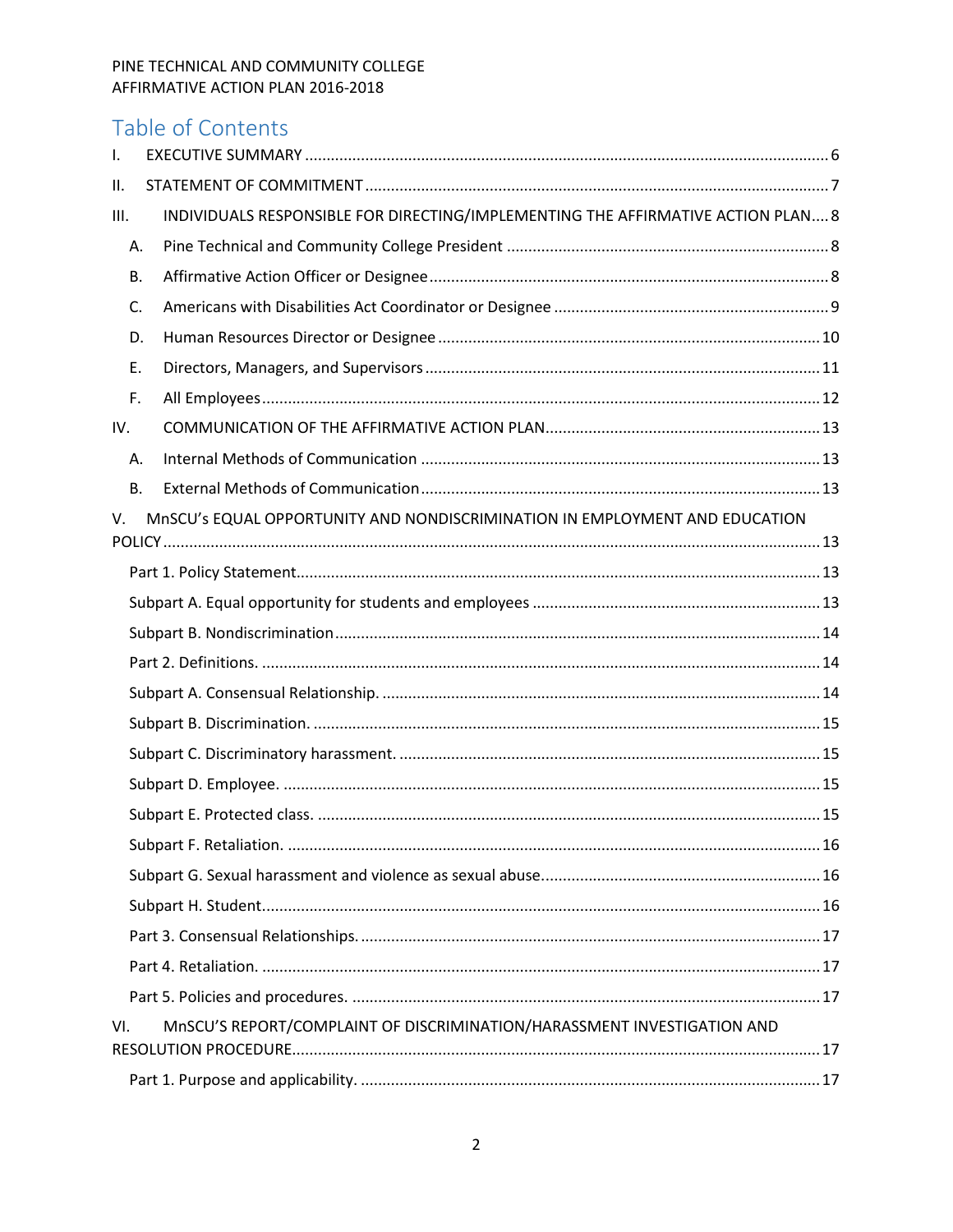# Table of Contents

| $\mathbf{I}$ . |                                                                                  |
|----------------|----------------------------------------------------------------------------------|
| Ш.             |                                                                                  |
| III.           | INDIVIDUALS RESPONSIBLE FOR DIRECTING/IMPLEMENTING THE AFFIRMATIVE ACTION PLAN 8 |
| Α.             |                                                                                  |
| В.             |                                                                                  |
| C.             |                                                                                  |
| D.             |                                                                                  |
| Ε.             |                                                                                  |
| F.             |                                                                                  |
| IV.            |                                                                                  |
| Α.             |                                                                                  |
| В.             |                                                                                  |
| V.             | MnSCU's EQUAL OPPORTUNITY AND NONDISCRIMINATION IN EMPLOYMENT AND EDUCATION      |
|                |                                                                                  |
|                |                                                                                  |
|                |                                                                                  |
|                |                                                                                  |
|                |                                                                                  |
|                |                                                                                  |
|                |                                                                                  |
|                |                                                                                  |
|                |                                                                                  |
|                |                                                                                  |
|                |                                                                                  |
|                |                                                                                  |
|                |                                                                                  |
|                |                                                                                  |
|                |                                                                                  |
|                |                                                                                  |
| VI.            | MnSCU'S REPORT/COMPLAINT OF DISCRIMINATION/HARASSMENT INVESTIGATION AND          |
|                |                                                                                  |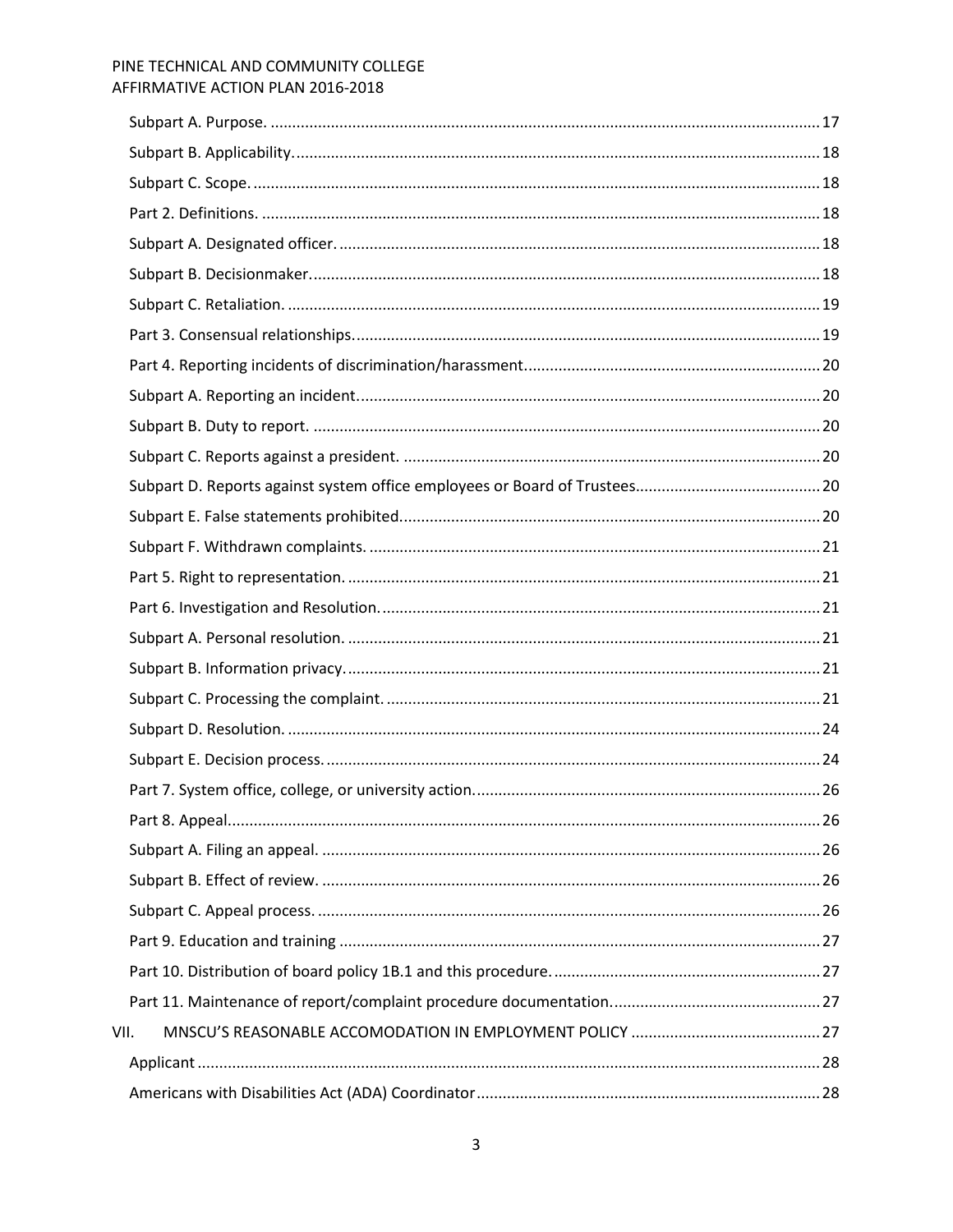| VII. |  |
|------|--|
|      |  |
|      |  |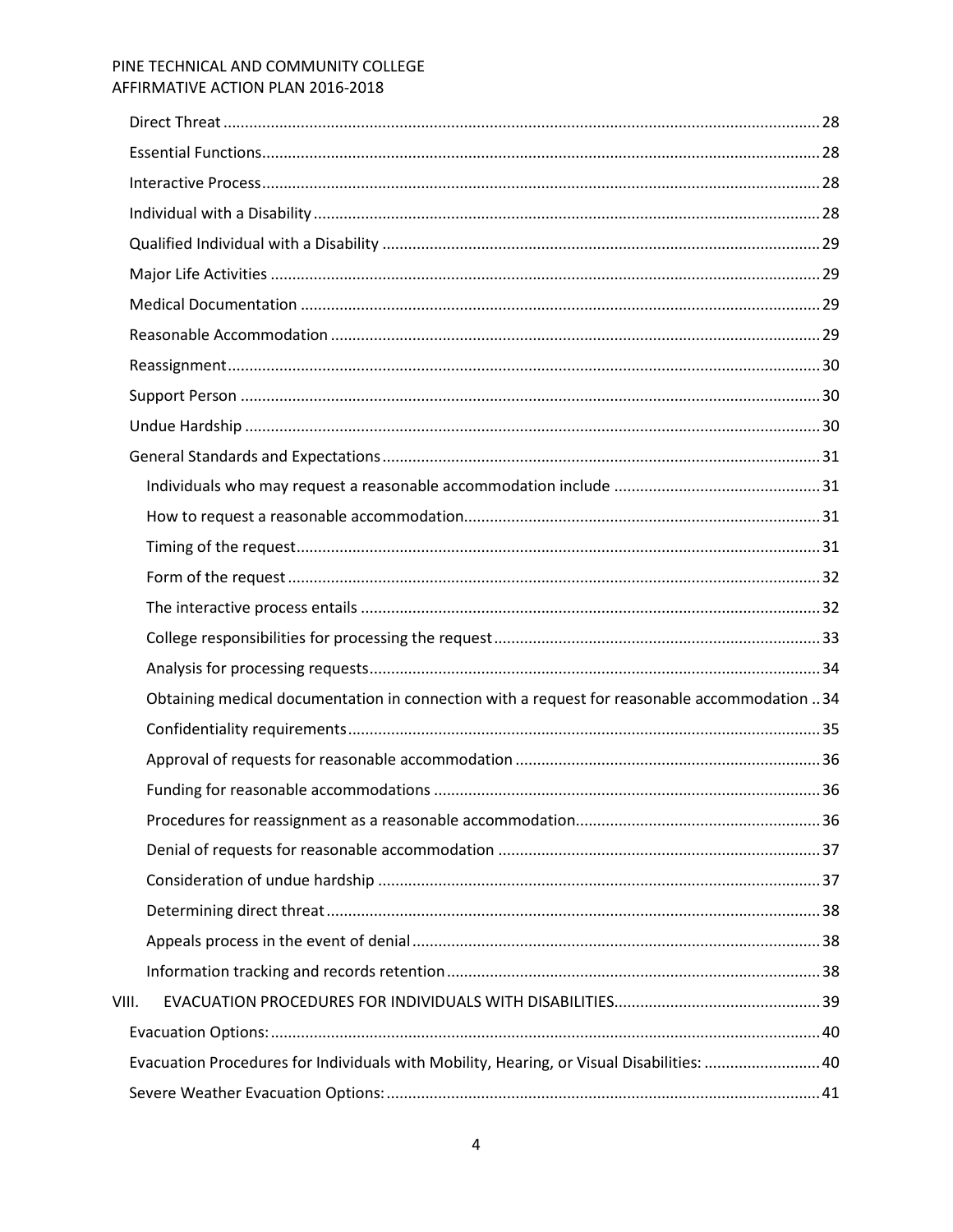|       | Obtaining medical documentation in connection with a request for reasonable accommodation 34 |  |
|-------|----------------------------------------------------------------------------------------------|--|
|       |                                                                                              |  |
|       |                                                                                              |  |
|       |                                                                                              |  |
|       |                                                                                              |  |
|       |                                                                                              |  |
|       |                                                                                              |  |
|       |                                                                                              |  |
|       |                                                                                              |  |
|       |                                                                                              |  |
| VIII. |                                                                                              |  |
|       |                                                                                              |  |
|       | Evacuation Procedures for Individuals with Mobility, Hearing, or Visual Disabilities: 40     |  |
|       |                                                                                              |  |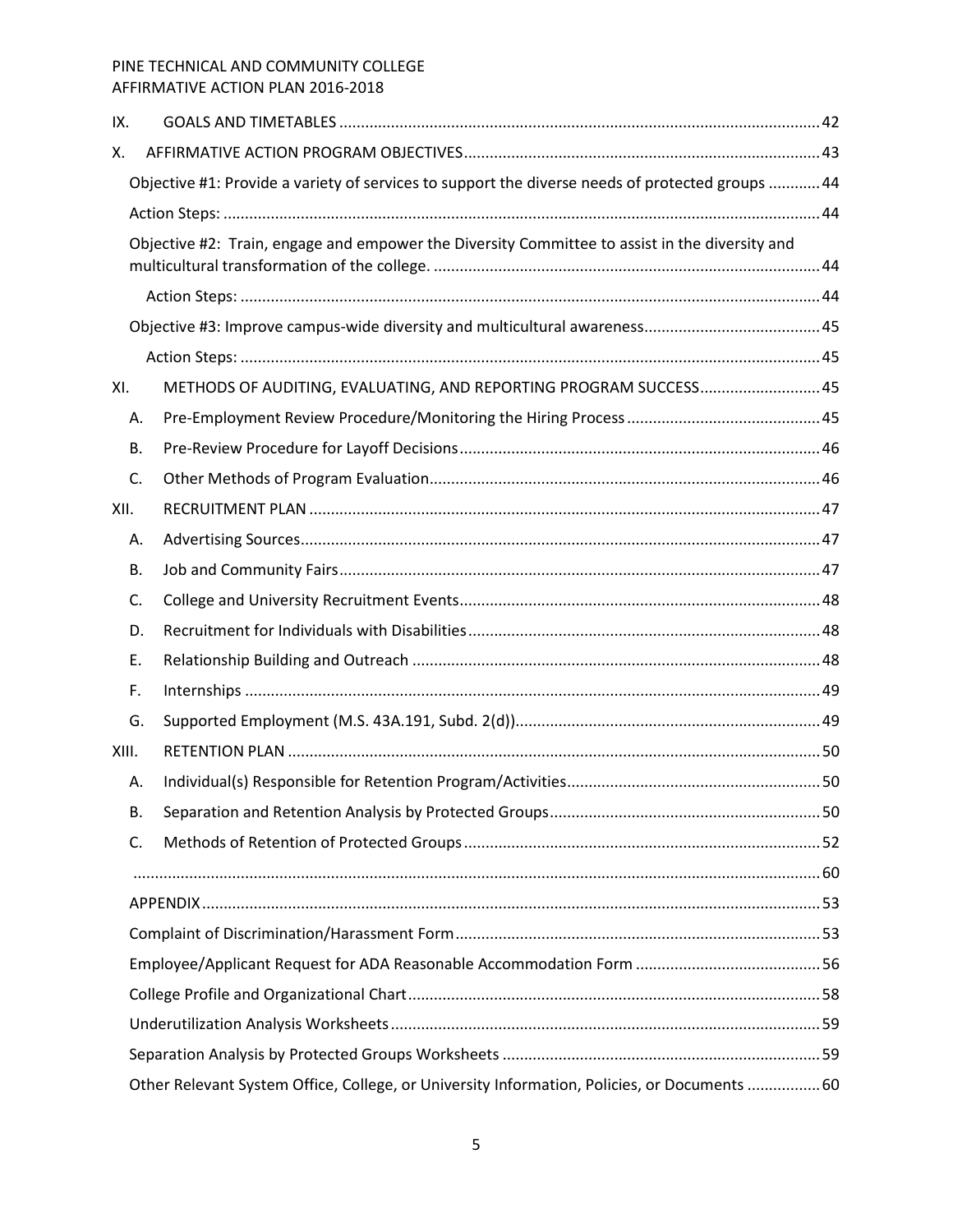| IX.   |    |                                                                                                  |  |
|-------|----|--------------------------------------------------------------------------------------------------|--|
| Χ.    |    |                                                                                                  |  |
|       |    | Objective #1: Provide a variety of services to support the diverse needs of protected groups  44 |  |
|       |    |                                                                                                  |  |
|       |    | Objective #2: Train, engage and empower the Diversity Committee to assist in the diversity and   |  |
|       |    |                                                                                                  |  |
|       |    |                                                                                                  |  |
|       |    |                                                                                                  |  |
|       |    |                                                                                                  |  |
| XI.   |    | METHODS OF AUDITING, EVALUATING, AND REPORTING PROGRAM SUCCESS 45                                |  |
|       | А. |                                                                                                  |  |
|       | В. |                                                                                                  |  |
|       | C. |                                                                                                  |  |
| XII.  |    |                                                                                                  |  |
|       | А. |                                                                                                  |  |
|       | В. |                                                                                                  |  |
|       | C. |                                                                                                  |  |
|       | D. |                                                                                                  |  |
|       | E. |                                                                                                  |  |
|       | F. |                                                                                                  |  |
|       | G. |                                                                                                  |  |
| XIII. |    |                                                                                                  |  |
|       | А. |                                                                                                  |  |
|       | В. |                                                                                                  |  |
|       | C. |                                                                                                  |  |
|       |    |                                                                                                  |  |
|       |    |                                                                                                  |  |
|       |    |                                                                                                  |  |
|       |    |                                                                                                  |  |
|       |    |                                                                                                  |  |
|       |    |                                                                                                  |  |
|       |    |                                                                                                  |  |
|       |    | Other Relevant System Office, College, or University Information, Policies, or Documents  60     |  |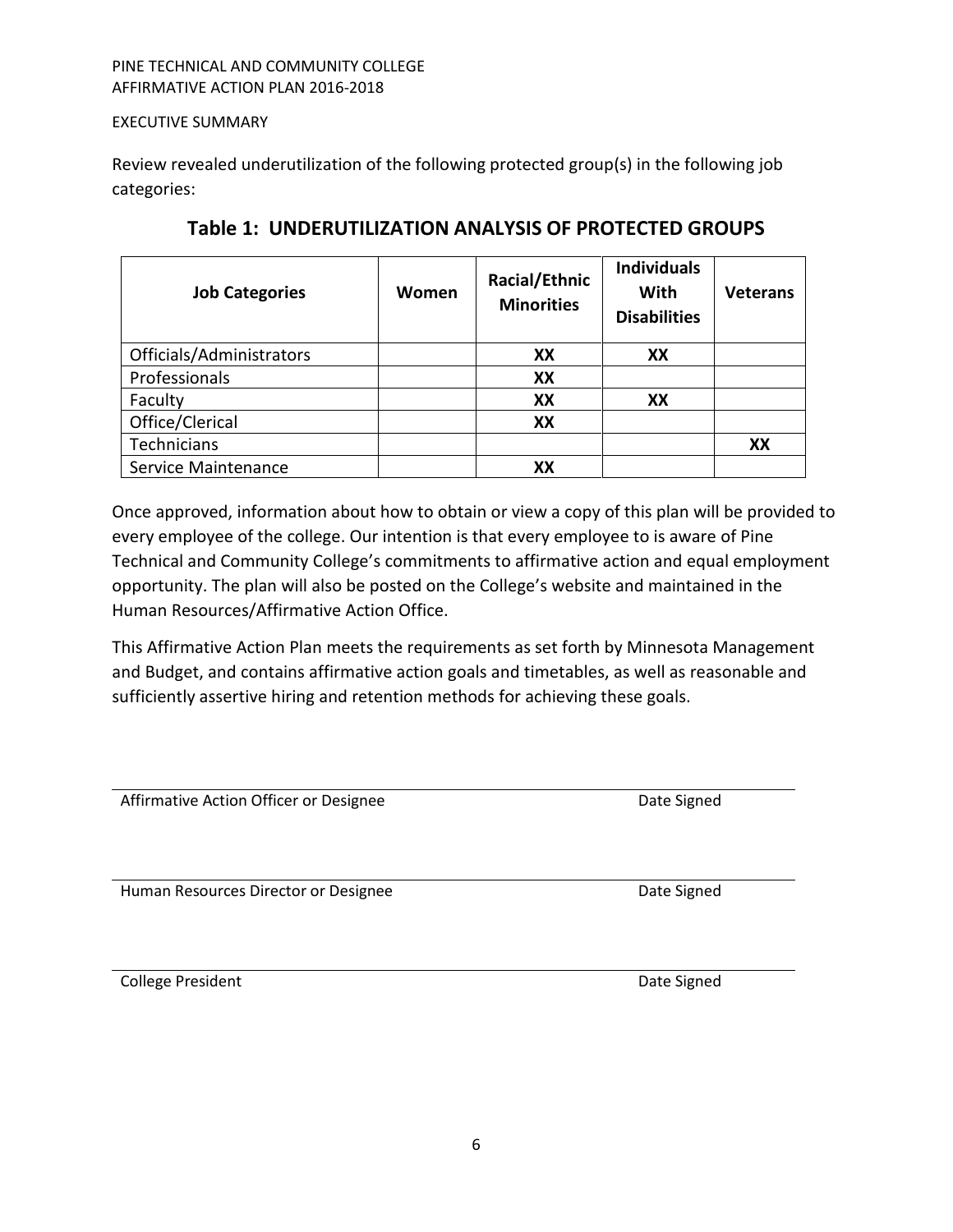#### <span id="page-5-0"></span>EXECUTIVE SUMMARY

Review revealed underutilization of the following protected group(s) in the following job categories:

| <b>Job Categories</b>    | Women | Racial/Ethnic<br><b>Minorities</b> | <b>Individuals</b><br>With<br><b>Disabilities</b> | <b>Veterans</b> |
|--------------------------|-------|------------------------------------|---------------------------------------------------|-----------------|
| Officials/Administrators |       | XX                                 | XX                                                |                 |
| Professionals            |       | XX                                 |                                                   |                 |
| Faculty                  |       | XX                                 | XX                                                |                 |
| Office/Clerical          |       | XX                                 |                                                   |                 |
| Technicians              |       |                                    |                                                   | XX              |
| Service Maintenance      |       | xх                                 |                                                   |                 |

**Table 1: UNDERUTILIZATION ANALYSIS OF PROTECTED GROUPS**

Once approved, information about how to obtain or view a copy of this plan will be provided to every employee of the college. Our intention is that every employee to is aware of Pine Technical and Community College's commitments to affirmative action and equal employment opportunity. The plan will also be posted on the College's website and maintained in the Human Resources/Affirmative Action Office.

This Affirmative Action Plan meets the requirements as set forth by Minnesota Management and Budget, and contains affirmative action goals and timetables, as well as reasonable and sufficiently assertive hiring and retention methods for achieving these goals.

Affirmative Action Officer or Designee **Date Signed** Date Signed

Human Resources Director or Designee **National State Signed** Date Signed

**College President College According to the College According College According College According College According College According College According College According College According College According College Accordin**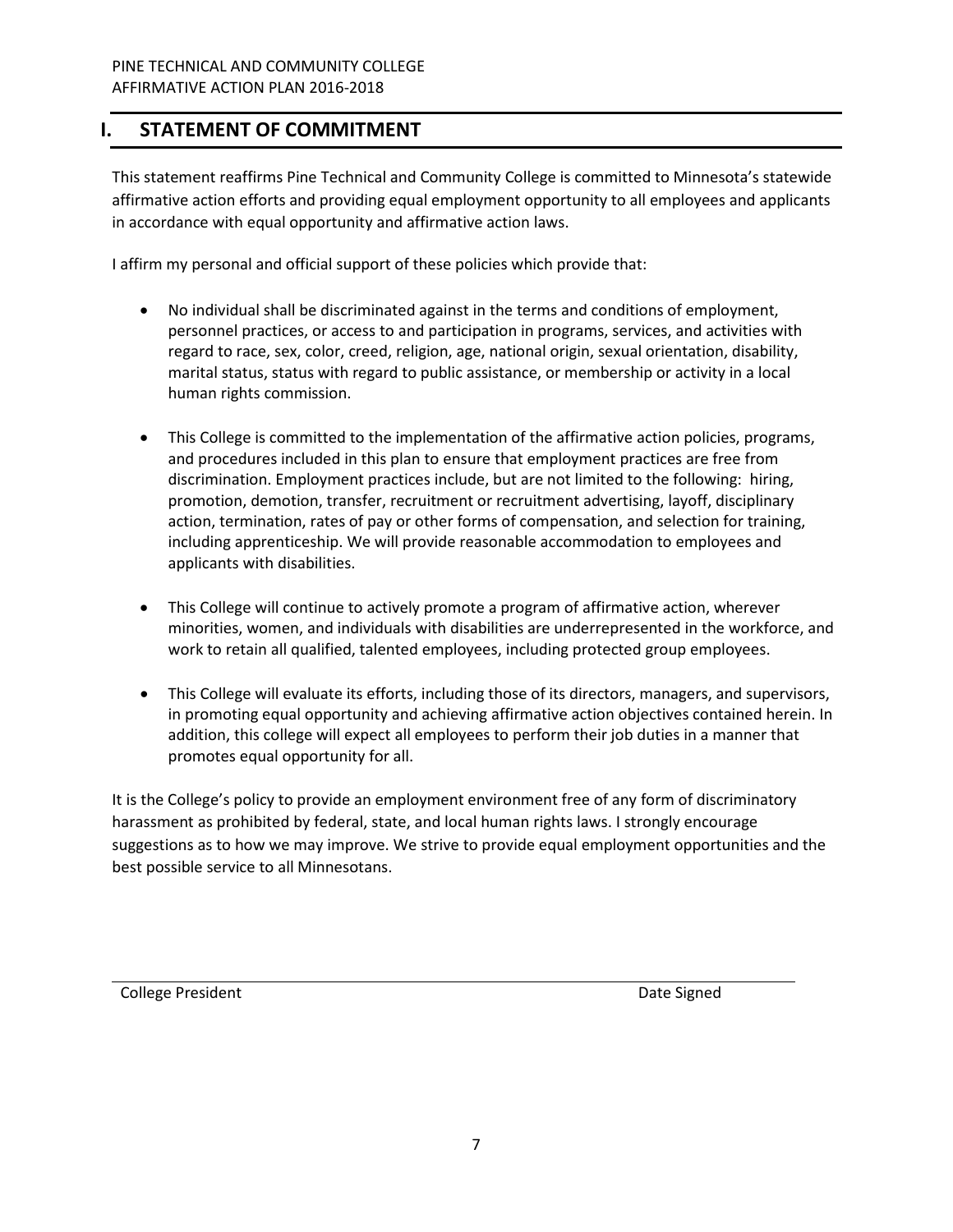# <span id="page-6-0"></span>**I. STATEMENT OF COMMITMENT**

This statement reaffirms Pine Technical and Community College is committed to Minnesota's statewide affirmative action efforts and providing equal employment opportunity to all employees and applicants in accordance with equal opportunity and affirmative action laws.

I affirm my personal and official support of these policies which provide that:

- No individual shall be discriminated against in the terms and conditions of employment, personnel practices, or access to and participation in programs, services, and activities with regard to race, sex, color, creed, religion, age, national origin, sexual orientation, disability, marital status, status with regard to public assistance, or membership or activity in a local human rights commission.
- This College is committed to the implementation of the affirmative action policies, programs, and procedures included in this plan to ensure that employment practices are free from discrimination. Employment practices include, but are not limited to the following: hiring, promotion, demotion, transfer, recruitment or recruitment advertising, layoff, disciplinary action, termination, rates of pay or other forms of compensation, and selection for training, including apprenticeship. We will provide reasonable accommodation to employees and applicants with disabilities.
- This College will continue to actively promote a program of affirmative action, wherever minorities, women, and individuals with disabilities are underrepresented in the workforce, and work to retain all qualified, talented employees, including protected group employees.
- This College will evaluate its efforts, including those of its directors, managers, and supervisors, in promoting equal opportunity and achieving affirmative action objectives contained herein. In addition, this college will expect all employees to perform their job duties in a manner that promotes equal opportunity for all.

It is the College's policy to provide an employment environment free of any form of discriminatory harassment as prohibited by federal, state, and local human rights laws. I strongly encourage suggestions as to how we may improve. We strive to provide equal employment opportunities and the best possible service to all Minnesotans.

College President **Date Signed** College President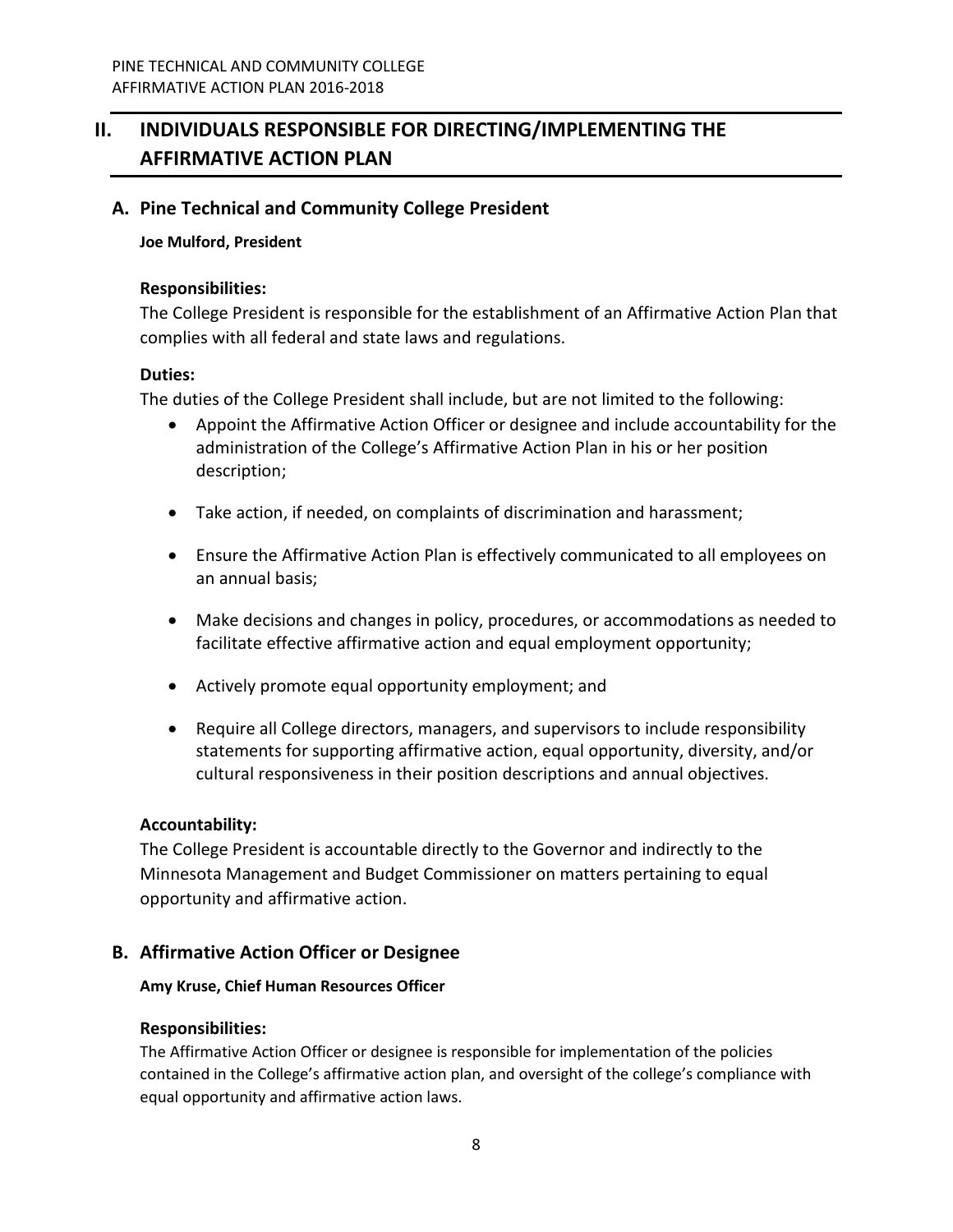# <span id="page-7-0"></span>**II. INDIVIDUALS RESPONSIBLE FOR DIRECTING/IMPLEMENTING THE AFFIRMATIVE ACTION PLAN**

# <span id="page-7-1"></span>**A. Pine Technical and Community College President**

#### **Joe Mulford, President**

#### **Responsibilities:**

The College President is responsible for the establishment of an Affirmative Action Plan that complies with all federal and state laws and regulations.

#### **Duties:**

The duties of the College President shall include, but are not limited to the following:

- Appoint the Affirmative Action Officer or designee and include accountability for the administration of the College's Affirmative Action Plan in his or her position description;
- Take action, if needed, on complaints of discrimination and harassment;
- Ensure the Affirmative Action Plan is effectively communicated to all employees on an annual basis;
- Make decisions and changes in policy, procedures, or accommodations as needed to facilitate effective affirmative action and equal employment opportunity;
- Actively promote equal opportunity employment; and
- Require all College directors, managers, and supervisors to include responsibility statements for supporting affirmative action, equal opportunity, diversity, and/or cultural responsiveness in their position descriptions and annual objectives.

# **Accountability:**

The College President is accountable directly to the Governor and indirectly to the Minnesota Management and Budget Commissioner on matters pertaining to equal opportunity and affirmative action.

# <span id="page-7-2"></span>**B. Affirmative Action Officer or Designee**

#### **Amy Kruse, Chief Human Resources Officer**

# **Responsibilities:**

The Affirmative Action Officer or designee is responsible for implementation of the policies contained in the College's affirmative action plan, and oversight of the college's compliance with equal opportunity and affirmative action laws.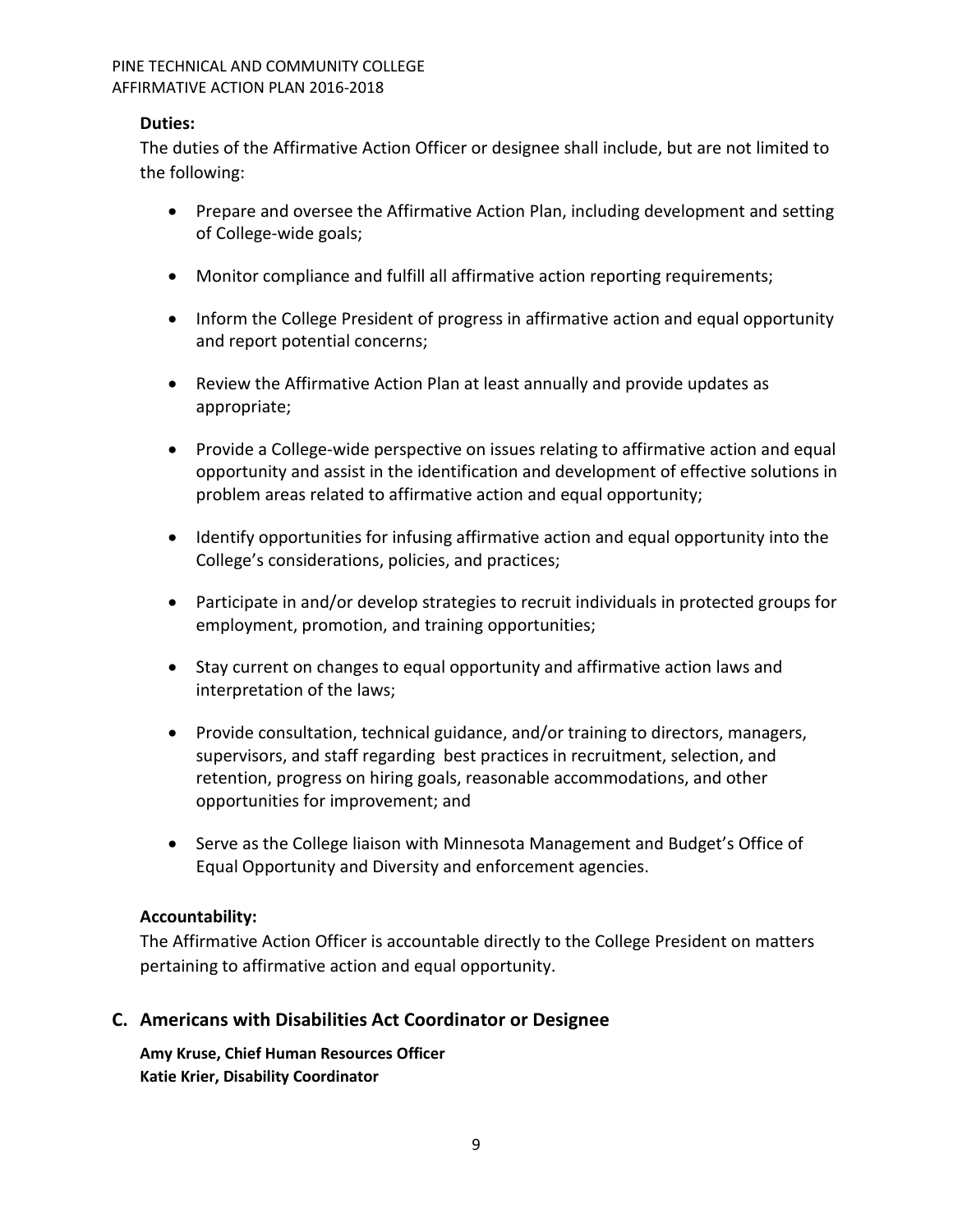# **Duties:**

The duties of the Affirmative Action Officer or designee shall include, but are not limited to the following:

- Prepare and oversee the Affirmative Action Plan, including development and setting of College-wide goals;
- Monitor compliance and fulfill all affirmative action reporting requirements;
- Inform the College President of progress in affirmative action and equal opportunity and report potential concerns;
- Review the Affirmative Action Plan at least annually and provide updates as appropriate;
- Provide a College-wide perspective on issues relating to affirmative action and equal opportunity and assist in the identification and development of effective solutions in problem areas related to affirmative action and equal opportunity;
- Identify opportunities for infusing affirmative action and equal opportunity into the College's considerations, policies, and practices;
- Participate in and/or develop strategies to recruit individuals in protected groups for employment, promotion, and training opportunities;
- Stay current on changes to equal opportunity and affirmative action laws and interpretation of the laws;
- Provide consultation, technical guidance, and/or training to directors, managers, supervisors, and staff regarding best practices in recruitment, selection, and retention, progress on hiring goals, reasonable accommodations, and other opportunities for improvement; and
- Serve as the College liaison with Minnesota Management and Budget's Office of Equal Opportunity and Diversity and enforcement agencies.

# **Accountability:**

The Affirmative Action Officer is accountable directly to the College President on matters pertaining to affirmative action and equal opportunity.

# <span id="page-8-0"></span>**C. Americans with Disabilities Act Coordinator or Designee**

**Amy Kruse, Chief Human Resources Officer Katie Krier, Disability Coordinator**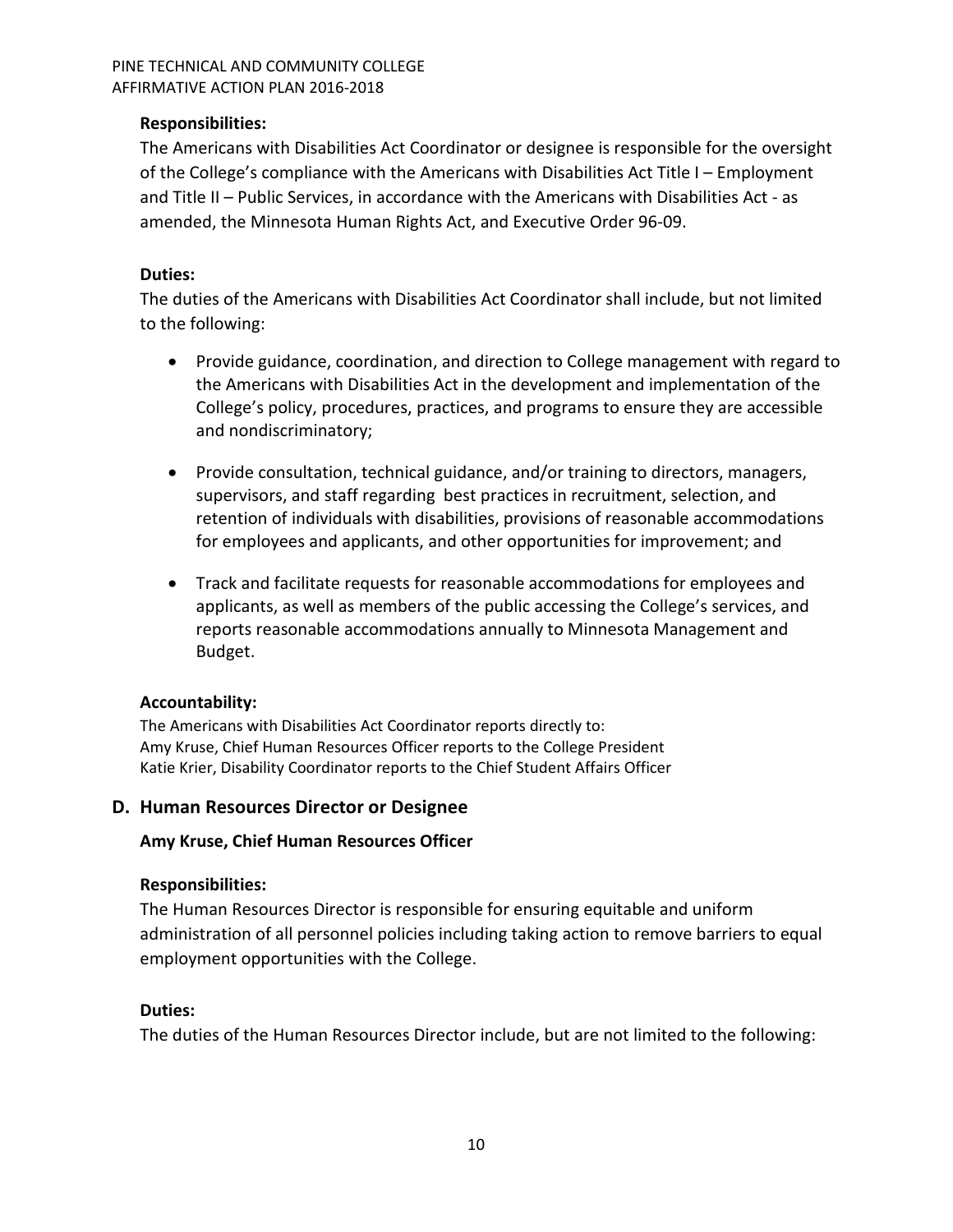# **Responsibilities:**

The Americans with Disabilities Act Coordinator or designee is responsible for the oversight of the College's compliance with the Americans with Disabilities Act Title I – Employment and Title II – Public Services, in accordance with the Americans with Disabilities Act - as amended, the Minnesota Human Rights Act, and Executive Order 96-09.

# **Duties:**

The duties of the Americans with Disabilities Act Coordinator shall include, but not limited to the following:

- Provide guidance, coordination, and direction to College management with regard to the Americans with Disabilities Act in the development and implementation of the College's policy, procedures, practices, and programs to ensure they are accessible and nondiscriminatory;
- Provide consultation, technical guidance, and/or training to directors, managers, supervisors, and staff regarding best practices in recruitment, selection, and retention of individuals with disabilities, provisions of reasonable accommodations for employees and applicants, and other opportunities for improvement; and
- Track and facilitate requests for reasonable accommodations for employees and applicants, as well as members of the public accessing the College's services, and reports reasonable accommodations annually to Minnesota Management and Budget.

# **Accountability:**

The Americans with Disabilities Act Coordinator reports directly to: Amy Kruse, Chief Human Resources Officer reports to the College President Katie Krier, Disability Coordinator reports to the Chief Student Affairs Officer

# <span id="page-9-0"></span>**D. Human Resources Director or Designee**

# **Amy Kruse, Chief Human Resources Officer**

# **Responsibilities:**

The Human Resources Director is responsible for ensuring equitable and uniform administration of all personnel policies including taking action to remove barriers to equal employment opportunities with the College.

# **Duties:**

The duties of the Human Resources Director include, but are not limited to the following: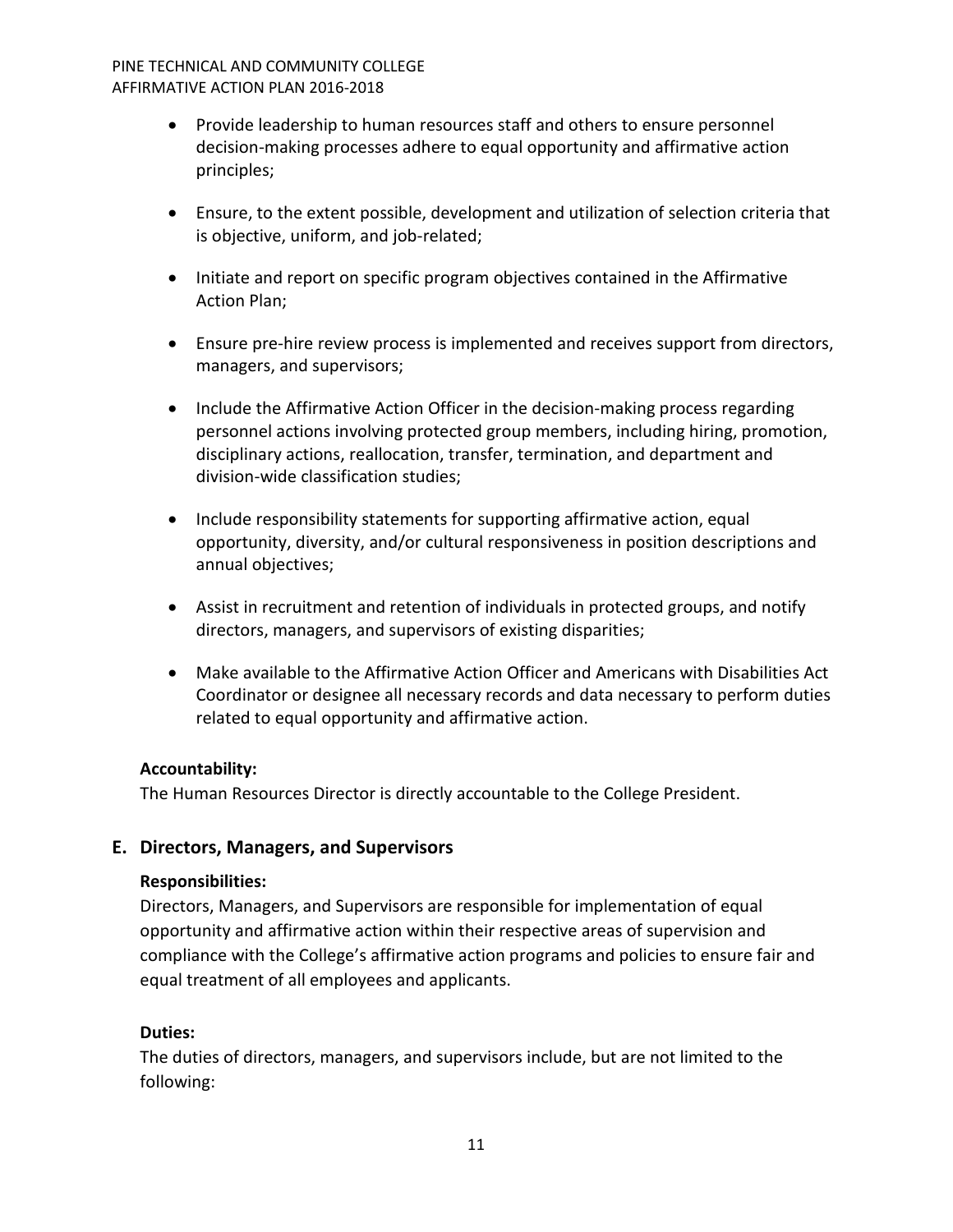- Provide leadership to human resources staff and others to ensure personnel decision-making processes adhere to equal opportunity and affirmative action principles;
- Ensure, to the extent possible, development and utilization of selection criteria that is objective, uniform, and job-related;
- Initiate and report on specific program objectives contained in the Affirmative Action Plan;
- Ensure pre-hire review process is implemented and receives support from directors, managers, and supervisors;
- Include the Affirmative Action Officer in the decision-making process regarding personnel actions involving protected group members, including hiring, promotion, disciplinary actions, reallocation, transfer, termination, and department and division-wide classification studies;
- Include responsibility statements for supporting affirmative action, equal opportunity, diversity, and/or cultural responsiveness in position descriptions and annual objectives;
- Assist in recruitment and retention of individuals in protected groups, and notify directors, managers, and supervisors of existing disparities;
- Make available to the Affirmative Action Officer and Americans with Disabilities Act Coordinator or designee all necessary records and data necessary to perform duties related to equal opportunity and affirmative action.

# **Accountability:**

The Human Resources Director is directly accountable to the College President.

# <span id="page-10-0"></span>**E. Directors, Managers, and Supervisors**

# **Responsibilities:**

Directors, Managers, and Supervisors are responsible for implementation of equal opportunity and affirmative action within their respective areas of supervision and compliance with the College's affirmative action programs and policies to ensure fair and equal treatment of all employees and applicants.

# **Duties:**

The duties of directors, managers, and supervisors include, but are not limited to the following: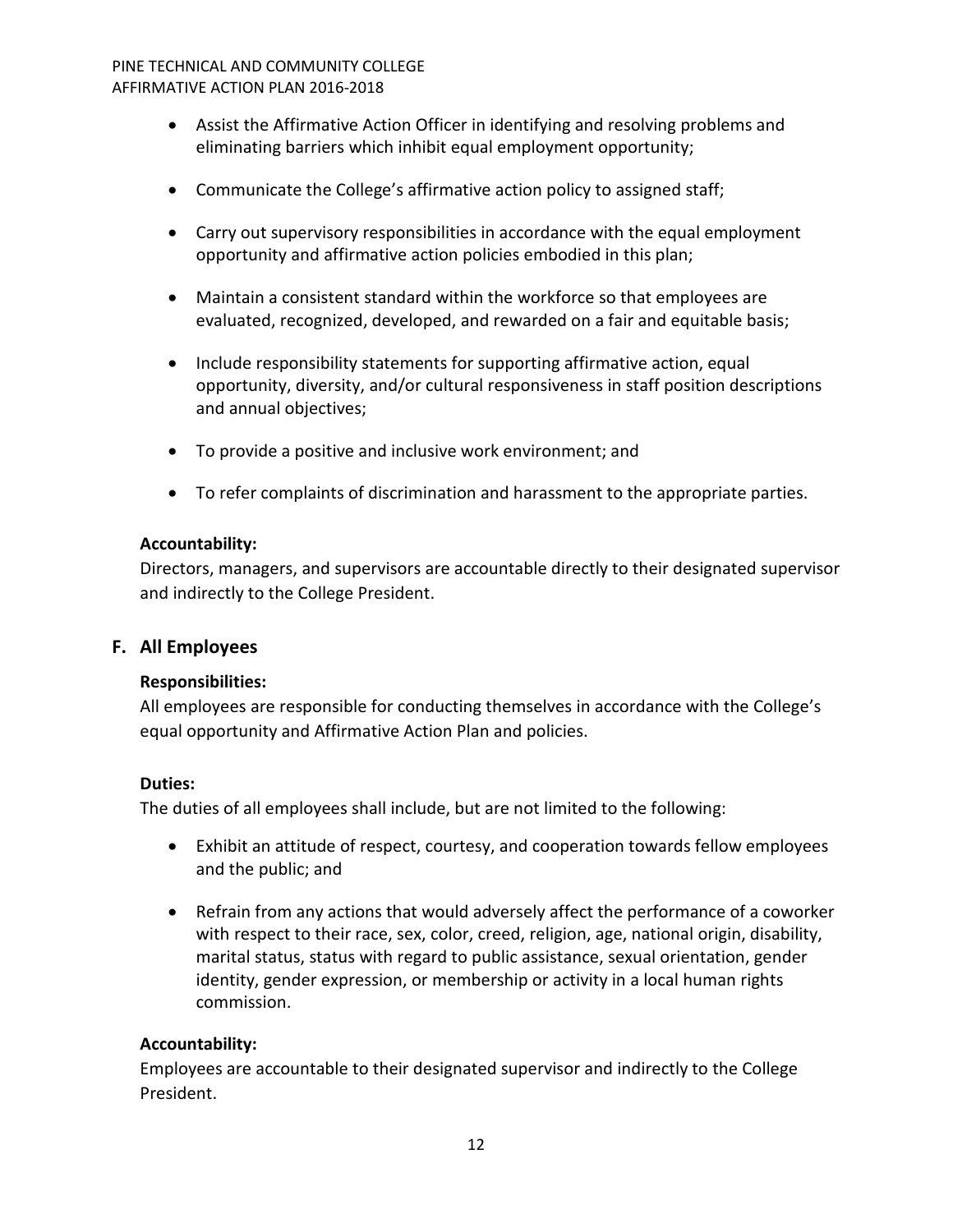- Assist the Affirmative Action Officer in identifying and resolving problems and eliminating barriers which inhibit equal employment opportunity;
- Communicate the College's affirmative action policy to assigned staff;
- Carry out supervisory responsibilities in accordance with the equal employment opportunity and affirmative action policies embodied in this plan;
- Maintain a consistent standard within the workforce so that employees are evaluated, recognized, developed, and rewarded on a fair and equitable basis;
- Include responsibility statements for supporting affirmative action, equal opportunity, diversity, and/or cultural responsiveness in staff position descriptions and annual objectives;
- To provide a positive and inclusive work environment; and
- To refer complaints of discrimination and harassment to the appropriate parties.

# **Accountability:**

Directors, managers, and supervisors are accountable directly to their designated supervisor and indirectly to the College President.

# <span id="page-11-0"></span>**F. All Employees**

# **Responsibilities:**

All employees are responsible for conducting themselves in accordance with the College's equal opportunity and Affirmative Action Plan and policies.

# **Duties:**

The duties of all employees shall include, but are not limited to the following:

- Exhibit an attitude of respect, courtesy, and cooperation towards fellow employees and the public; and
- Refrain from any actions that would adversely affect the performance of a coworker with respect to their race, sex, color, creed, religion, age, national origin, disability, marital status, status with regard to public assistance, sexual orientation, gender identity, gender expression, or membership or activity in a local human rights commission.

# **Accountability:**

Employees are accountable to their designated supervisor and indirectly to the College President.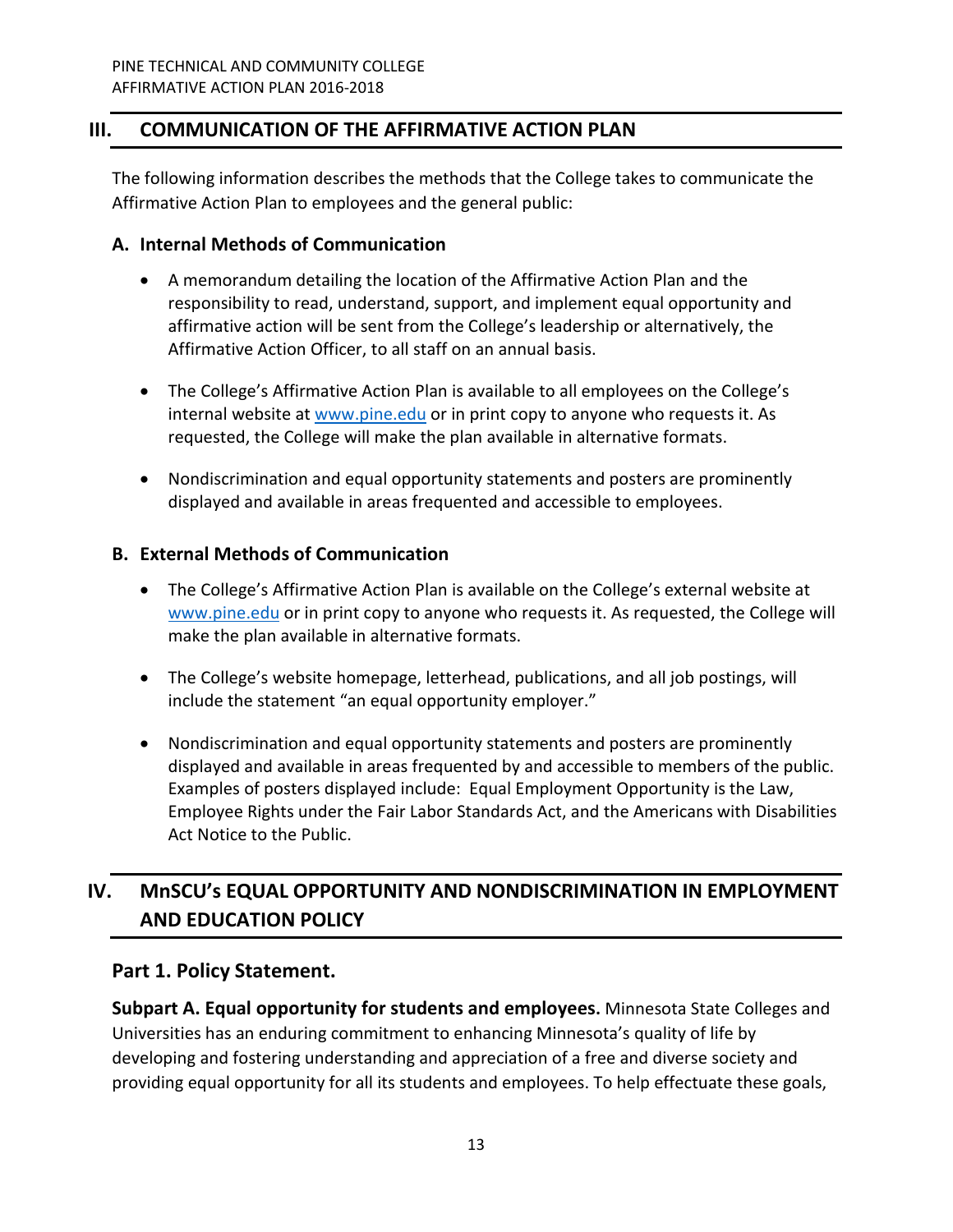# <span id="page-12-0"></span>**III. COMMUNICATION OF THE AFFIRMATIVE ACTION PLAN**

The following information describes the methods that the College takes to communicate the Affirmative Action Plan to employees and the general public:

# <span id="page-12-1"></span>**A. Internal Methods of Communication**

- A memorandum detailing the location of the Affirmative Action Plan and the responsibility to read, understand, support, and implement equal opportunity and affirmative action will be sent from the College's leadership or alternatively, the Affirmative Action Officer, to all staff on an annual basis.
- The College's Affirmative Action Plan is available to all employees on the College's internal website at [www.pine.edu](http://www.pine.edu/) or in print copy to anyone who requests it. As requested, the College will make the plan available in alternative formats.
- Nondiscrimination and equal opportunity statements and posters are prominently displayed and available in areas frequented and accessible to employees.

# <span id="page-12-2"></span>**B. External Methods of Communication**

- The College's Affirmative Action Plan is available on the College's external website at [www.pine.edu](http://www.pine.edu/) or in print copy to anyone who requests it. As requested, the College will make the plan available in alternative formats.
- The College's website homepage, letterhead, publications, and all job postings, will include the statement "an equal opportunity employer."
- Nondiscrimination and equal opportunity statements and posters are prominently displayed and available in areas frequented by and accessible to members of the public. Examples of posters displayed include: Equal Employment Opportunity is the Law, Employee Rights under the Fair Labor Standards Act, and the Americans with Disabilities Act Notice to the Public.

# <span id="page-12-3"></span>**IV. MnSCU's EQUAL OPPORTUNITY AND NONDISCRIMINATION IN EMPLOYMENT AND EDUCATION POLICY**

# <span id="page-12-4"></span>**Part 1. Policy Statement.**

<span id="page-12-5"></span>**Subpart A. Equal opportunity for students and employees.** Minnesota State Colleges and Universities has an enduring commitment to enhancing Minnesota's quality of life by developing and fostering understanding and appreciation of a free and diverse society and providing equal opportunity for all its students and employees. To help effectuate these goals,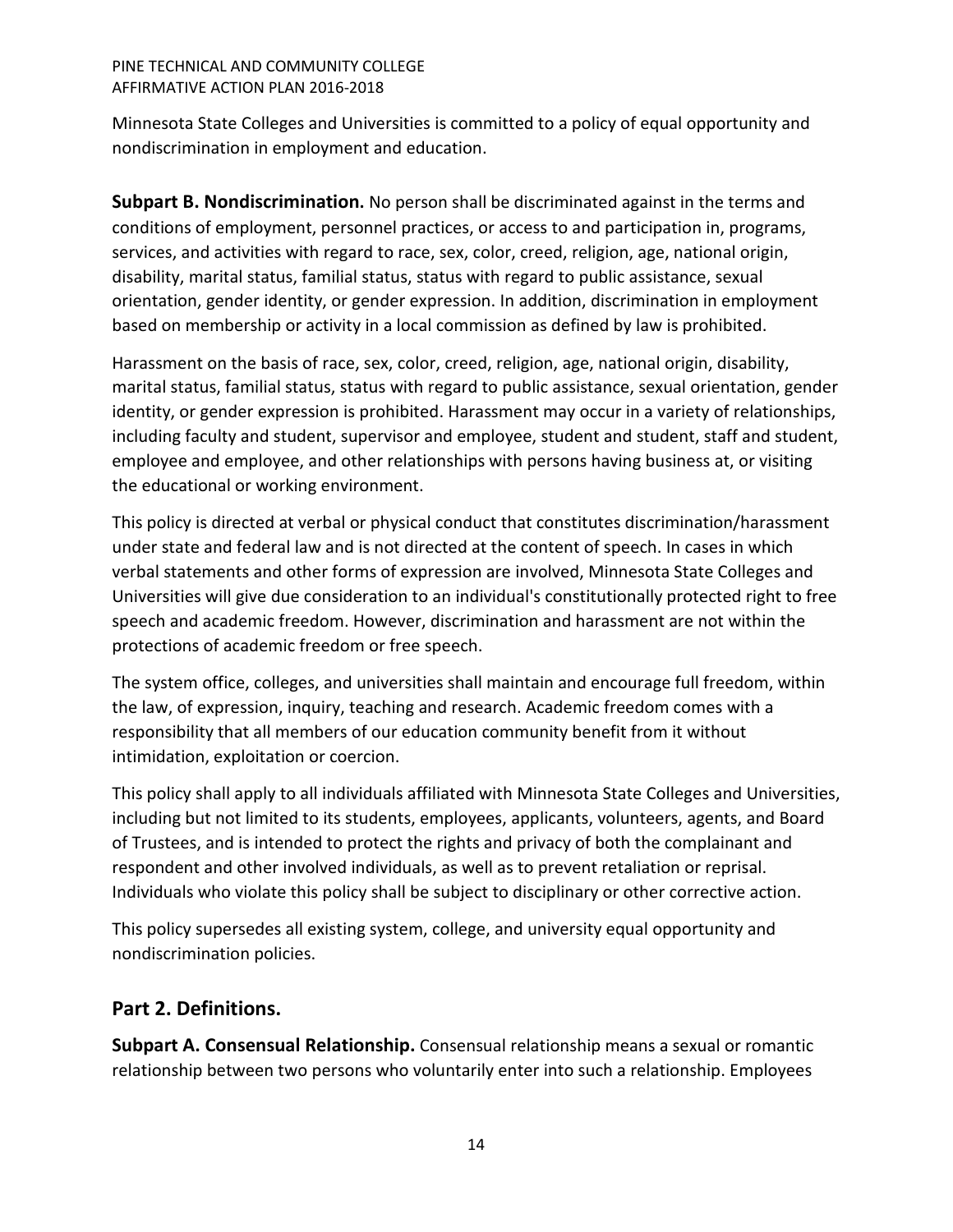Minnesota State Colleges and Universities is committed to a policy of equal opportunity and nondiscrimination in employment and education.

<span id="page-13-0"></span>**Subpart B. Nondiscrimination.** No person shall be discriminated against in the terms and conditions of employment, personnel practices, or access to and participation in, programs, services, and activities with regard to race, sex, color, creed, religion, age, national origin, disability, marital status, familial status, status with regard to public assistance, sexual orientation, gender identity, or gender expression. In addition, discrimination in employment based on membership or activity in a local commission as defined by law is prohibited.

Harassment on the basis of race, sex, color, creed, religion, age, national origin, disability, marital status, familial status, status with regard to public assistance, sexual orientation, gender identity, or gender expression is prohibited. Harassment may occur in a variety of relationships, including faculty and student, supervisor and employee, student and student, staff and student, employee and employee, and other relationships with persons having business at, or visiting the educational or working environment.

This policy is directed at verbal or physical conduct that constitutes discrimination/harassment under state and federal law and is not directed at the content of speech. In cases in which verbal statements and other forms of expression are involved, Minnesota State Colleges and Universities will give due consideration to an individual's constitutionally protected right to free speech and academic freedom. However, discrimination and harassment are not within the protections of academic freedom or free speech.

The system office, colleges, and universities shall maintain and encourage full freedom, within the law, of expression, inquiry, teaching and research. Academic freedom comes with a responsibility that all members of our education community benefit from it without intimidation, exploitation or coercion.

This policy shall apply to all individuals affiliated with Minnesota State Colleges and Universities, including but not limited to its students, employees, applicants, volunteers, agents, and Board of Trustees, and is intended to protect the rights and privacy of both the complainant and respondent and other involved individuals, as well as to prevent retaliation or reprisal. Individuals who violate this policy shall be subject to disciplinary or other corrective action.

This policy supersedes all existing system, college, and university equal opportunity and nondiscrimination policies.

# <span id="page-13-1"></span>**Part 2. Definitions.**

<span id="page-13-2"></span>**Subpart A. Consensual Relationship.** Consensual relationship means a sexual or romantic relationship between two persons who voluntarily enter into such a relationship. Employees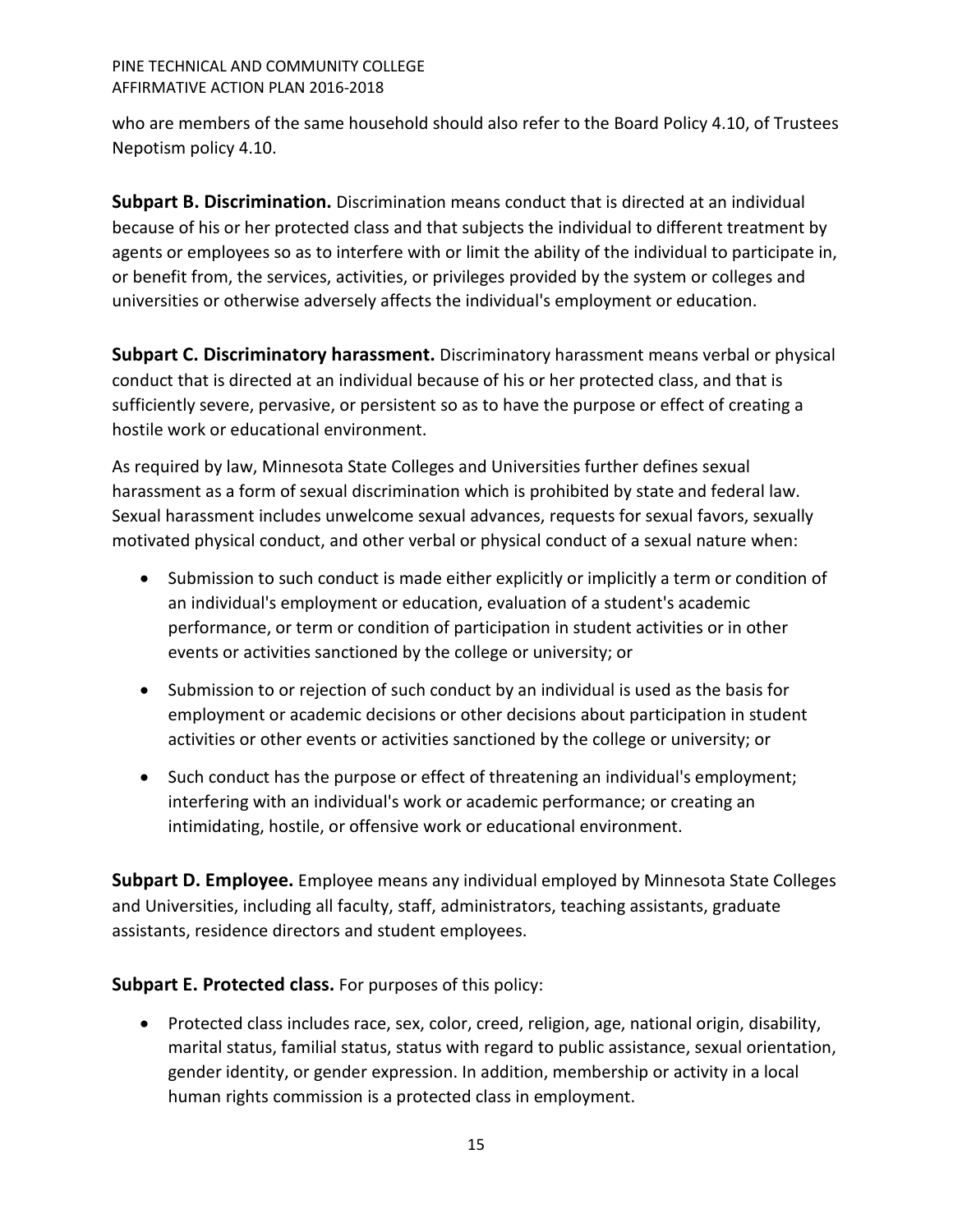who are members of the same household should also refer to the Board Policy 4.10, of Trustees Nepotism policy 4.10.

<span id="page-14-0"></span>**Subpart B. Discrimination.** Discrimination means conduct that is directed at an individual because of his or her protected class and that subjects the individual to different treatment by agents or employees so as to interfere with or limit the ability of the individual to participate in, or benefit from, the services, activities, or privileges provided by the system or colleges and universities or otherwise adversely affects the individual's employment or education.

<span id="page-14-1"></span>**Subpart C. Discriminatory harassment.** Discriminatory harassment means verbal or physical conduct that is directed at an individual because of his or her protected class, and that is sufficiently severe, pervasive, or persistent so as to have the purpose or effect of creating a hostile work or educational environment.

As required by law, Minnesota State Colleges and Universities further defines sexual harassment as a form of sexual discrimination which is prohibited by state and federal law. Sexual harassment includes unwelcome sexual advances, requests for sexual favors, sexually motivated physical conduct, and other verbal or physical conduct of a sexual nature when:

- Submission to such conduct is made either explicitly or implicitly a term or condition of an individual's employment or education, evaluation of a student's academic performance, or term or condition of participation in student activities or in other events or activities sanctioned by the college or university; or
- Submission to or rejection of such conduct by an individual is used as the basis for employment or academic decisions or other decisions about participation in student activities or other events or activities sanctioned by the college or university; or
- Such conduct has the purpose or effect of threatening an individual's employment; interfering with an individual's work or academic performance; or creating an intimidating, hostile, or offensive work or educational environment.

<span id="page-14-2"></span>**Subpart D. Employee.** Employee means any individual employed by Minnesota State Colleges and Universities, including all faculty, staff, administrators, teaching assistants, graduate assistants, residence directors and student employees.

# <span id="page-14-3"></span>**Subpart E. Protected class.** For purposes of this policy:

• Protected class includes race, sex, color, creed, religion, age, national origin, disability, marital status, familial status, status with regard to public assistance, sexual orientation, gender identity, or gender expression. In addition, membership or activity in a local human rights commission is a protected class in employment.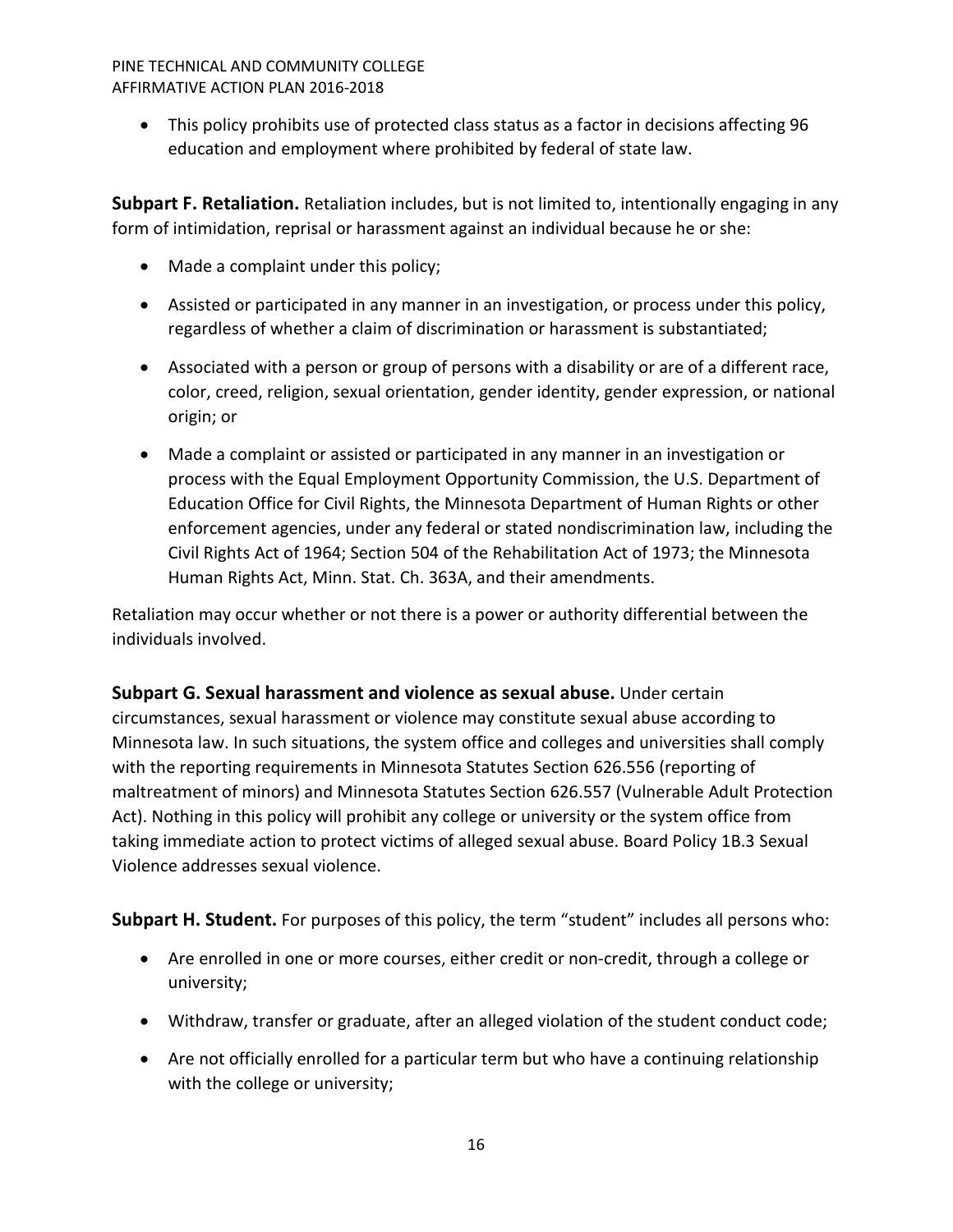• This policy prohibits use of protected class status as a factor in decisions affecting 96 education and employment where prohibited by federal of state law.

<span id="page-15-0"></span>**Subpart F. Retaliation.** Retaliation includes, but is not limited to, intentionally engaging in any form of intimidation, reprisal or harassment against an individual because he or she:

- Made a complaint under this policy;
- Assisted or participated in any manner in an investigation, or process under this policy, regardless of whether a claim of discrimination or harassment is substantiated;
- Associated with a person or group of persons with a disability or are of a different race, color, creed, religion, sexual orientation, gender identity, gender expression, or national origin; or
- Made a complaint or assisted or participated in any manner in an investigation or process with the Equal Employment Opportunity Commission, the U.S. Department of Education Office for Civil Rights, the Minnesota Department of Human Rights or other enforcement agencies, under any federal or stated nondiscrimination law, including the Civil Rights Act of 1964; Section 504 of the Rehabilitation Act of 1973; the Minnesota Human Rights Act, Minn. Stat. Ch. 363A, and their amendments.

Retaliation may occur whether or not there is a power or authority differential between the individuals involved.

<span id="page-15-1"></span>**Subpart G. Sexual harassment and violence as sexual abuse.** Under certain circumstances, sexual harassment or violence may constitute sexual abuse according to Minnesota law. In such situations, the system office and colleges and universities shall comply with the reporting requirements in Minnesota Statutes Section 626.556 (reporting of maltreatment of minors) and Minnesota Statutes Section 626.557 (Vulnerable Adult Protection Act). Nothing in this policy will prohibit any college or university or the system office from taking immediate action to protect victims of alleged sexual abuse. Board Policy 1B.3 Sexual Violence addresses sexual violence.

<span id="page-15-2"></span>**Subpart H. Student.** For purposes of this policy, the term "student" includes all persons who:

- Are enrolled in one or more courses, either credit or non-credit, through a college or university;
- Withdraw, transfer or graduate, after an alleged violation of the student conduct code;
- Are not officially enrolled for a particular term but who have a continuing relationship with the college or university;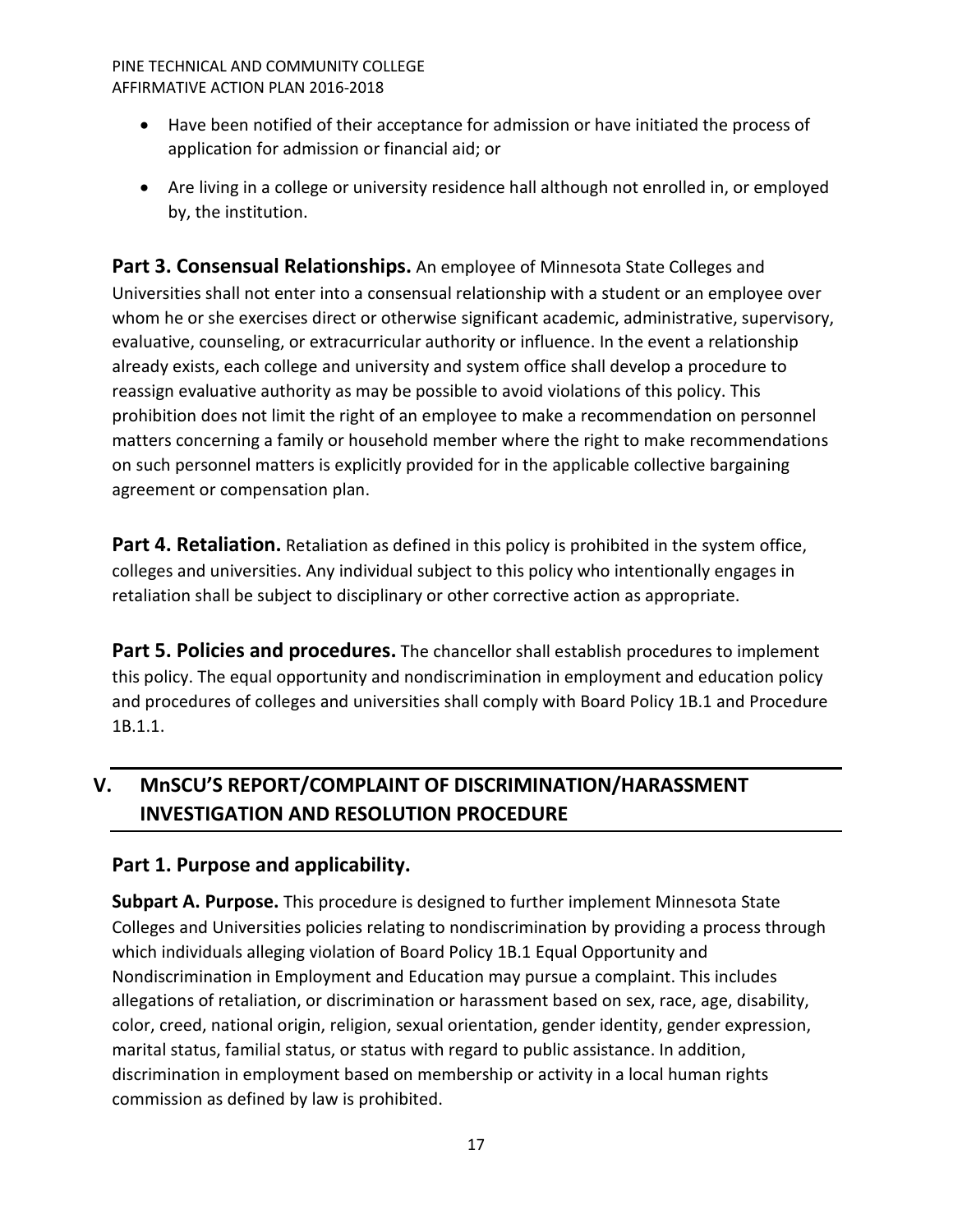- Have been notified of their acceptance for admission or have initiated the process of application for admission or financial aid; or
- Are living in a college or university residence hall although not enrolled in, or employed by, the institution.

<span id="page-16-0"></span>**Part 3. Consensual Relationships.** An employee of Minnesota State Colleges and Universities shall not enter into a consensual relationship with a student or an employee over whom he or she exercises direct or otherwise significant academic, administrative, supervisory, evaluative, counseling, or extracurricular authority or influence. In the event a relationship already exists, each college and university and system office shall develop a procedure to reassign evaluative authority as may be possible to avoid violations of this policy. This prohibition does not limit the right of an employee to make a recommendation on personnel matters concerning a family or household member where the right to make recommendations on such personnel matters is explicitly provided for in the applicable collective bargaining agreement or compensation plan.

<span id="page-16-1"></span>Part 4. Retaliation. Retaliation as defined in this policy is prohibited in the system office, colleges and universities. Any individual subject to this policy who intentionally engages in retaliation shall be subject to disciplinary or other corrective action as appropriate.

<span id="page-16-2"></span>**Part 5. Policies and procedures.** The chancellor shall establish procedures to implement this policy. The equal opportunity and nondiscrimination in employment and education policy and procedures of colleges and universities shall comply with Board Policy 1B.1 and Procedure 1B.1.1.

# <span id="page-16-3"></span>**V. MnSCU'S REPORT/COMPLAINT OF DISCRIMINATION/HARASSMENT INVESTIGATION AND RESOLUTION PROCEDURE**

# <span id="page-16-4"></span>**Part 1. Purpose and applicability.**

<span id="page-16-5"></span>**Subpart A. Purpose.** This procedure is designed to further implement Minnesota State Colleges and Universities policies relating to nondiscrimination by providing a process through which individuals alleging violation of Board Policy 1B.1 Equal Opportunity and Nondiscrimination in Employment and Education may pursue a complaint. This includes allegations of retaliation, or discrimination or harassment based on sex, race, age, disability, color, creed, national origin, religion, sexual orientation, gender identity, gender expression, marital status, familial status, or status with regard to public assistance. In addition, discrimination in employment based on membership or activity in a local human rights commission as defined by law is prohibited.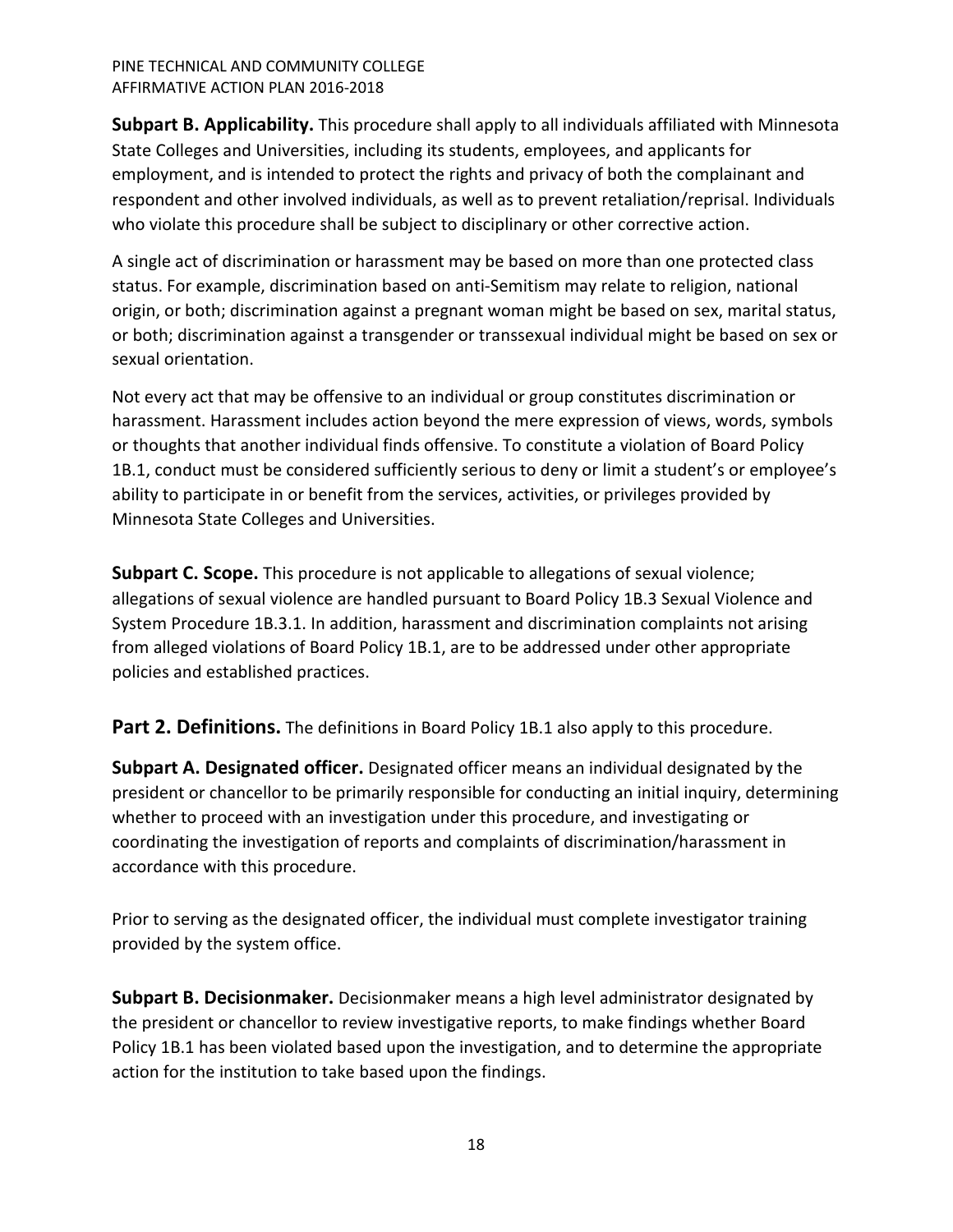<span id="page-17-0"></span>**Subpart B. Applicability.** This procedure shall apply to all individuals affiliated with Minnesota State Colleges and Universities, including its students, employees, and applicants for employment, and is intended to protect the rights and privacy of both the complainant and respondent and other involved individuals, as well as to prevent retaliation/reprisal. Individuals who violate this procedure shall be subject to disciplinary or other corrective action.

A single act of discrimination or harassment may be based on more than one protected class status. For example, discrimination based on anti-Semitism may relate to religion, national origin, or both; discrimination against a pregnant woman might be based on sex, marital status, or both; discrimination against a transgender or transsexual individual might be based on sex or sexual orientation.

Not every act that may be offensive to an individual or group constitutes discrimination or harassment. Harassment includes action beyond the mere expression of views, words, symbols or thoughts that another individual finds offensive. To constitute a violation of Board Policy 1B.1, conduct must be considered sufficiently serious to deny or limit a student's or employee's ability to participate in or benefit from the services, activities, or privileges provided by Minnesota State Colleges and Universities.

<span id="page-17-1"></span>**Subpart C. Scope.** This procedure is not applicable to allegations of sexual violence; allegations of sexual violence are handled pursuant to Board Policy 1B.3 Sexual Violence and System Procedure 1B.3.1. In addition, harassment and discrimination complaints not arising from alleged violations of Board Policy 1B.1, are to be addressed under other appropriate policies and established practices.

<span id="page-17-2"></span>**Part 2. Definitions.** The definitions in Board Policy 1B.1 also apply to this procedure.

<span id="page-17-3"></span>**Subpart A. Designated officer.** Designated officer means an individual designated by the president or chancellor to be primarily responsible for conducting an initial inquiry, determining whether to proceed with an investigation under this procedure, and investigating or coordinating the investigation of reports and complaints of discrimination/harassment in accordance with this procedure.

Prior to serving as the designated officer, the individual must complete investigator training provided by the system office.

<span id="page-17-4"></span>**Subpart B. Decisionmaker.** Decisionmaker means a high level administrator designated by the president or chancellor to review investigative reports, to make findings whether Board Policy 1B.1 has been violated based upon the investigation, and to determine the appropriate action for the institution to take based upon the findings.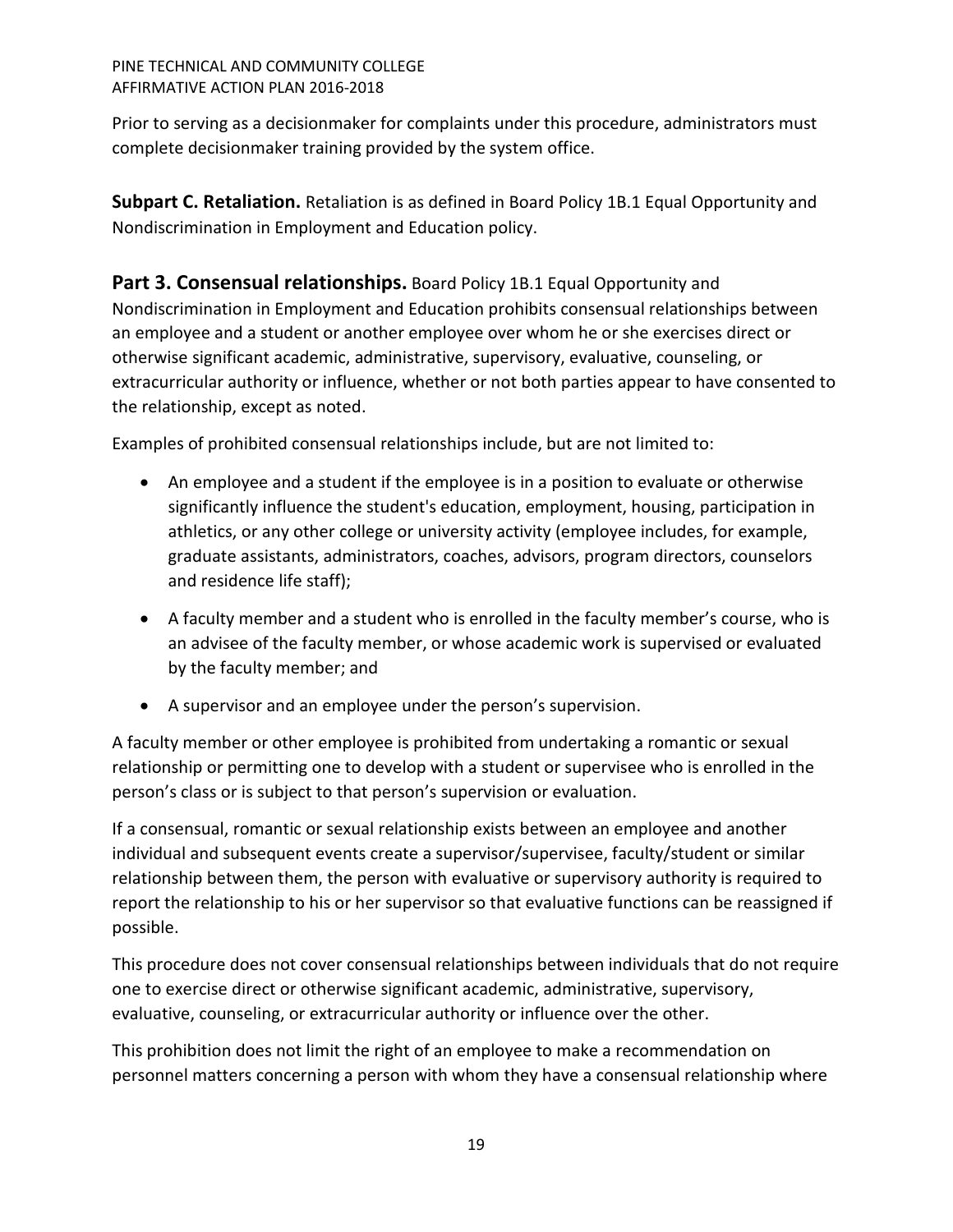Prior to serving as a decisionmaker for complaints under this procedure, administrators must complete decisionmaker training provided by the system office.

<span id="page-18-0"></span>**Subpart C. Retaliation.** Retaliation is as defined in Board Policy 1B.1 Equal Opportunity and Nondiscrimination in Employment and Education policy.

<span id="page-18-1"></span>**Part 3. Consensual relationships.** Board Policy 1B.1 Equal Opportunity and Nondiscrimination in Employment and Education prohibits consensual relationships between an employee and a student or another employee over whom he or she exercises direct or otherwise significant academic, administrative, supervisory, evaluative, counseling, or extracurricular authority or influence, whether or not both parties appear to have consented to the relationship, except as noted.

Examples of prohibited consensual relationships include, but are not limited to:

- An employee and a student if the employee is in a position to evaluate or otherwise significantly influence the student's education, employment, housing, participation in athletics, or any other college or university activity (employee includes, for example, graduate assistants, administrators, coaches, advisors, program directors, counselors and residence life staff);
- A faculty member and a student who is enrolled in the faculty member's course, who is an advisee of the faculty member, or whose academic work is supervised or evaluated by the faculty member; and
- A supervisor and an employee under the person's supervision.

A faculty member or other employee is prohibited from undertaking a romantic or sexual relationship or permitting one to develop with a student or supervisee who is enrolled in the person's class or is subject to that person's supervision or evaluation.

If a consensual, romantic or sexual relationship exists between an employee and another individual and subsequent events create a supervisor/supervisee, faculty/student or similar relationship between them, the person with evaluative or supervisory authority is required to report the relationship to his or her supervisor so that evaluative functions can be reassigned if possible.

This procedure does not cover consensual relationships between individuals that do not require one to exercise direct or otherwise significant academic, administrative, supervisory, evaluative, counseling, or extracurricular authority or influence over the other.

This prohibition does not limit the right of an employee to make a recommendation on personnel matters concerning a person with whom they have a consensual relationship where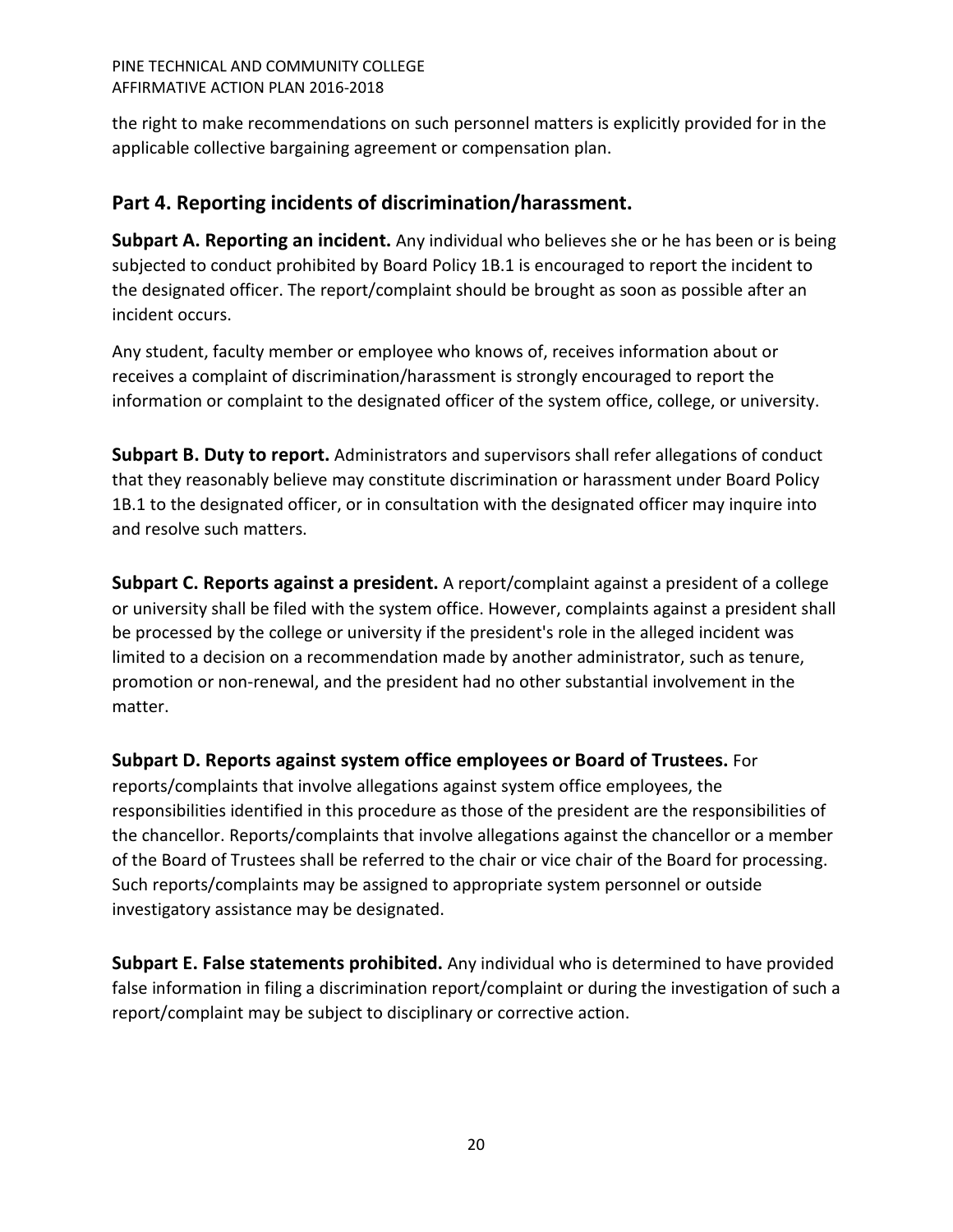the right to make recommendations on such personnel matters is explicitly provided for in the applicable collective bargaining agreement or compensation plan.

# <span id="page-19-0"></span>**Part 4. Reporting incidents of discrimination/harassment.**

<span id="page-19-1"></span>**Subpart A. Reporting an incident.** Any individual who believes she or he has been or is being subjected to conduct prohibited by Board Policy 1B.1 is encouraged to report the incident to the designated officer. The report/complaint should be brought as soon as possible after an incident occurs.

Any student, faculty member or employee who knows of, receives information about or receives a complaint of discrimination/harassment is strongly encouraged to report the information or complaint to the designated officer of the system office, college, or university.

<span id="page-19-2"></span>**Subpart B. Duty to report.** Administrators and supervisors shall refer allegations of conduct that they reasonably believe may constitute discrimination or harassment under Board Policy 1B.1 to the designated officer, or in consultation with the designated officer may inquire into and resolve such matters.

<span id="page-19-3"></span>**Subpart C. Reports against a president.** A report/complaint against a president of a college or university shall be filed with the system office. However, complaints against a president shall be processed by the college or university if the president's role in the alleged incident was limited to a decision on a recommendation made by another administrator, such as tenure, promotion or non-renewal, and the president had no other substantial involvement in the matter.

# <span id="page-19-4"></span>**Subpart D. Reports against system office employees or Board of Trustees.** For

reports/complaints that involve allegations against system office employees, the responsibilities identified in this procedure as those of the president are the responsibilities of the chancellor. Reports/complaints that involve allegations against the chancellor or a member of the Board of Trustees shall be referred to the chair or vice chair of the Board for processing. Such reports/complaints may be assigned to appropriate system personnel or outside investigatory assistance may be designated.

<span id="page-19-5"></span>**Subpart E. False statements prohibited.** Any individual who is determined to have provided false information in filing a discrimination report/complaint or during the investigation of such a report/complaint may be subject to disciplinary or corrective action.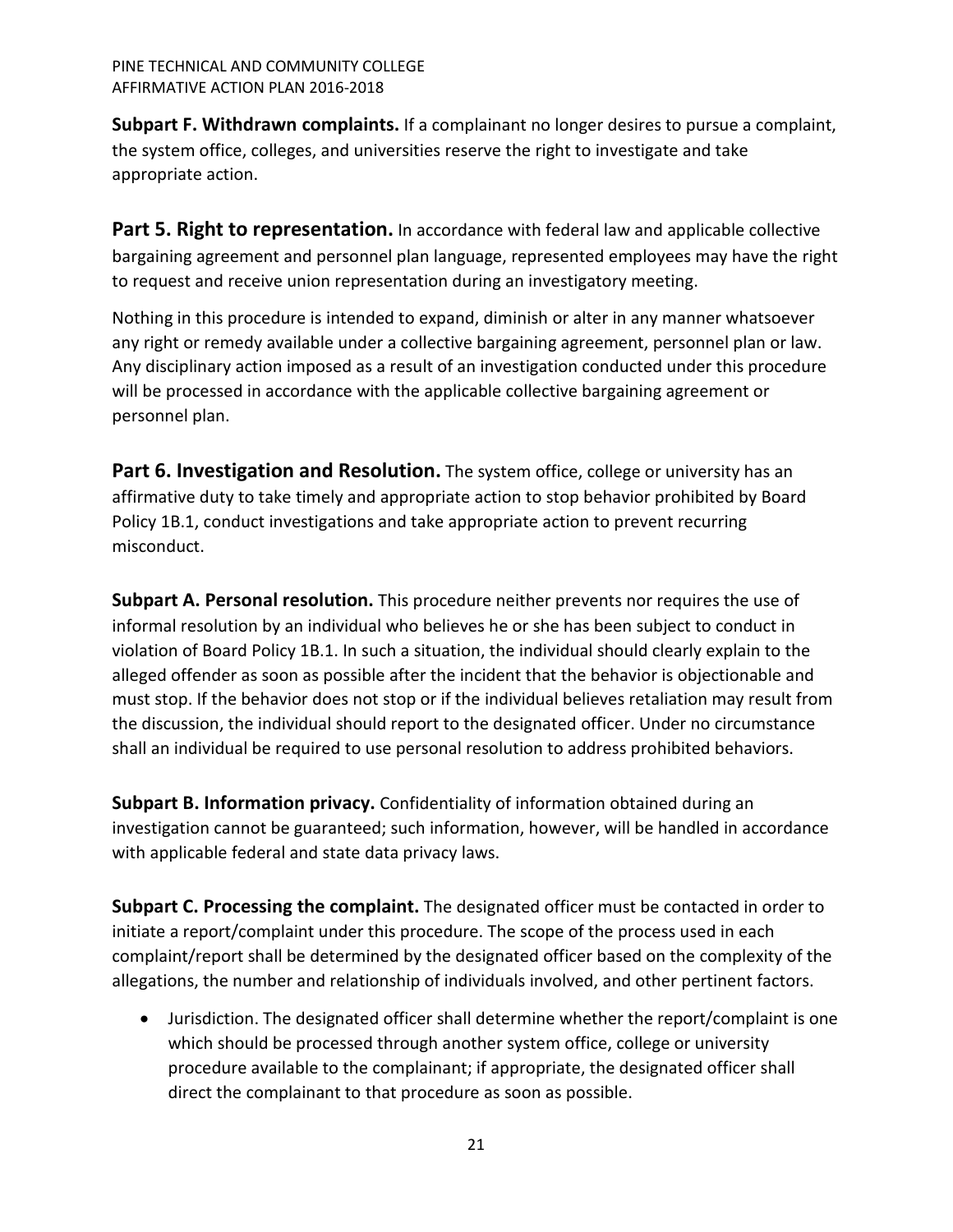<span id="page-20-0"></span>**Subpart F. Withdrawn complaints.** If a complainant no longer desires to pursue a complaint, the system office, colleges, and universities reserve the right to investigate and take appropriate action.

<span id="page-20-1"></span>Part 5. Right to representation. In accordance with federal law and applicable collective bargaining agreement and personnel plan language, represented employees may have the right to request and receive union representation during an investigatory meeting.

Nothing in this procedure is intended to expand, diminish or alter in any manner whatsoever any right or remedy available under a collective bargaining agreement, personnel plan or law. Any disciplinary action imposed as a result of an investigation conducted under this procedure will be processed in accordance with the applicable collective bargaining agreement or personnel plan.

<span id="page-20-2"></span>**Part 6. Investigation and Resolution.** The system office, college or university has an affirmative duty to take timely and appropriate action to stop behavior prohibited by Board Policy 1B.1, conduct investigations and take appropriate action to prevent recurring misconduct.

<span id="page-20-3"></span>**Subpart A. Personal resolution.** This procedure neither prevents nor requires the use of informal resolution by an individual who believes he or she has been subject to conduct in violation of Board Policy 1B.1. In such a situation, the individual should clearly explain to the alleged offender as soon as possible after the incident that the behavior is objectionable and must stop. If the behavior does not stop or if the individual believes retaliation may result from the discussion, the individual should report to the designated officer. Under no circumstance shall an individual be required to use personal resolution to address prohibited behaviors.

<span id="page-20-4"></span>**Subpart B. Information privacy.** Confidentiality of information obtained during an investigation cannot be guaranteed; such information, however, will be handled in accordance with applicable federal and state data privacy laws.

<span id="page-20-5"></span>**Subpart C. Processing the complaint.** The designated officer must be contacted in order to initiate a report/complaint under this procedure. The scope of the process used in each complaint/report shall be determined by the designated officer based on the complexity of the allegations, the number and relationship of individuals involved, and other pertinent factors.

• Jurisdiction. The designated officer shall determine whether the report/complaint is one which should be processed through another system office, college or university procedure available to the complainant; if appropriate, the designated officer shall direct the complainant to that procedure as soon as possible.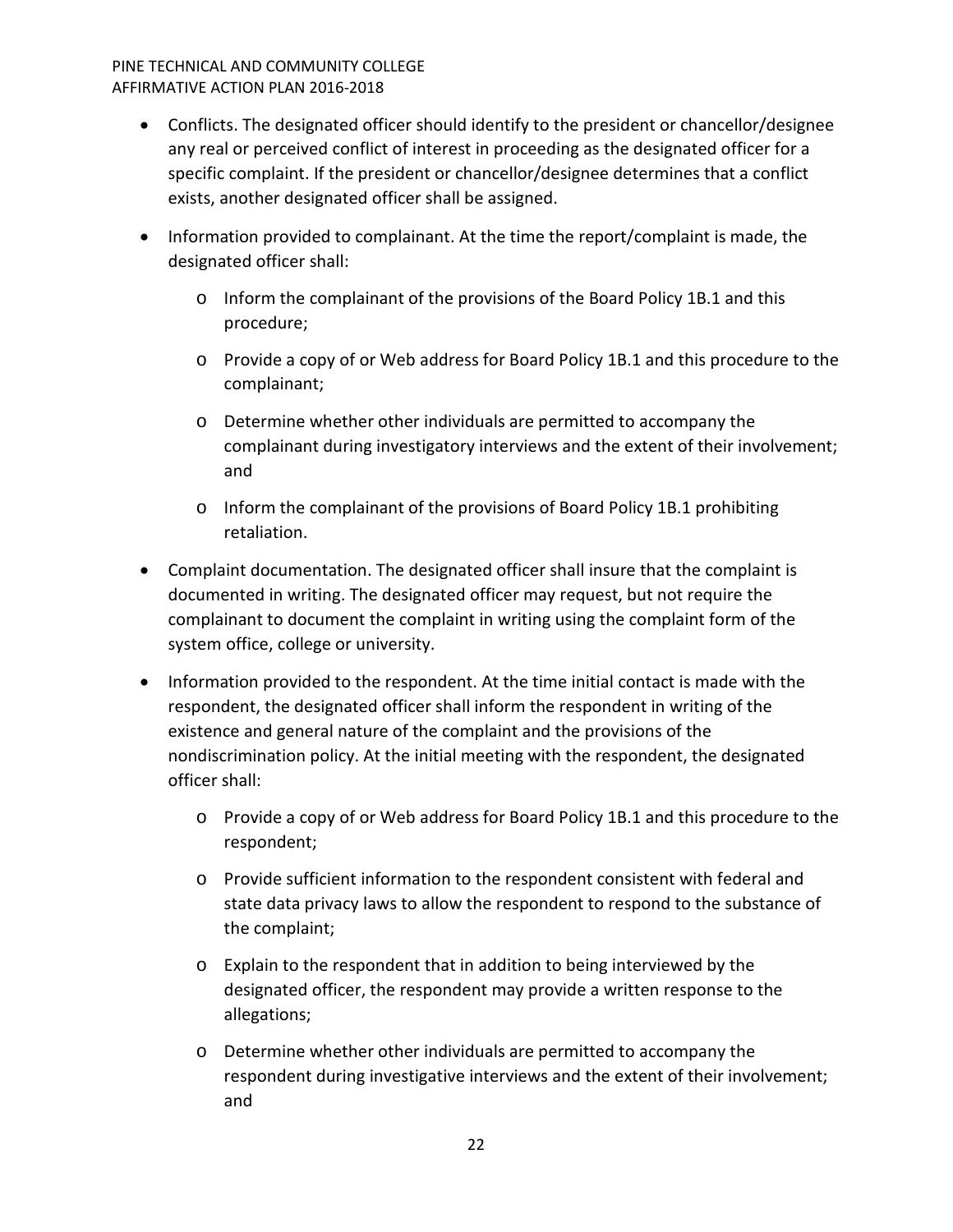- Conflicts. The designated officer should identify to the president or chancellor/designee any real or perceived conflict of interest in proceeding as the designated officer for a specific complaint. If the president or chancellor/designee determines that a conflict exists, another designated officer shall be assigned.
- Information provided to complainant. At the time the report/complaint is made, the designated officer shall:
	- o Inform the complainant of the provisions of the Board Policy 1B.1 and this procedure;
	- o Provide a copy of or Web address for Board Policy 1B.1 and this procedure to the complainant;
	- o Determine whether other individuals are permitted to accompany the complainant during investigatory interviews and the extent of their involvement; and
	- $\circ$  Inform the complainant of the provisions of Board Policy 1B.1 prohibiting retaliation.
- Complaint documentation. The designated officer shall insure that the complaint is documented in writing. The designated officer may request, but not require the complainant to document the complaint in writing using the complaint form of the system office, college or university.
- Information provided to the respondent. At the time initial contact is made with the respondent, the designated officer shall inform the respondent in writing of the existence and general nature of the complaint and the provisions of the nondiscrimination policy. At the initial meeting with the respondent, the designated officer shall:
	- o Provide a copy of or Web address for Board Policy 1B.1 and this procedure to the respondent;
	- o Provide sufficient information to the respondent consistent with federal and state data privacy laws to allow the respondent to respond to the substance of the complaint;
	- o Explain to the respondent that in addition to being interviewed by the designated officer, the respondent may provide a written response to the allegations;
	- o Determine whether other individuals are permitted to accompany the respondent during investigative interviews and the extent of their involvement; and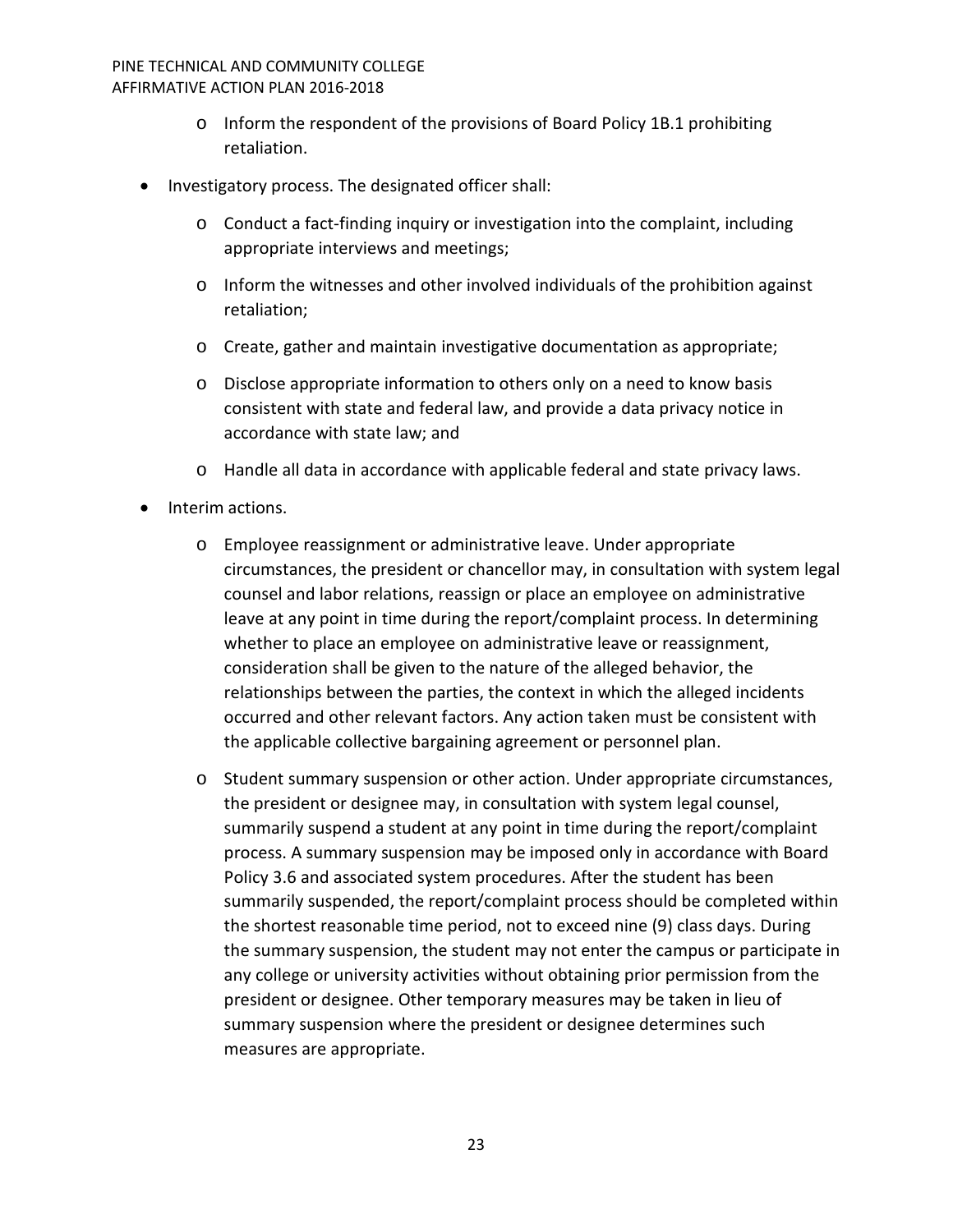- $\circ$  Inform the respondent of the provisions of Board Policy 1B.1 prohibiting retaliation.
- Investigatory process. The designated officer shall:
	- o Conduct a fact-finding inquiry or investigation into the complaint, including appropriate interviews and meetings;
	- $\circ$  Inform the witnesses and other involved individuals of the prohibition against retaliation;
	- o Create, gather and maintain investigative documentation as appropriate;
	- o Disclose appropriate information to others only on a need to know basis consistent with state and federal law, and provide a data privacy notice in accordance with state law; and
	- o Handle all data in accordance with applicable federal and state privacy laws.
- Interim actions.
	- o Employee reassignment or administrative leave. Under appropriate circumstances, the president or chancellor may, in consultation with system legal counsel and labor relations, reassign or place an employee on administrative leave at any point in time during the report/complaint process. In determining whether to place an employee on administrative leave or reassignment, consideration shall be given to the nature of the alleged behavior, the relationships between the parties, the context in which the alleged incidents occurred and other relevant factors. Any action taken must be consistent with the applicable collective bargaining agreement or personnel plan.
	- o Student summary suspension or other action. Under appropriate circumstances, the president or designee may, in consultation with system legal counsel, summarily suspend a student at any point in time during the report/complaint process. A summary suspension may be imposed only in accordance with Board Policy 3.6 and associated system procedures. After the student has been summarily suspended, the report/complaint process should be completed within the shortest reasonable time period, not to exceed nine (9) class days. During the summary suspension, the student may not enter the campus or participate in any college or university activities without obtaining prior permission from the president or designee. Other temporary measures may be taken in lieu of summary suspension where the president or designee determines such measures are appropriate.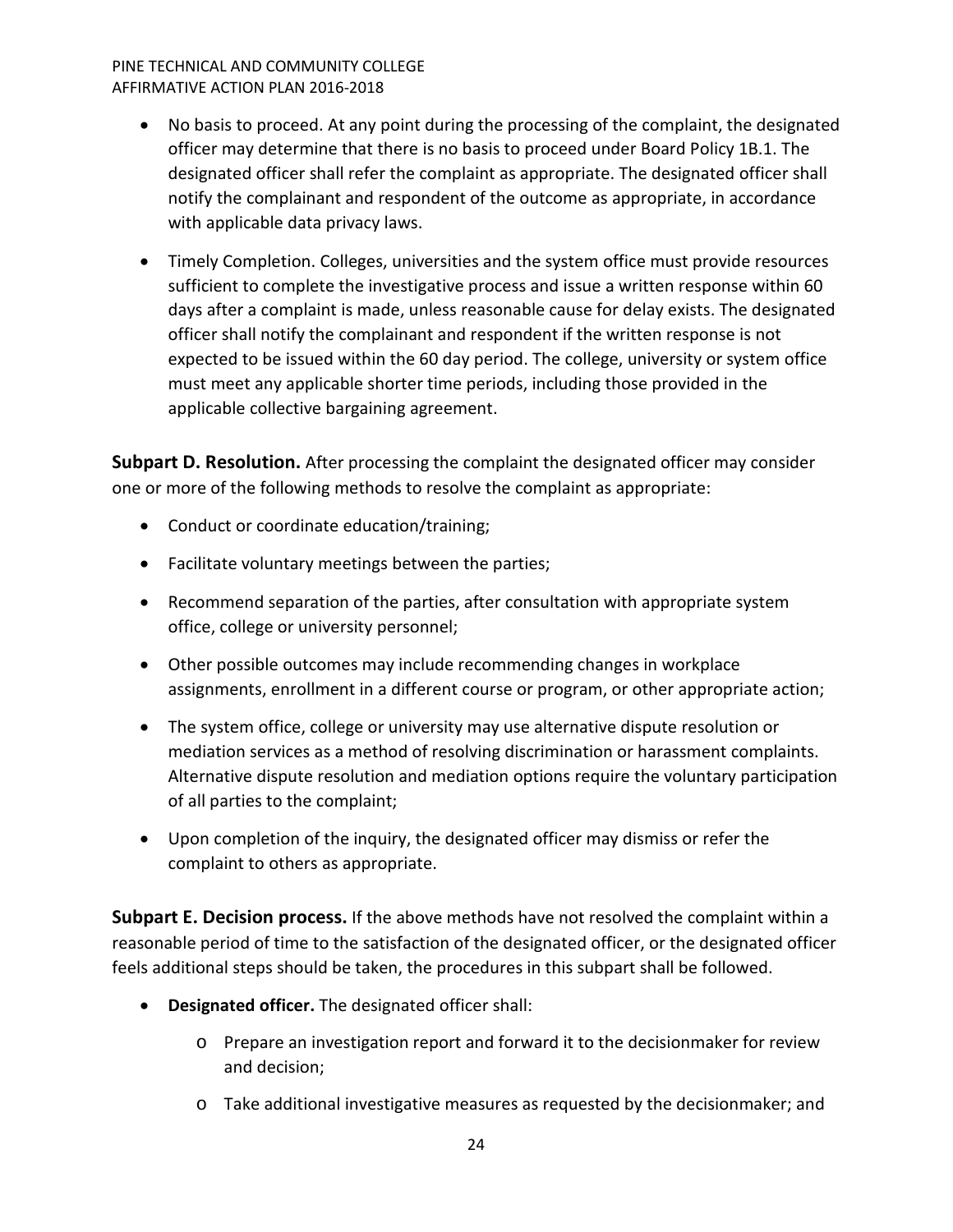- No basis to proceed. At any point during the processing of the complaint, the designated officer may determine that there is no basis to proceed under Board Policy 1B.1. The designated officer shall refer the complaint as appropriate. The designated officer shall notify the complainant and respondent of the outcome as appropriate, in accordance with applicable data privacy laws.
- Timely Completion. Colleges, universities and the system office must provide resources sufficient to complete the investigative process and issue a written response within 60 days after a complaint is made, unless reasonable cause for delay exists. The designated officer shall notify the complainant and respondent if the written response is not expected to be issued within the 60 day period. The college, university or system office must meet any applicable shorter time periods, including those provided in the applicable collective bargaining agreement.

<span id="page-23-0"></span>**Subpart D. Resolution.** After processing the complaint the designated officer may consider one or more of the following methods to resolve the complaint as appropriate:

- Conduct or coordinate education/training;
- Facilitate voluntary meetings between the parties;
- Recommend separation of the parties, after consultation with appropriate system office, college or university personnel;
- Other possible outcomes may include recommending changes in workplace assignments, enrollment in a different course or program, or other appropriate action;
- The system office, college or university may use alternative dispute resolution or mediation services as a method of resolving discrimination or harassment complaints. Alternative dispute resolution and mediation options require the voluntary participation of all parties to the complaint;
- Upon completion of the inquiry, the designated officer may dismiss or refer the complaint to others as appropriate.

<span id="page-23-1"></span>**Subpart E. Decision process.** If the above methods have not resolved the complaint within a reasonable period of time to the satisfaction of the designated officer, or the designated officer feels additional steps should be taken, the procedures in this subpart shall be followed.

- **Designated officer.** The designated officer shall:
	- o Prepare an investigation report and forward it to the decisionmaker for review and decision;
	- o Take additional investigative measures as requested by the decisionmaker; and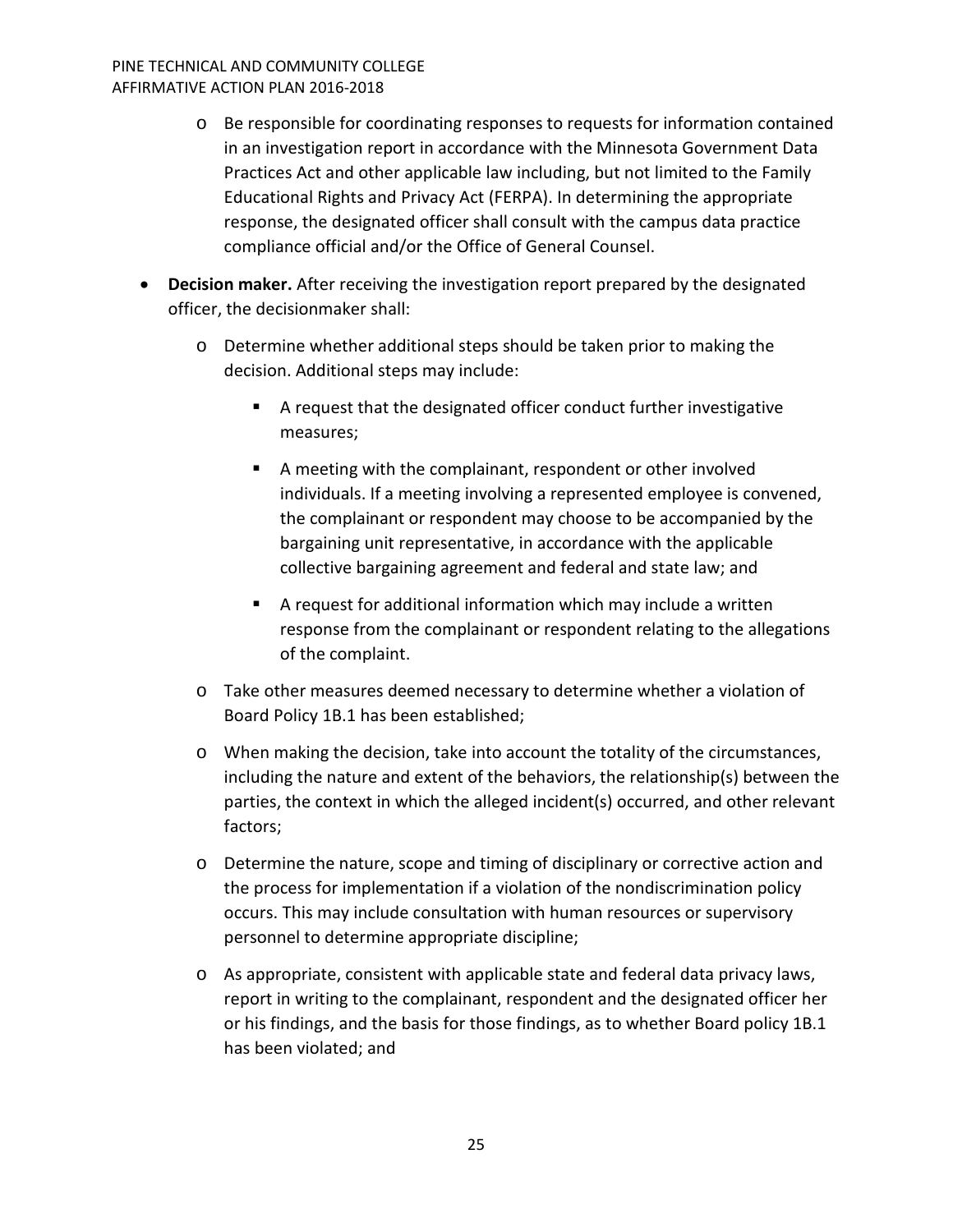- o Be responsible for coordinating responses to requests for information contained in an investigation report in accordance with the Minnesota Government Data Practices Act and other applicable law including, but not limited to the Family Educational Rights and Privacy Act (FERPA). In determining the appropriate response, the designated officer shall consult with the campus data practice compliance official and/or the Office of General Counsel.
- **Decision maker.** After receiving the investigation report prepared by the designated officer, the decisionmaker shall:
	- o Determine whether additional steps should be taken prior to making the decision. Additional steps may include:
		- A request that the designated officer conduct further investigative measures;
		- A meeting with the complainant, respondent or other involved individuals. If a meeting involving a represented employee is convened, the complainant or respondent may choose to be accompanied by the bargaining unit representative, in accordance with the applicable collective bargaining agreement and federal and state law; and
		- A request for additional information which may include a written response from the complainant or respondent relating to the allegations of the complaint.
	- o Take other measures deemed necessary to determine whether a violation of Board Policy 1B.1 has been established;
	- o When making the decision, take into account the totality of the circumstances, including the nature and extent of the behaviors, the relationship(s) between the parties, the context in which the alleged incident(s) occurred, and other relevant factors;
	- o Determine the nature, scope and timing of disciplinary or corrective action and the process for implementation if a violation of the nondiscrimination policy occurs. This may include consultation with human resources or supervisory personnel to determine appropriate discipline;
	- o As appropriate, consistent with applicable state and federal data privacy laws, report in writing to the complainant, respondent and the designated officer her or his findings, and the basis for those findings, as to whether Board policy 1B.1 has been violated; and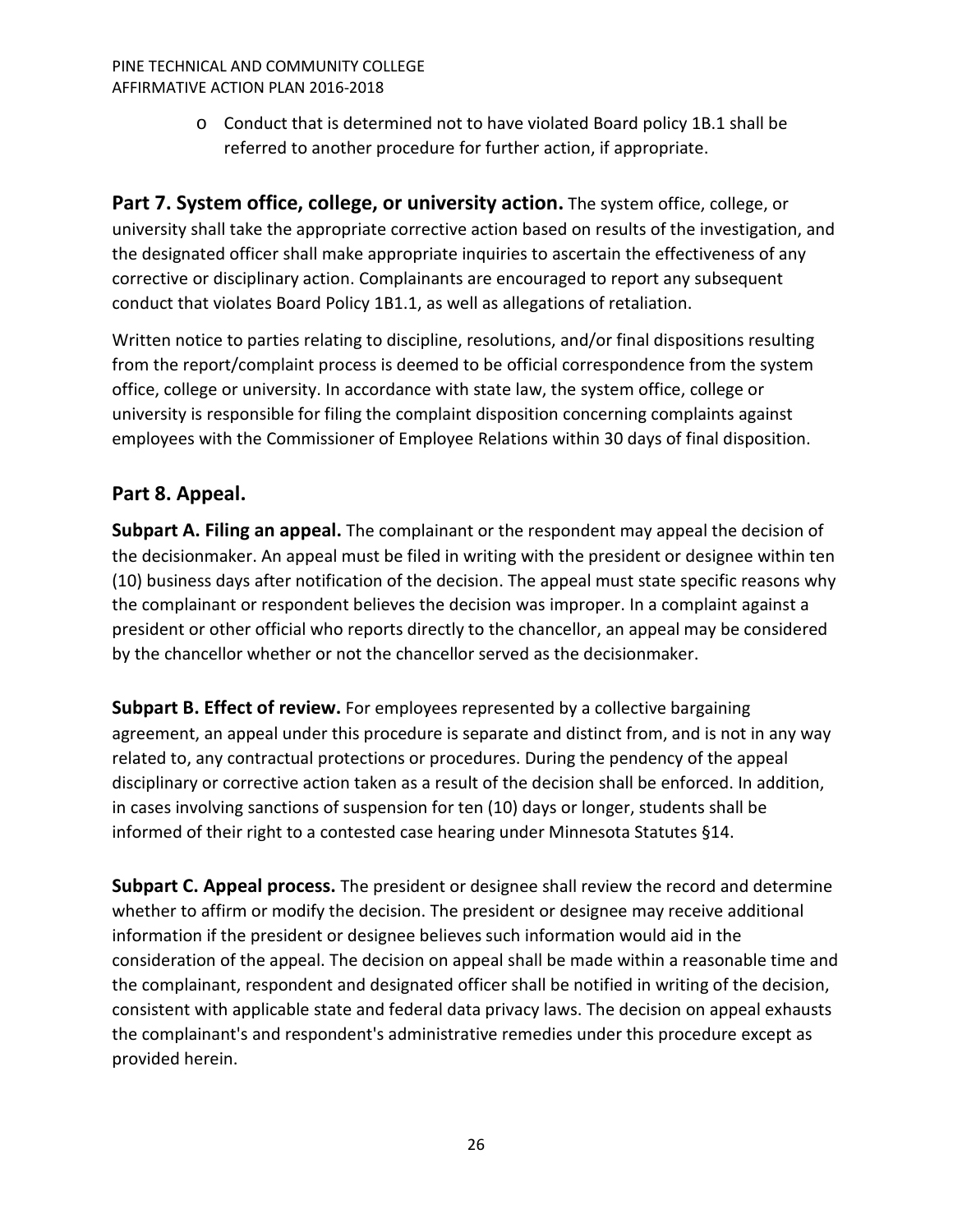o Conduct that is determined not to have violated Board policy 1B.1 shall be referred to another procedure for further action, if appropriate.

<span id="page-25-0"></span>**Part 7. System office, college, or university action.** The system office, college, or university shall take the appropriate corrective action based on results of the investigation, and the designated officer shall make appropriate inquiries to ascertain the effectiveness of any corrective or disciplinary action. Complainants are encouraged to report any subsequent conduct that violates Board Policy 1B1.1, as well as allegations of retaliation.

Written notice to parties relating to discipline, resolutions, and/or final dispositions resulting from the report/complaint process is deemed to be official correspondence from the system office, college or university. In accordance with state law, the system office, college or university is responsible for filing the complaint disposition concerning complaints against employees with the Commissioner of Employee Relations within 30 days of final disposition.

# <span id="page-25-1"></span>**Part 8. Appeal.**

<span id="page-25-2"></span>**Subpart A. Filing an appeal.** The complainant or the respondent may appeal the decision of the decisionmaker. An appeal must be filed in writing with the president or designee within ten (10) business days after notification of the decision. The appeal must state specific reasons why the complainant or respondent believes the decision was improper. In a complaint against a president or other official who reports directly to the chancellor, an appeal may be considered by the chancellor whether or not the chancellor served as the decisionmaker.

<span id="page-25-3"></span>**Subpart B. Effect of review.** For employees represented by a collective bargaining agreement, an appeal under this procedure is separate and distinct from, and is not in any way related to, any contractual protections or procedures. During the pendency of the appeal disciplinary or corrective action taken as a result of the decision shall be enforced. In addition, in cases involving sanctions of suspension for ten (10) days or longer, students shall be informed of their right to a contested case hearing under Minnesota Statutes §14.

<span id="page-25-4"></span>**Subpart C. Appeal process.** The president or designee shall review the record and determine whether to affirm or modify the decision. The president or designee may receive additional information if the president or designee believes such information would aid in the consideration of the appeal. The decision on appeal shall be made within a reasonable time and the complainant, respondent and designated officer shall be notified in writing of the decision, consistent with applicable state and federal data privacy laws. The decision on appeal exhausts the complainant's and respondent's administrative remedies under this procedure except as provided herein.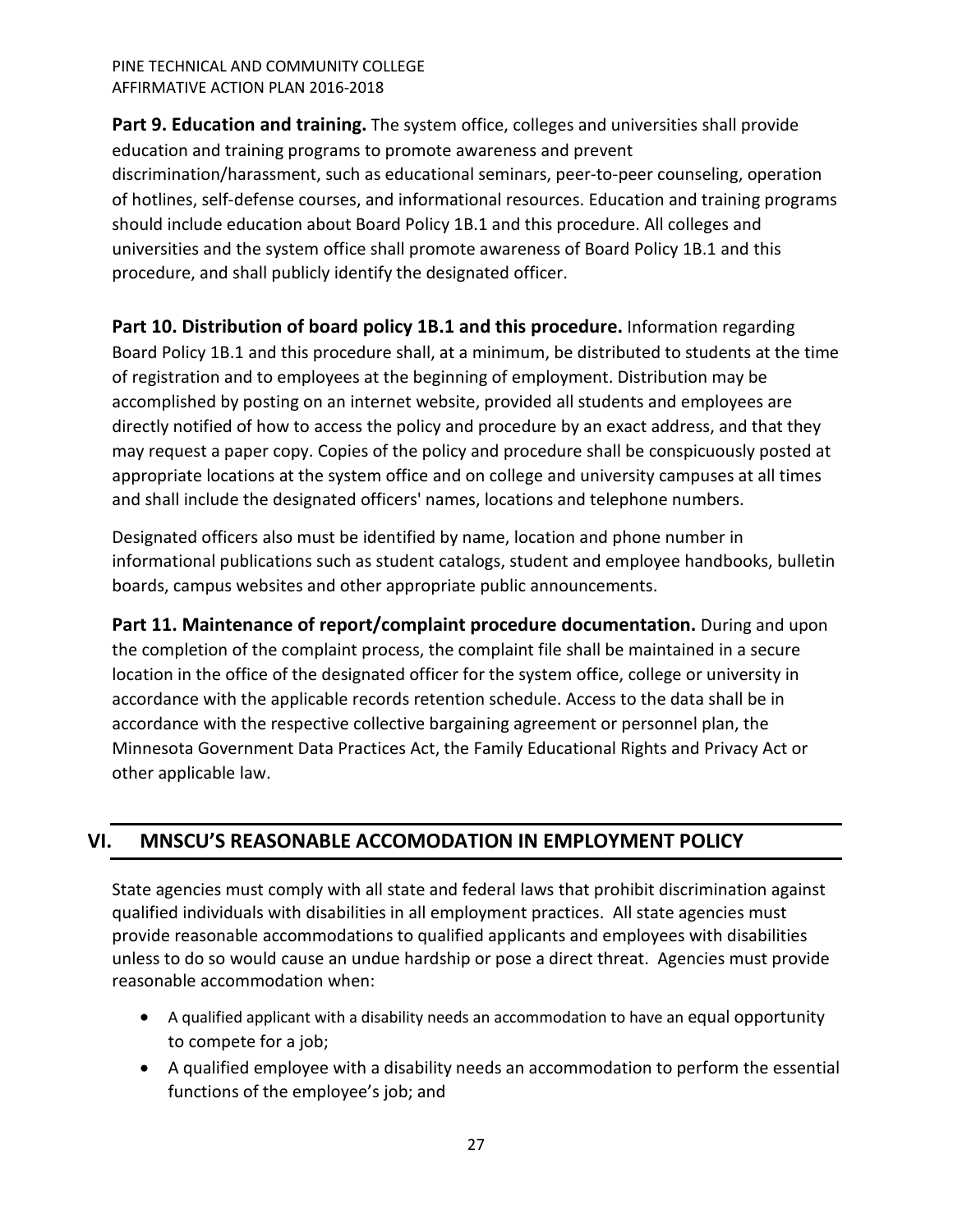<span id="page-26-0"></span>**Part 9. Education and training.** The system office, colleges and universities shall provide education and training programs to promote awareness and prevent discrimination/harassment, such as educational seminars, peer-to-peer counseling, operation of hotlines, self-defense courses, and informational resources. Education and training programs should include education about Board Policy 1B.1 and this procedure. All colleges and universities and the system office shall promote awareness of Board Policy 1B.1 and this procedure, and shall publicly identify the designated officer.

<span id="page-26-1"></span>**Part 10. Distribution of board policy 1B.1 and this procedure.** Information regarding Board Policy 1B.1 and this procedure shall, at a minimum, be distributed to students at the time of registration and to employees at the beginning of employment. Distribution may be accomplished by posting on an internet website, provided all students and employees are directly notified of how to access the policy and procedure by an exact address, and that they may request a paper copy. Copies of the policy and procedure shall be conspicuously posted at appropriate locations at the system office and on college and university campuses at all times and shall include the designated officers' names, locations and telephone numbers.

Designated officers also must be identified by name, location and phone number in informational publications such as student catalogs, student and employee handbooks, bulletin boards, campus websites and other appropriate public announcements.

<span id="page-26-2"></span>**Part 11. Maintenance of report/complaint procedure documentation.** During and upon the completion of the complaint process, the complaint file shall be maintained in a secure location in the office of the designated officer for the system office, college or university in accordance with the applicable records retention schedule. Access to the data shall be in accordance with the respective collective bargaining agreement or personnel plan, the Minnesota Government Data Practices Act, the Family Educational Rights and Privacy Act or other applicable law.

# <span id="page-26-3"></span>**VI. MNSCU'S REASONABLE ACCOMODATION IN EMPLOYMENT POLICY**

State agencies must comply with all state and federal laws that prohibit discrimination against qualified individuals with disabilities in all employment practices. All state agencies must provide reasonable accommodations to qualified applicants and employees with disabilities unless to do so would cause an undue hardship or pose a direct threat. Agencies must provide reasonable accommodation when:

- A qualified applicant with a disability needs an accommodation to have an equal opportunity to compete for a job;
- A qualified employee with a disability needs an accommodation to perform the essential functions of the employee's job; and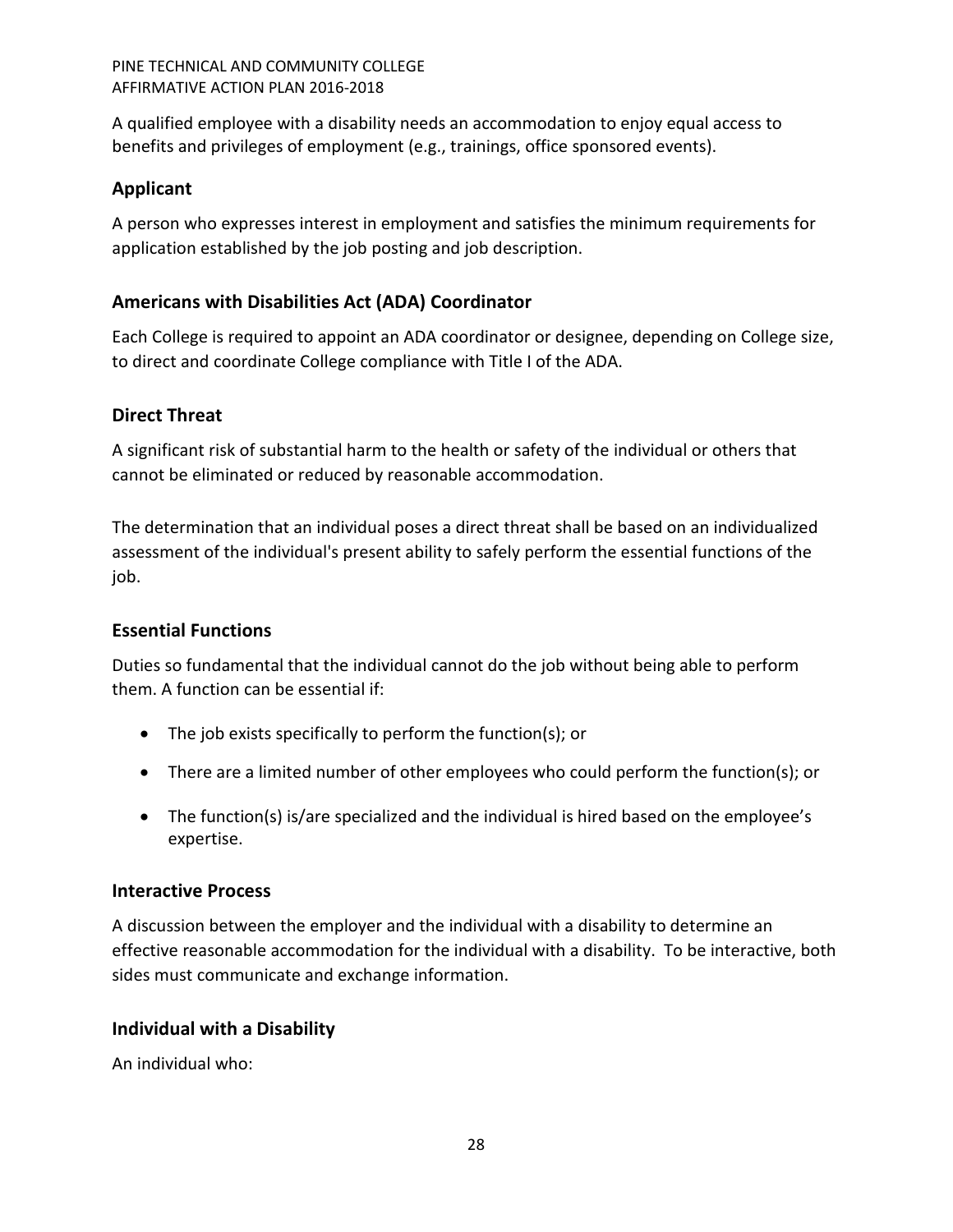A qualified employee with a disability needs an accommodation to enjoy equal access to benefits and privileges of employment (e.g., trainings, office sponsored events).

# <span id="page-27-0"></span>**Applicant**

A person who expresses interest in employment and satisfies the minimum requirements for application established by the job posting and job description.

# <span id="page-27-1"></span>**Americans with Disabilities Act (ADA) Coordinator**

Each College is required to appoint an ADA coordinator or designee, depending on College size, to direct and coordinate College compliance with Title I of the ADA.

# <span id="page-27-2"></span>**Direct Threat**

A significant risk of substantial harm to the health or safety of the individual or others that cannot be eliminated or reduced by reasonable accommodation.

The determination that an individual poses a direct threat shall be based on an individualized assessment of the individual's present ability to safely perform the essential functions of the job.

# <span id="page-27-3"></span>**Essential Functions**

Duties so fundamental that the individual cannot do the job without being able to perform them. A function can be essential if:

- The job exists specifically to perform the function(s); or
- There are a limited number of other employees who could perform the function(s); or
- The function(s) is/are specialized and the individual is hired based on the employee's expertise.

# <span id="page-27-4"></span>**Interactive Process**

A discussion between the employer and the individual with a disability to determine an effective reasonable accommodation for the individual with a disability. To be interactive, both sides must communicate and exchange information.

# <span id="page-27-5"></span>**Individual with a Disability**

An individual who: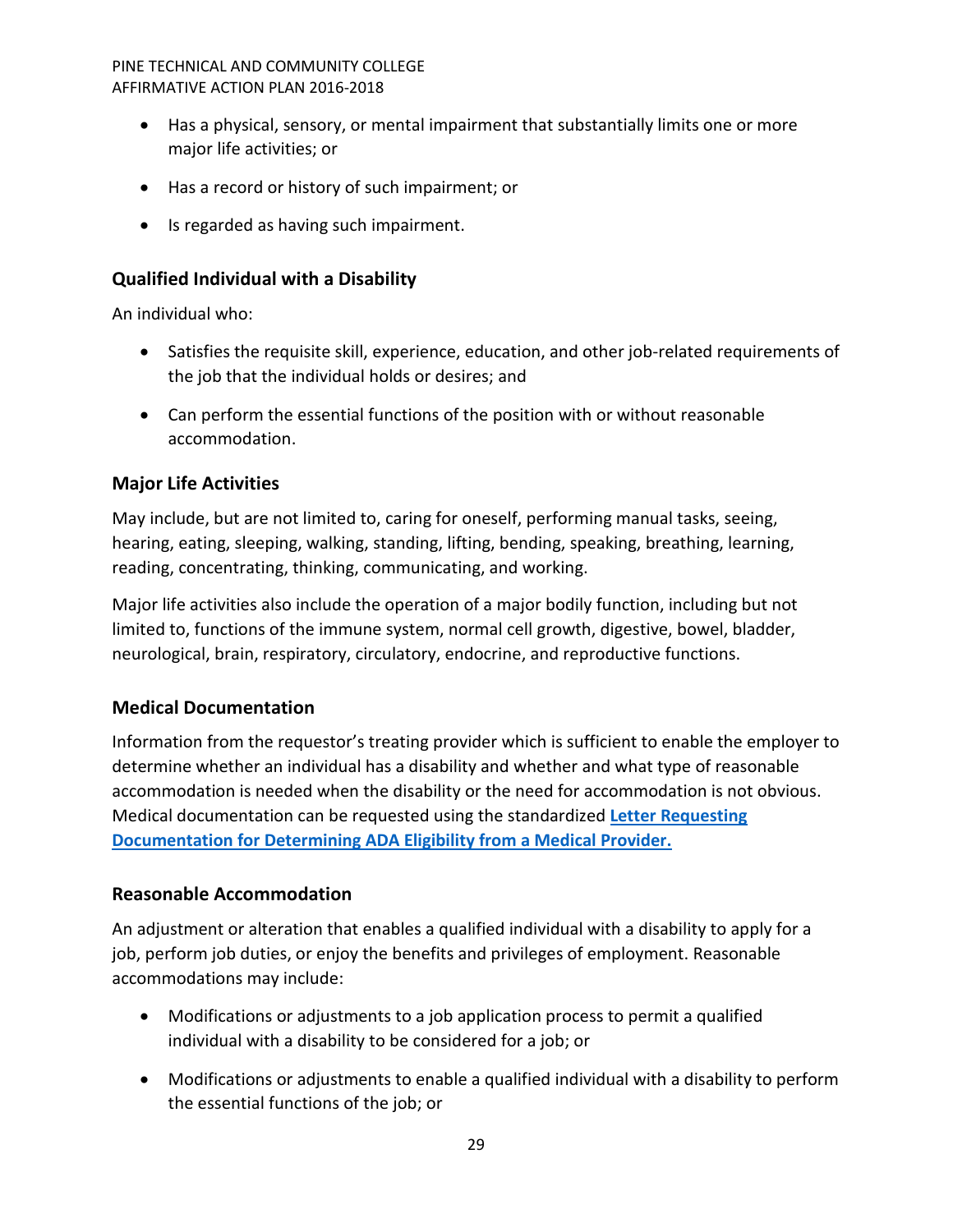- Has a physical, sensory, or mental impairment that substantially limits one or more major life activities; or
- Has a record or history of such impairment; or
- Is regarded as having such impairment.

# <span id="page-28-0"></span>**Qualified Individual with a Disability**

An individual who:

- Satisfies the requisite skill, experience, education, and other job-related requirements of the job that the individual holds or desires; and
- Can perform the essential functions of the position with or without reasonable accommodation.

# <span id="page-28-1"></span>**Major Life Activities**

May include, but are not limited to, caring for oneself, performing manual tasks, seeing, hearing, eating, sleeping, walking, standing, lifting, bending, speaking, breathing, learning, reading, concentrating, thinking, communicating, and working.

Major life activities also include the operation of a major bodily function, including but not limited to, functions of the immune system, normal cell growth, digestive, bowel, bladder, neurological, brain, respiratory, circulatory, endocrine, and reproductive functions.

# <span id="page-28-2"></span>**Medical Documentation**

Information from the requestor's treating provider which is sufficient to enable the employer to determine whether an individual has a disability and whether and what type of reasonable accommodation is needed when the disability or the need for accommodation is not obvious. Medical documentation can be requested using the standardized **[Letter Requesting](http://www.mn.gov/mmb/employee-relations/laws-policies-and-rules/statewide_hr_policies/)  [Documentation for Determining ADA Eligibility from a Medical Provider.](http://www.mn.gov/mmb/employee-relations/laws-policies-and-rules/statewide_hr_policies/)**

# <span id="page-28-3"></span>**Reasonable Accommodation**

An adjustment or alteration that enables a qualified individual with a disability to apply for a job, perform job duties, or enjoy the benefits and privileges of employment. Reasonable accommodations may include:

- Modifications or adjustments to a job application process to permit a qualified individual with a disability to be considered for a job; or
- Modifications or adjustments to enable a qualified individual with a disability to perform the essential functions of the job; or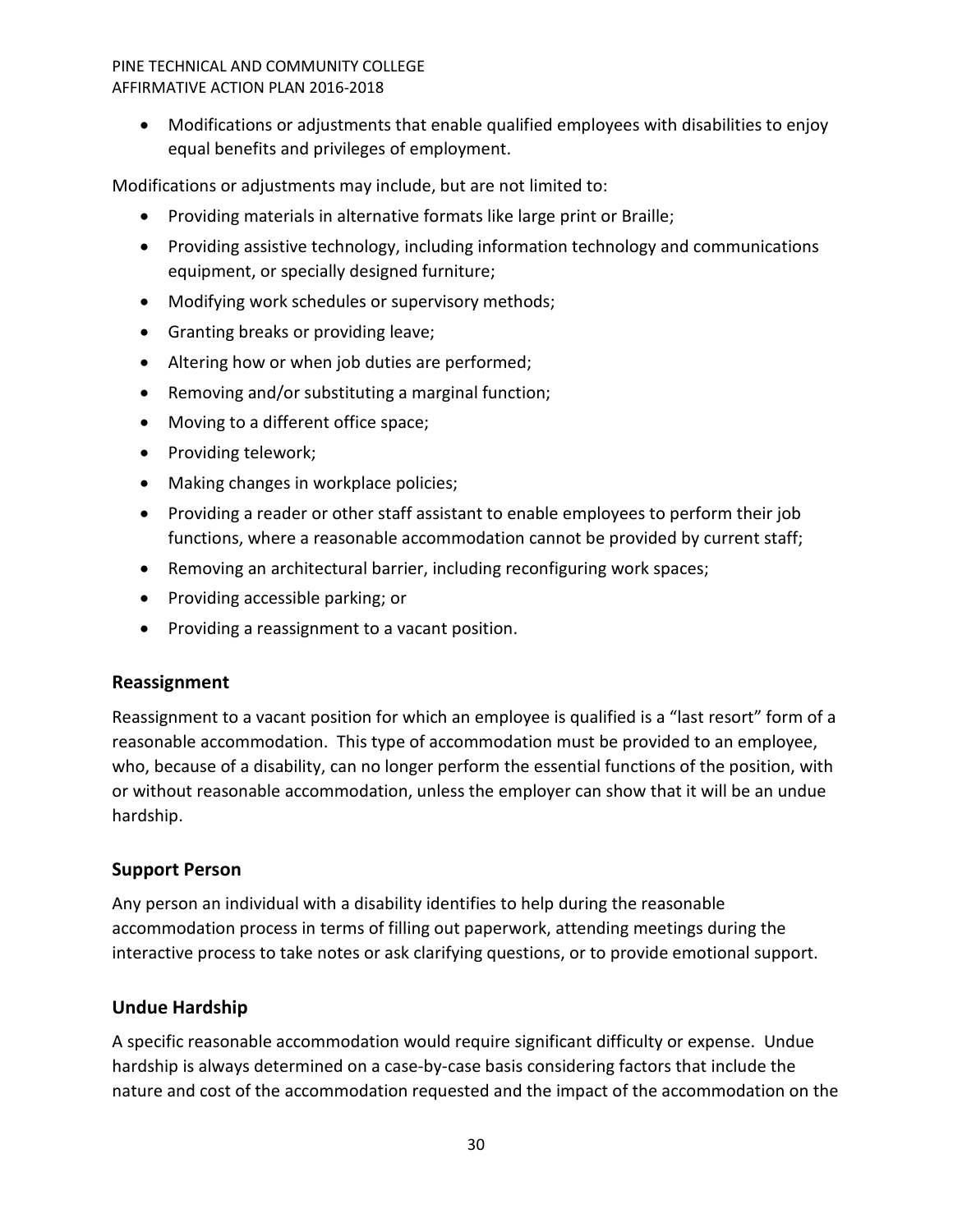• Modifications or adjustments that enable qualified employees with disabilities to enjoy equal benefits and privileges of employment.

Modifications or adjustments may include, but are not limited to:

- Providing materials in alternative formats like large print or Braille;
- Providing assistive technology, including information technology and communications equipment, or specially designed furniture;
- Modifying work schedules or supervisory methods;
- Granting breaks or providing leave;
- Altering how or when job duties are performed;
- Removing and/or substituting a marginal function;
- Moving to a different office space;
- Providing telework;
- Making changes in workplace policies;
- Providing a reader or other staff assistant to enable employees to perform their job functions, where a reasonable accommodation cannot be provided by current staff;
- Removing an architectural barrier, including reconfiguring work spaces;
- Providing accessible parking; or
- Providing a reassignment to a vacant position.

# <span id="page-29-0"></span>**Reassignment**

Reassignment to a vacant position for which an employee is qualified is a "last resort" form of a reasonable accommodation. This type of accommodation must be provided to an employee, who, because of a disability, can no longer perform the essential functions of the position, with or without reasonable accommodation, unless the employer can show that it will be an undue hardship.

# <span id="page-29-1"></span>**Support Person**

Any person an individual with a disability identifies to help during the reasonable accommodation process in terms of filling out paperwork, attending meetings during the interactive process to take notes or ask clarifying questions, or to provide emotional support.

# <span id="page-29-2"></span>**Undue Hardship**

A specific reasonable accommodation would require significant difficulty or expense. Undue hardship is always determined on a case-by-case basis considering factors that include the nature and cost of the accommodation requested and the impact of the accommodation on the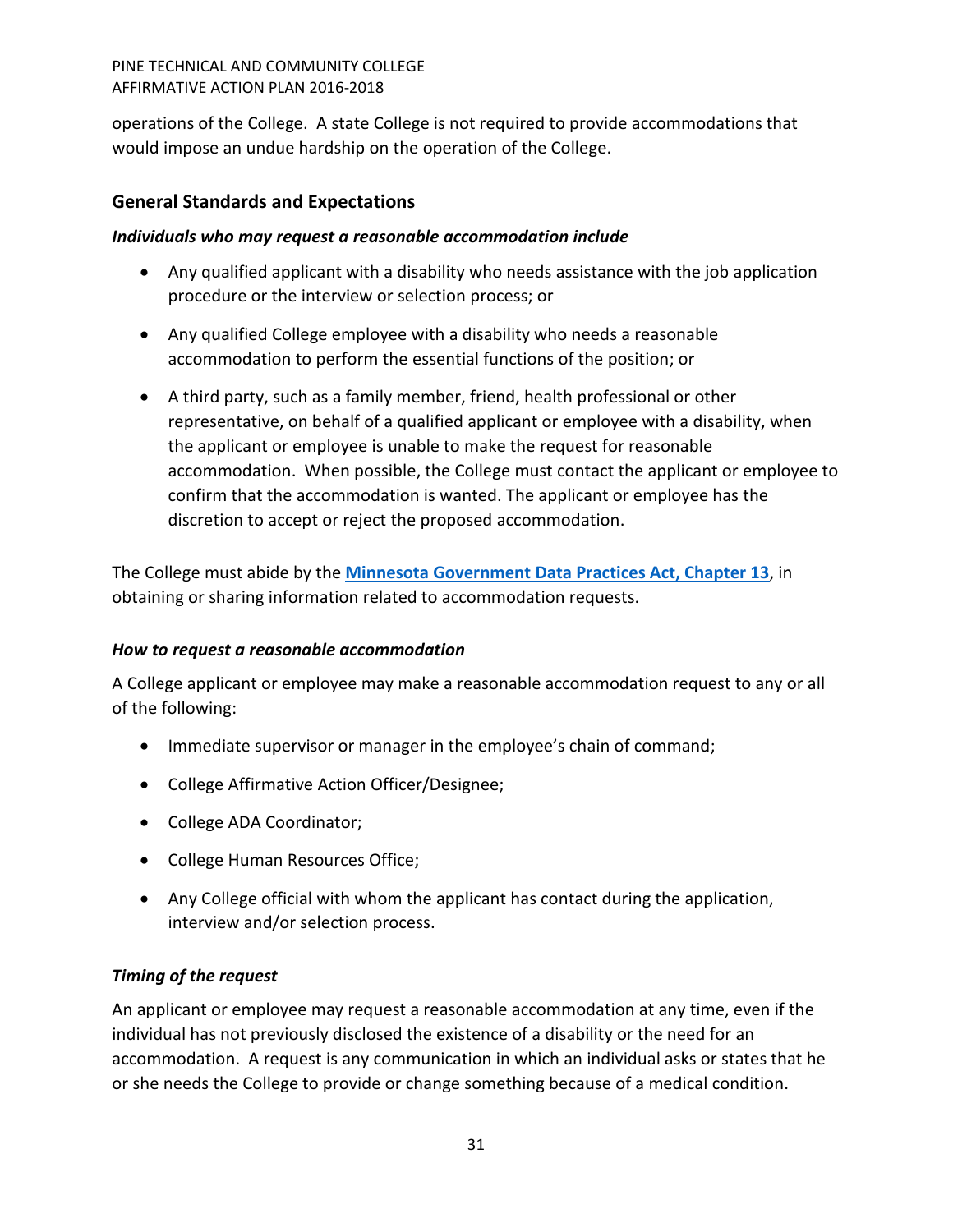operations of the College. A state College is not required to provide accommodations that would impose an undue hardship on the operation of the College.

# <span id="page-30-0"></span>**General Standards and Expectations**

# <span id="page-30-1"></span>*Individuals who may request a reasonable accommodation include*

- Any qualified applicant with a disability who needs assistance with the job application procedure or the interview or selection process; or
- Any qualified College employee with a disability who needs a reasonable accommodation to perform the essential functions of the position; or
- A third party, such as a family member, friend, health professional or other representative, on behalf of a qualified applicant or employee with a disability, when the applicant or employee is unable to make the request for reasonable accommodation. When possible, the College must contact the applicant or employee to confirm that the accommodation is wanted. The applicant or employee has the discretion to accept or reject the proposed accommodation.

The College must abide by the **[Minnesota Government Data Practices Act, Chapter 13](https://www.revisor.mn.gov/statutes/?id=13)**, in obtaining or sharing information related to accommodation requests.

# <span id="page-30-2"></span>*How to request a reasonable accommodation*

A College applicant or employee may make a reasonable accommodation request to any or all of the following:

- Immediate supervisor or manager in the employee's chain of command;
- College Affirmative Action Officer/Designee;
- College ADA Coordinator;
- College Human Resources Office;
- Any College official with whom the applicant has contact during the application, interview and/or selection process.

# <span id="page-30-3"></span>*Timing of the request*

An applicant or employee may request a reasonable accommodation at any time, even if the individual has not previously disclosed the existence of a disability or the need for an accommodation. A request is any communication in which an individual asks or states that he or she needs the College to provide or change something because of a medical condition.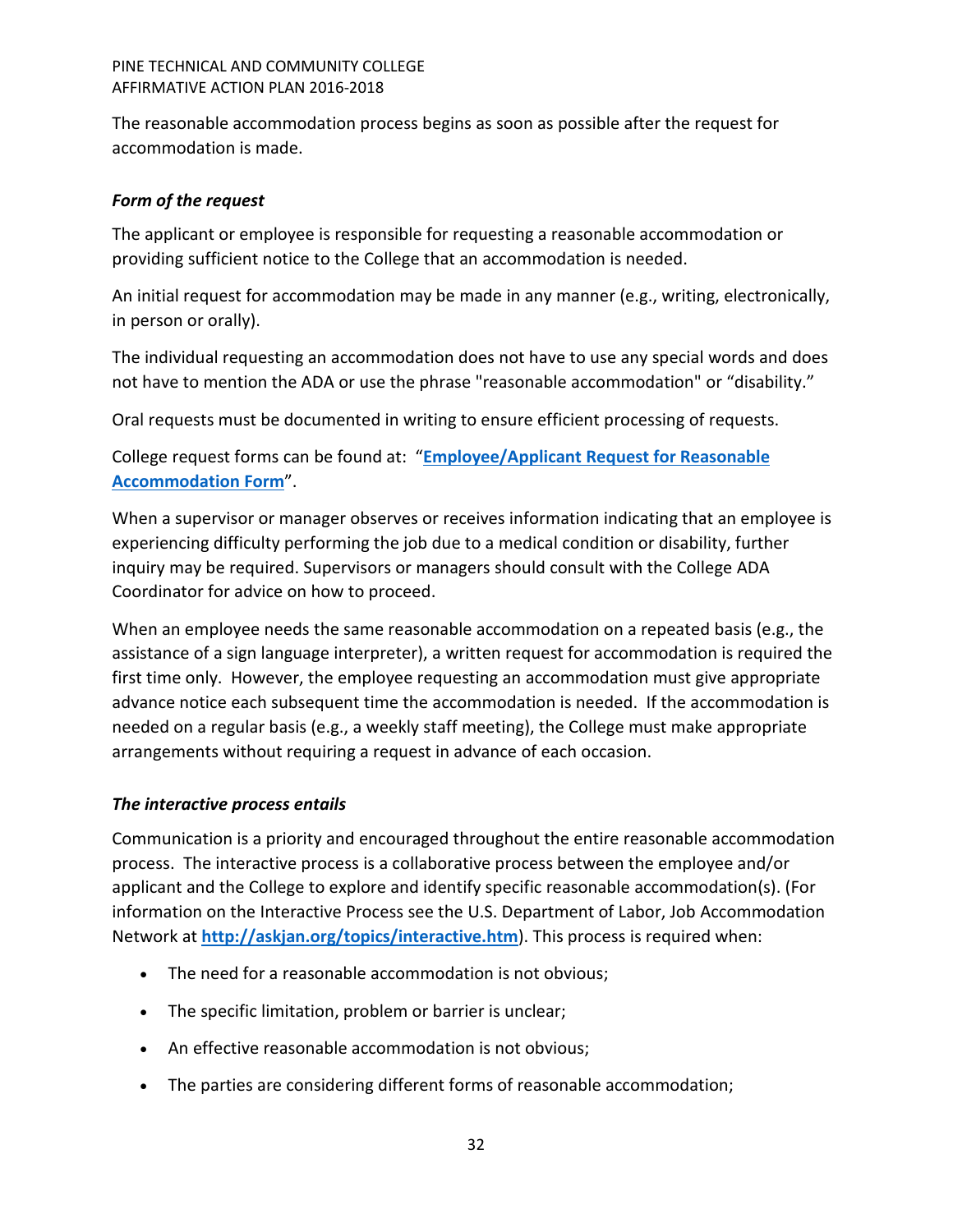The reasonable accommodation process begins as soon as possible after the request for accommodation is made.

# <span id="page-31-0"></span>*Form of the request*

The applicant or employee is responsible for requesting a reasonable accommodation or providing sufficient notice to the College that an accommodation is needed.

An initial request for accommodation may be made in any manner (e.g., writing, electronically, in person or orally).

The individual requesting an accommodation does not have to use any special words and does not have to mention the ADA or use the phrase "reasonable accommodation" or "disability."

Oral requests must be documented in writing to ensure efficient processing of requests.

College request forms can be found at: "**[Employee/Applicant Request for Reasonable](http://mn.gov/mmb/images/request-for-accomm-form.docx)  [Accommodation Form](http://mn.gov/mmb/images/request-for-accomm-form.docx)**".

When a supervisor or manager observes or receives information indicating that an employee is experiencing difficulty performing the job due to a medical condition or disability, further inquiry may be required. Supervisors or managers should consult with the College ADA Coordinator for advice on how to proceed.

When an employee needs the same reasonable accommodation on a repeated basis (e.g., the assistance of a sign language interpreter), a written request for accommodation is required the first time only. However, the employee requesting an accommodation must give appropriate advance notice each subsequent time the accommodation is needed. If the accommodation is needed on a regular basis (e.g., a weekly staff meeting), the College must make appropriate arrangements without requiring a request in advance of each occasion.

# <span id="page-31-1"></span>*The interactive process entails*

Communication is a priority and encouraged throughout the entire reasonable accommodation process. The interactive process is a collaborative process between the employee and/or applicant and the College to explore and identify specific reasonable accommodation(s). (For information on the Interactive Process see the U.S. Department of Labor, Job Accommodation Network at **<http://askjan.org/topics/interactive.htm>**). This process is required when:

- The need for a reasonable accommodation is not obvious;
- The specific limitation, problem or barrier is unclear;
- An effective reasonable accommodation is not obvious;
- The parties are considering different forms of reasonable accommodation;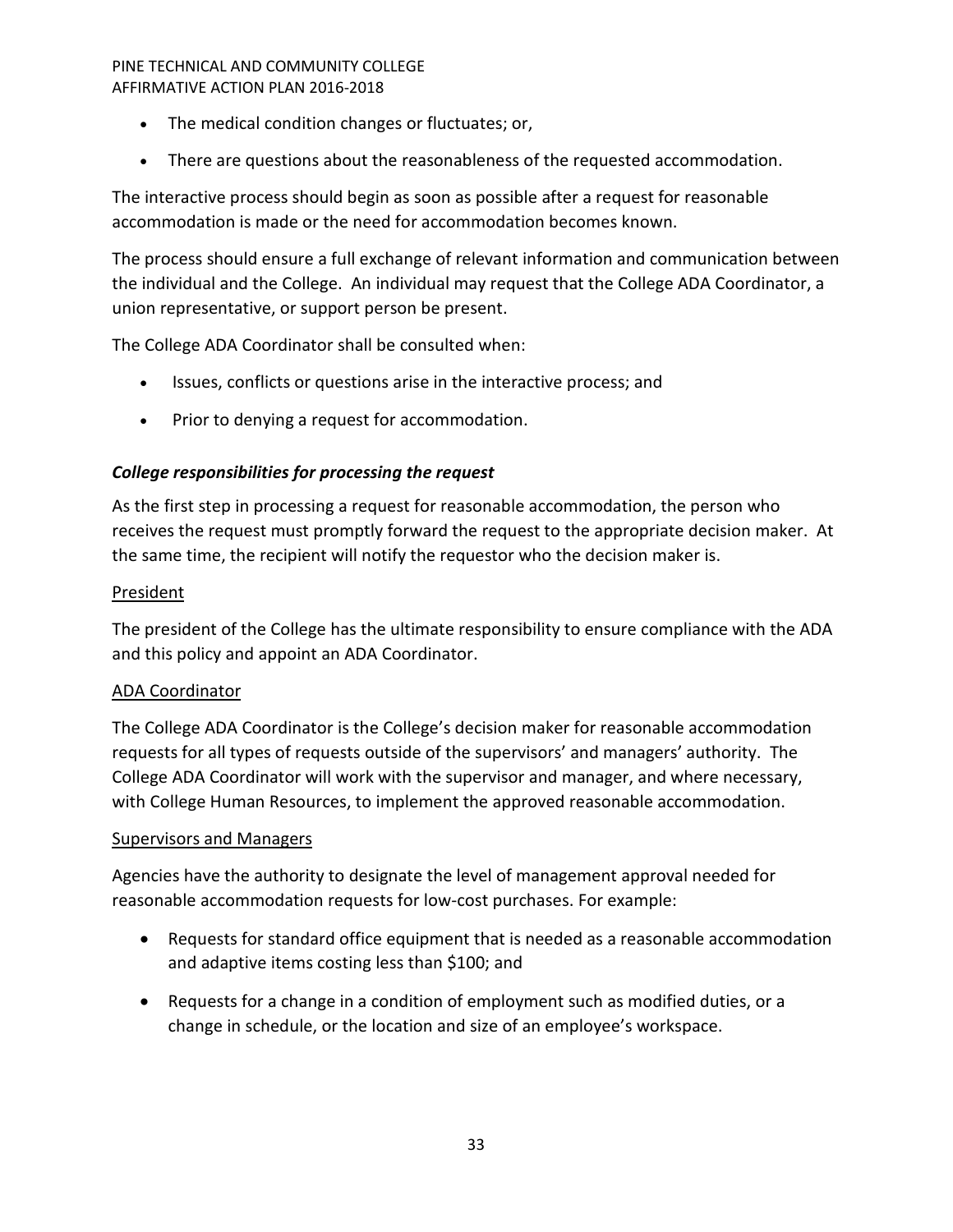- The medical condition changes or fluctuates; or,
- There are questions about the reasonableness of the requested accommodation.

The interactive process should begin as soon as possible after a request for reasonable accommodation is made or the need for accommodation becomes known.

The process should ensure a full exchange of relevant information and communication between the individual and the College. An individual may request that the College ADA Coordinator, a union representative, or support person be present.

The College ADA Coordinator shall be consulted when:

- Issues, conflicts or questions arise in the interactive process; and
- Prior to denying a request for accommodation.

# <span id="page-32-0"></span>*College responsibilities for processing the request*

As the first step in processing a request for reasonable accommodation, the person who receives the request must promptly forward the request to the appropriate decision maker. At the same time, the recipient will notify the requestor who the decision maker is.

# President

The president of the College has the ultimate responsibility to ensure compliance with the ADA and this policy and appoint an ADA Coordinator.

# ADA Coordinator

The College ADA Coordinator is the College's decision maker for reasonable accommodation requests for all types of requests outside of the supervisors' and managers' authority. The College ADA Coordinator will work with the supervisor and manager, and where necessary, with College Human Resources, to implement the approved reasonable accommodation.

# **Supervisors and Managers**

Agencies have the authority to designate the level of management approval needed for reasonable accommodation requests for low-cost purchases. For example:

- Requests for standard office equipment that is needed as a reasonable accommodation and adaptive items costing less than \$100; and
- Requests for a change in a condition of employment such as modified duties, or a change in schedule, or the location and size of an employee's workspace.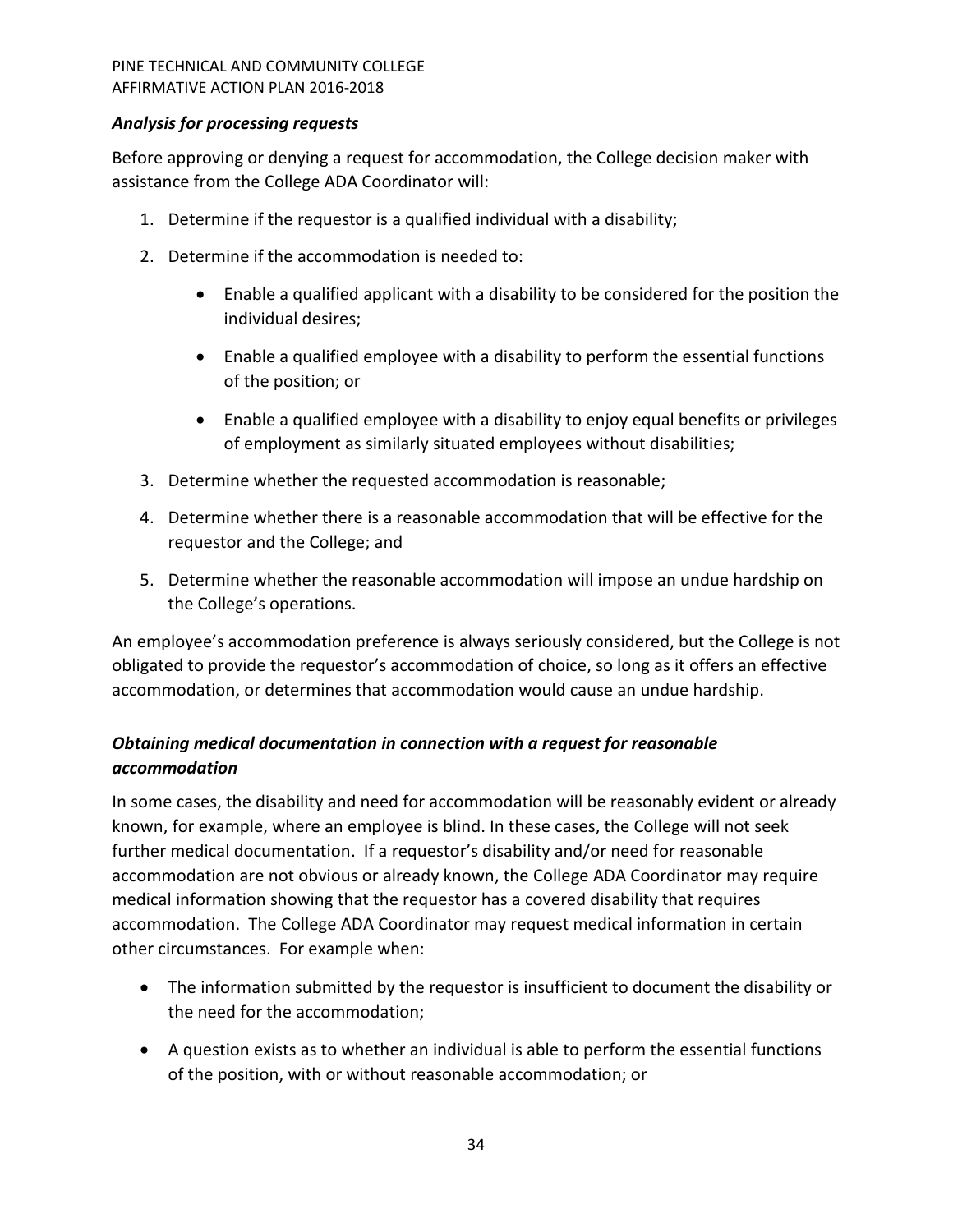# <span id="page-33-0"></span>*Analysis for processing requests*

Before approving or denying a request for accommodation, the College decision maker with assistance from the College ADA Coordinator will:

- 1. Determine if the requestor is a qualified individual with a disability;
- 2. Determine if the accommodation is needed to:
	- Enable a qualified applicant with a disability to be considered for the position the individual desires;
	- Enable a qualified employee with a disability to perform the essential functions of the position; or
	- Enable a qualified employee with a disability to enjoy equal benefits or privileges of employment as similarly situated employees without disabilities;
- 3. Determine whether the requested accommodation is reasonable;
- 4. Determine whether there is a reasonable accommodation that will be effective for the requestor and the College; and
- 5. Determine whether the reasonable accommodation will impose an undue hardship on the College's operations.

An employee's accommodation preference is always seriously considered, but the College is not obligated to provide the requestor's accommodation of choice, so long as it offers an effective accommodation, or determines that accommodation would cause an undue hardship.

# <span id="page-33-1"></span>*Obtaining medical documentation in connection with a request for reasonable accommodation*

In some cases, the disability and need for accommodation will be reasonably evident or already known, for example, where an employee is blind. In these cases, the College will not seek further medical documentation. If a requestor's disability and/or need for reasonable accommodation are not obvious or already known, the College ADA Coordinator may require medical information showing that the requestor has a covered disability that requires accommodation. The College ADA Coordinator may request medical information in certain other circumstances. For example when:

- The information submitted by the requestor is insufficient to document the disability or the need for the accommodation;
- A question exists as to whether an individual is able to perform the essential functions of the position, with or without reasonable accommodation; or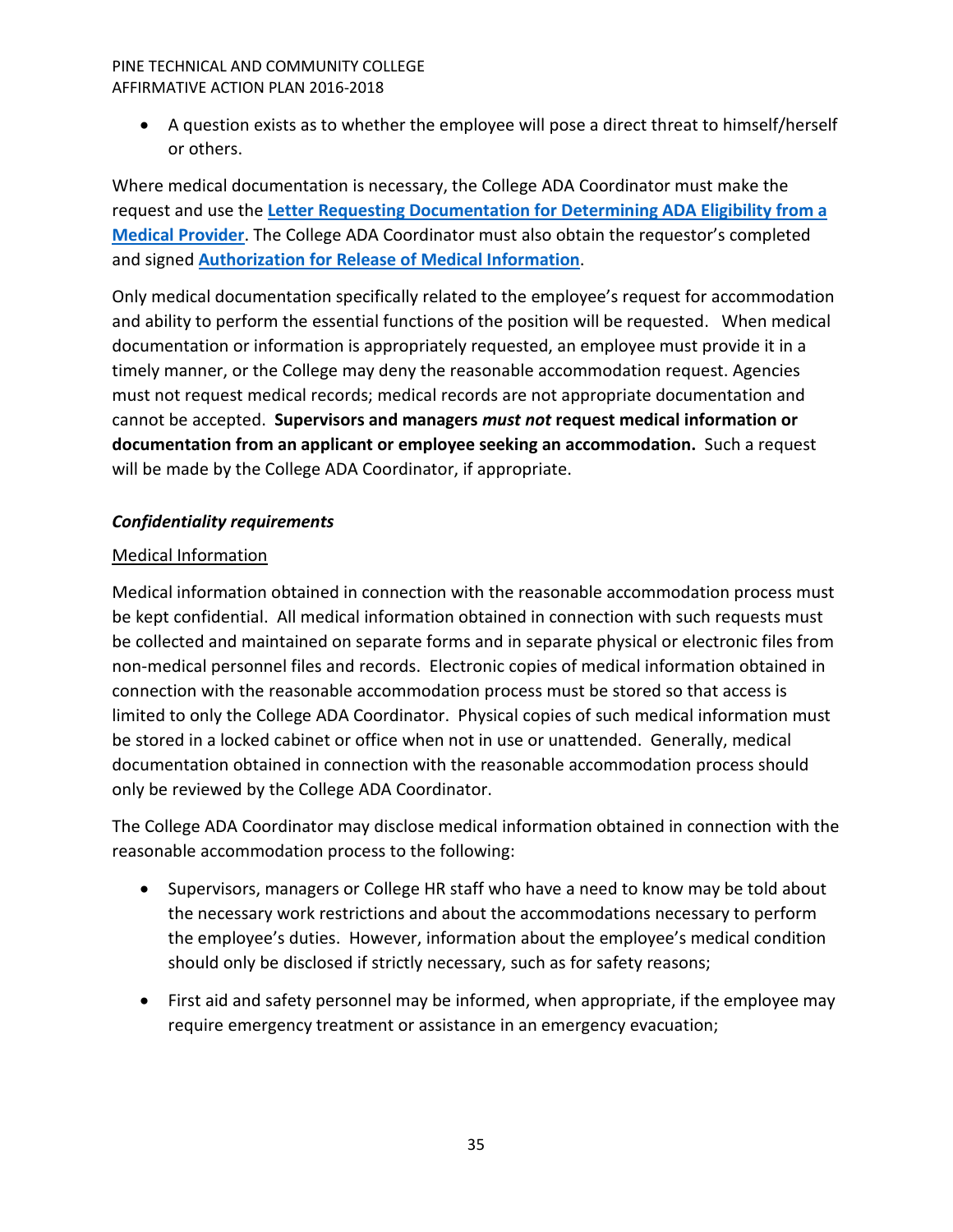• A question exists as to whether the employee will pose a direct threat to himself/herself or others.

Where medical documentation is necessary, the College ADA Coordinator must make the request and use the **[Letter Requesting Documentation for Determining ADA Eligibility from a](http://mn.gov/mmb/images/letter-to-med-provider.docx)  [Medical Provider](http://mn.gov/mmb/images/letter-to-med-provider.docx)**. The College ADA Coordinator must also obtain the requestor's completed and signed **[Authorization for Release of Medical Information](http://mn.gov/mmb/images/ada-auth-release-form.docx)**.

Only medical documentation specifically related to the employee's request for accommodation and ability to perform the essential functions of the position will be requested. When medical documentation or information is appropriately requested, an employee must provide it in a timely manner, or the College may deny the reasonable accommodation request. Agencies must not request medical records; medical records are not appropriate documentation and cannot be accepted. **Supervisors and managers** *must not* **request medical information or documentation from an applicant or employee seeking an accommodation.** Such a request will be made by the College ADA Coordinator, if appropriate.

# <span id="page-34-0"></span>*Confidentiality requirements*

# Medical Information

Medical information obtained in connection with the reasonable accommodation process must be kept confidential. All medical information obtained in connection with such requests must be collected and maintained on separate forms and in separate physical or electronic files from non-medical personnel files and records. Electronic copies of medical information obtained in connection with the reasonable accommodation process must be stored so that access is limited to only the College ADA Coordinator. Physical copies of such medical information must be stored in a locked cabinet or office when not in use or unattended. Generally, medical documentation obtained in connection with the reasonable accommodation process should only be reviewed by the College ADA Coordinator.

The College ADA Coordinator may disclose medical information obtained in connection with the reasonable accommodation process to the following:

- Supervisors, managers or College HR staff who have a need to know may be told about the necessary work restrictions and about the accommodations necessary to perform the employee's duties. However, information about the employee's medical condition should only be disclosed if strictly necessary, such as for safety reasons;
- First aid and safety personnel may be informed, when appropriate, if the employee may require emergency treatment or assistance in an emergency evacuation;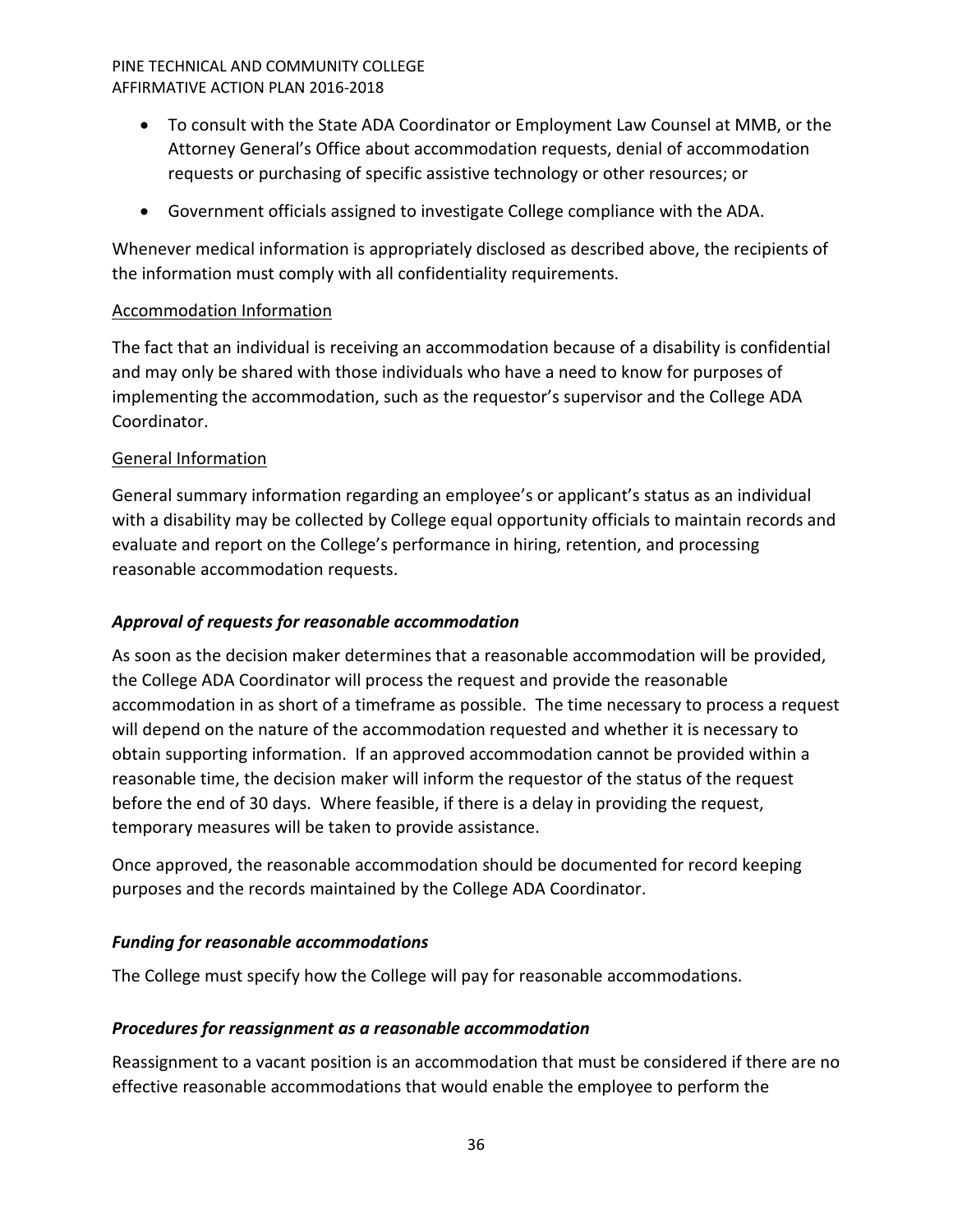- To consult with the State ADA Coordinator or Employment Law Counsel at MMB, or the Attorney General's Office about accommodation requests, denial of accommodation requests or purchasing of specific assistive technology or other resources; or
- Government officials assigned to investigate College compliance with the ADA.

Whenever medical information is appropriately disclosed as described above, the recipients of the information must comply with all confidentiality requirements.

# Accommodation Information

The fact that an individual is receiving an accommodation because of a disability is confidential and may only be shared with those individuals who have a need to know for purposes of implementing the accommodation, such as the requestor's supervisor and the College ADA Coordinator.

# General Information

General summary information regarding an employee's or applicant's status as an individual with a disability may be collected by College equal opportunity officials to maintain records and evaluate and report on the College's performance in hiring, retention, and processing reasonable accommodation requests.

# <span id="page-35-0"></span>*Approval of requests for reasonable accommodation*

As soon as the decision maker determines that a reasonable accommodation will be provided, the College ADA Coordinator will process the request and provide the reasonable accommodation in as short of a timeframe as possible. The time necessary to process a request will depend on the nature of the accommodation requested and whether it is necessary to obtain supporting information. If an approved accommodation cannot be provided within a reasonable time, the decision maker will inform the requestor of the status of the request before the end of 30 days. Where feasible, if there is a delay in providing the request, temporary measures will be taken to provide assistance.

Once approved, the reasonable accommodation should be documented for record keeping purposes and the records maintained by the College ADA Coordinator.

# <span id="page-35-1"></span>*Funding for reasonable accommodations*

The College must specify how the College will pay for reasonable accommodations.

# <span id="page-35-2"></span>*Procedures for reassignment as a reasonable accommodation*

Reassignment to a vacant position is an accommodation that must be considered if there are no effective reasonable accommodations that would enable the employee to perform the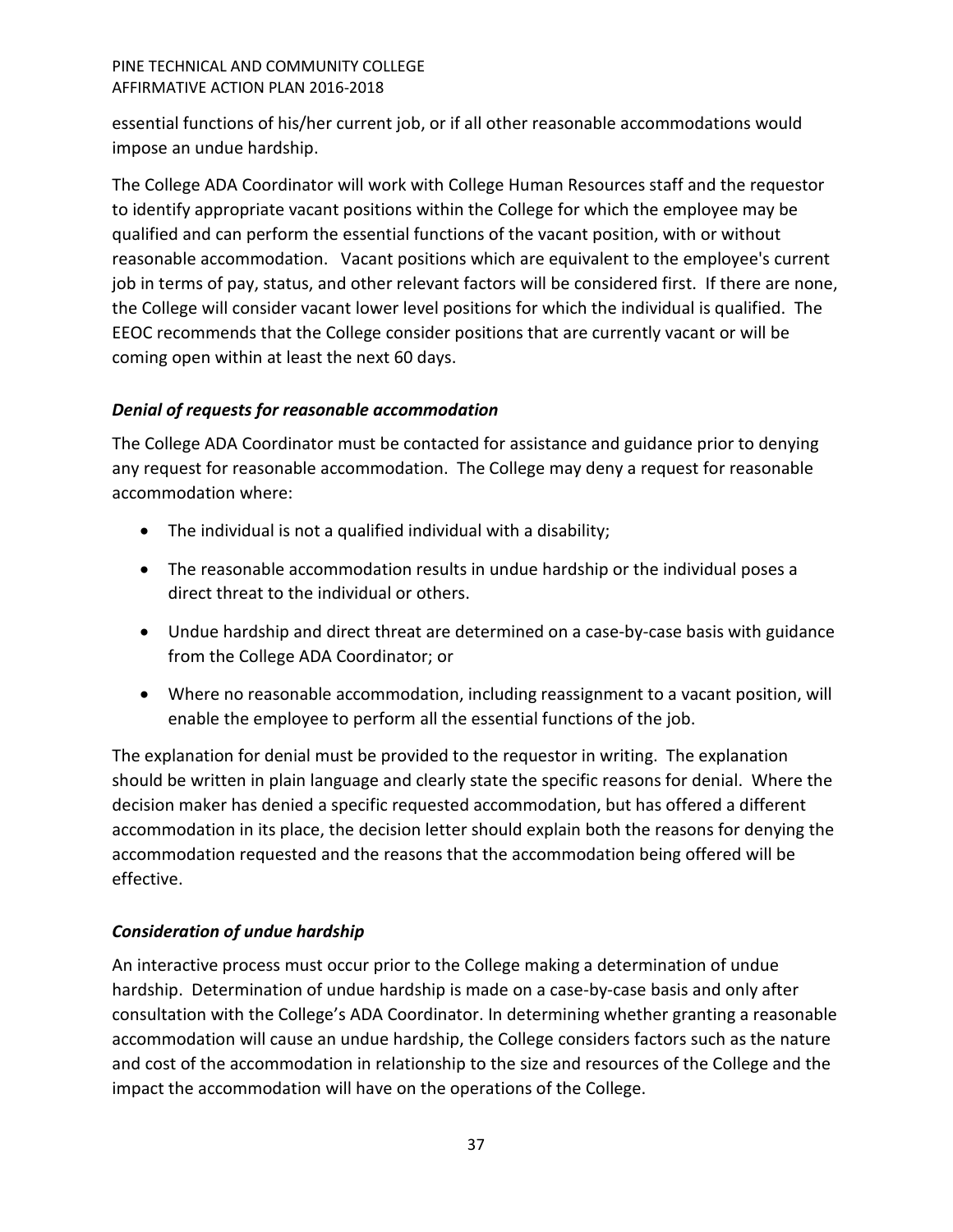essential functions of his/her current job, or if all other reasonable accommodations would impose an undue hardship.

The College ADA Coordinator will work with College Human Resources staff and the requestor to identify appropriate vacant positions within the College for which the employee may be qualified and can perform the essential functions of the vacant position, with or without reasonable accommodation. Vacant positions which are equivalent to the employee's current job in terms of pay, status, and other relevant factors will be considered first. If there are none, the College will consider vacant lower level positions for which the individual is qualified. The EEOC recommends that the College consider positions that are currently vacant or will be coming open within at least the next 60 days.

# <span id="page-36-0"></span>*Denial of requests for reasonable accommodation*

The College ADA Coordinator must be contacted for assistance and guidance prior to denying any request for reasonable accommodation. The College may deny a request for reasonable accommodation where:

- The individual is not a qualified individual with a disability;
- The reasonable accommodation results in undue hardship or the individual poses a direct threat to the individual or others.
- Undue hardship and direct threat are determined on a case-by-case basis with guidance from the College ADA Coordinator; or
- Where no reasonable accommodation, including reassignment to a vacant position, will enable the employee to perform all the essential functions of the job.

The explanation for denial must be provided to the requestor in writing. The explanation should be written in plain language and clearly state the specific reasons for denial. Where the decision maker has denied a specific requested accommodation, but has offered a different accommodation in its place, the decision letter should explain both the reasons for denying the accommodation requested and the reasons that the accommodation being offered will be effective.

# <span id="page-36-1"></span>*Consideration of undue hardship*

An interactive process must occur prior to the College making a determination of undue hardship. Determination of undue hardship is made on a case-by-case basis and only after consultation with the College's ADA Coordinator. In determining whether granting a reasonable accommodation will cause an undue hardship, the College considers factors such as the nature and cost of the accommodation in relationship to the size and resources of the College and the impact the accommodation will have on the operations of the College.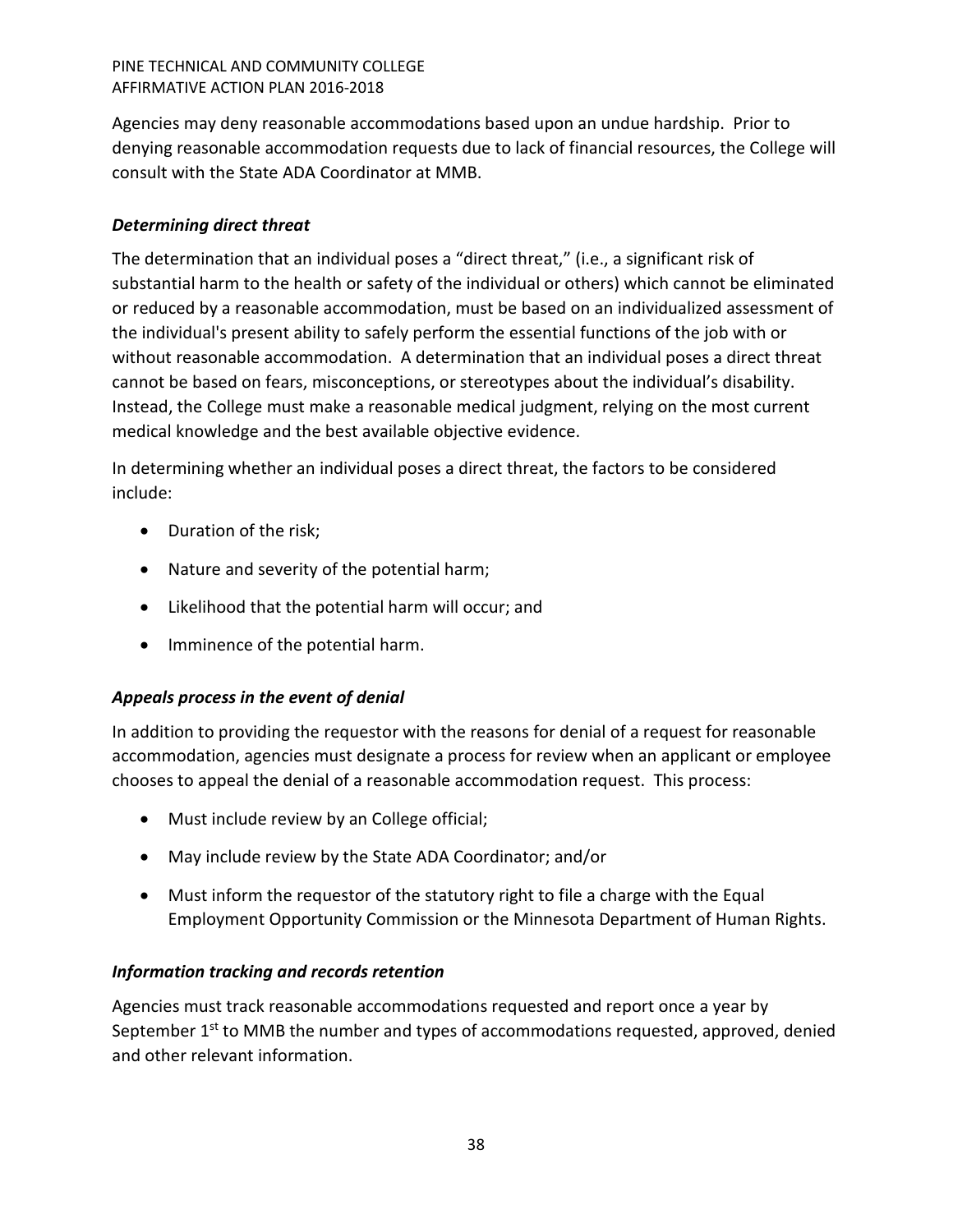Agencies may deny reasonable accommodations based upon an undue hardship. Prior to denying reasonable accommodation requests due to lack of financial resources, the College will consult with the State ADA Coordinator at MMB.

# <span id="page-37-0"></span>*Determining direct threat*

The determination that an individual poses a "direct threat," (i.e., a significant risk of substantial harm to the health or safety of the individual or others) which cannot be eliminated or reduced by a reasonable accommodation, must be based on an individualized assessment of the individual's present ability to safely perform the essential functions of the job with or without reasonable accommodation. A determination that an individual poses a direct threat cannot be based on fears, misconceptions, or stereotypes about the individual's disability. Instead, the College must make a reasonable medical judgment, relying on the most current medical knowledge and the best available objective evidence.

In determining whether an individual poses a direct threat, the factors to be considered include:

- Duration of the risk;
- Nature and severity of the potential harm;
- Likelihood that the potential harm will occur; and
- Imminence of the potential harm.

# <span id="page-37-1"></span>*Appeals process in the event of denial*

In addition to providing the requestor with the reasons for denial of a request for reasonable accommodation, agencies must designate a process for review when an applicant or employee chooses to appeal the denial of a reasonable accommodation request. This process:

- Must include review by an College official;
- May include review by the State ADA Coordinator; and/or
- Must inform the requestor of the statutory right to file a charge with the Equal Employment Opportunity Commission or the Minnesota Department of Human Rights.

# <span id="page-37-2"></span>*Information tracking and records retention*

Agencies must track reasonable accommodations requested and report once a year by September 1<sup>st</sup> to MMB the number and types of accommodations requested, approved, denied and other relevant information.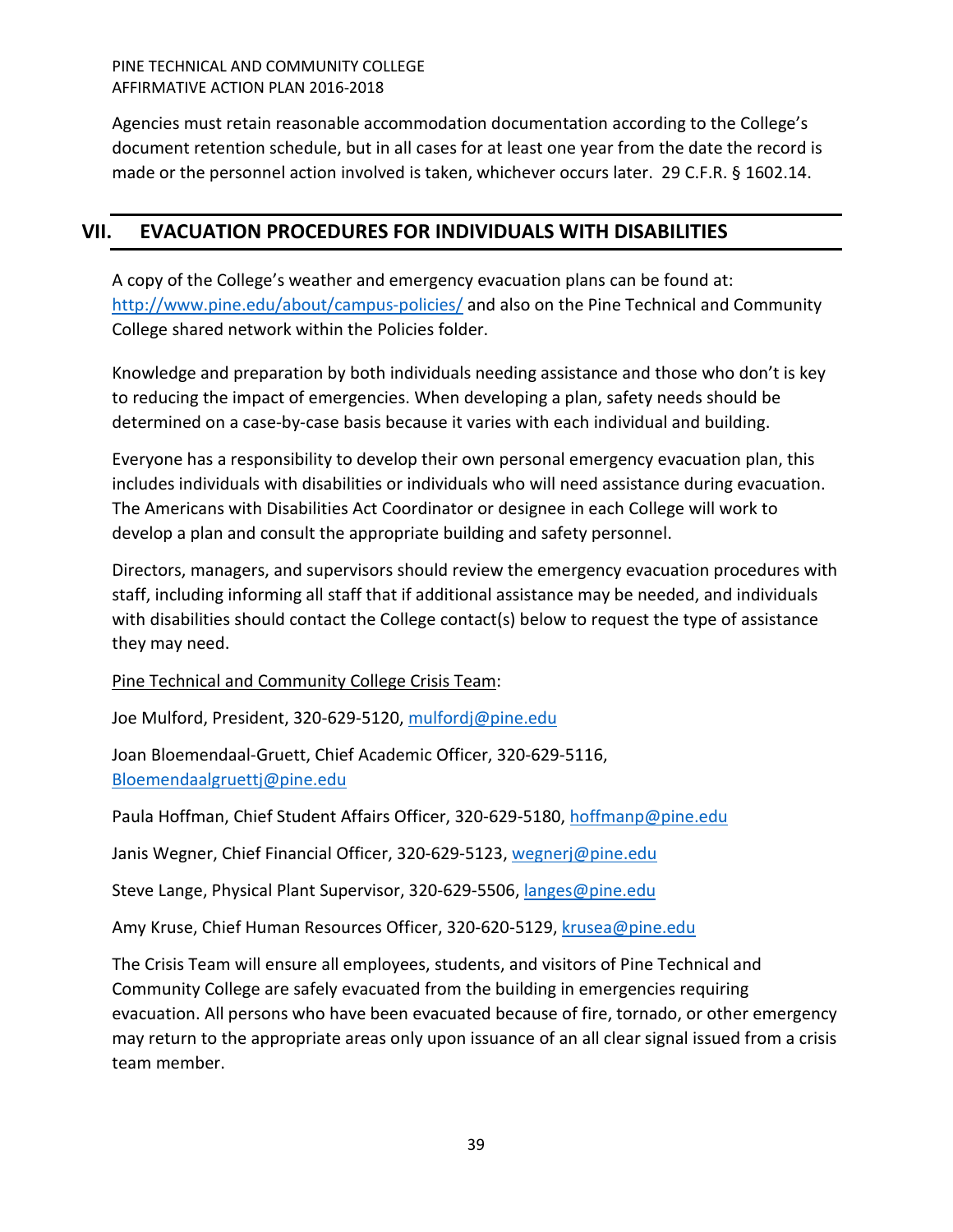Agencies must retain reasonable accommodation documentation according to the College's document retention schedule, but in all cases for at least one year from the date the record is made or the personnel action involved is taken, whichever occurs later. 29 C.F.R. § 1602.14.

# <span id="page-38-0"></span>**VII. EVACUATION PROCEDURES FOR INDIVIDUALS WITH DISABILITIES**

A copy of the College's weather and emergency evacuation plans can be found at: <http://www.pine.edu/about/campus-policies/> and also on the Pine Technical and Community College shared network within the Policies folder.

Knowledge and preparation by both individuals needing assistance and those who don't is key to reducing the impact of emergencies. When developing a plan, safety needs should be determined on a case-by-case basis because it varies with each individual and building.

Everyone has a responsibility to develop their own personal emergency evacuation plan, this includes individuals with disabilities or individuals who will need assistance during evacuation. The Americans with Disabilities Act Coordinator or designee in each College will work to develop a plan and consult the appropriate building and safety personnel.

Directors, managers, and supervisors should review the emergency evacuation procedures with staff, including informing all staff that if additional assistance may be needed, and individuals with disabilities should contact the College contact(s) below to request the type of assistance they may need.

Pine Technical and Community College Crisis Team:

Joe Mulford, President, 320-629-5120, [mulfordj@pine.edu](mailto:mulfordj@pine.edu) 

Joan Bloemendaal-Gruett, Chief Academic Officer, 320-629-5116, [Bloemendaalgruettj@pine.edu](mailto:Bloemendaalgruettj@pine.edu)

Paula Hoffman, Chief Student Affairs Officer, 320-629-5180, [hoffmanp@pine.edu](mailto:hoffmanp@pine.edu)

Janis Wegner, Chief Financial Officer, 320-629-5123, [wegnerj@pine.edu](mailto:wegnerj@pine.edu)

Steve Lange, Physical Plant Supervisor, 320-629-5506[, langes@pine.edu](mailto:langes@pine.edu)

Amy Kruse, Chief Human Resources Officer, 320-620-5129, [krusea@pine.edu](mailto:krusea@pine.edu)

The Crisis Team will ensure all employees, students, and visitors of Pine Technical and Community College are safely evacuated from the building in emergencies requiring evacuation. All persons who have been evacuated because of fire, tornado, or other emergency may return to the appropriate areas only upon issuance of an all clear signal issued from a crisis team member.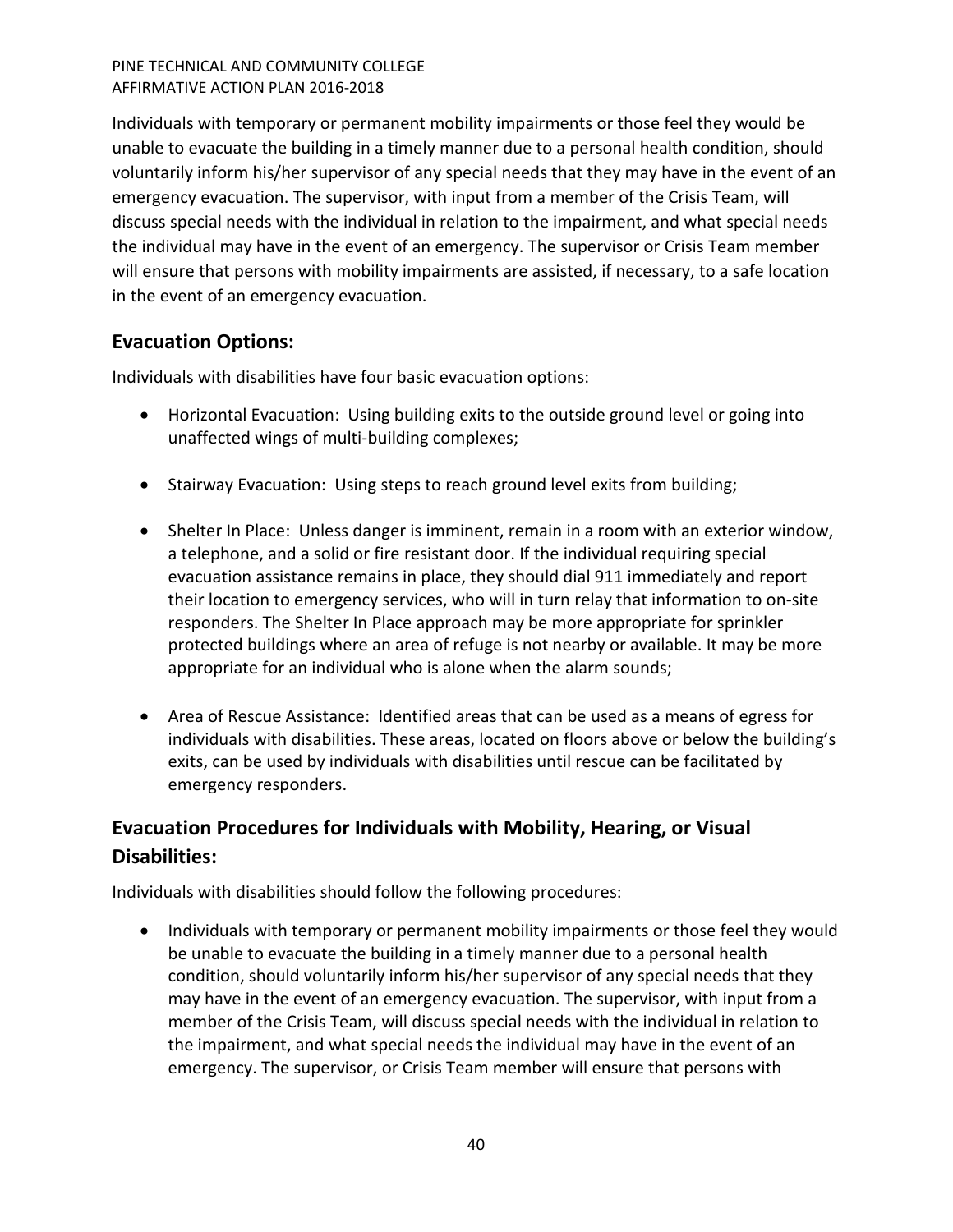Individuals with temporary or permanent mobility impairments or those feel they would be unable to evacuate the building in a timely manner due to a personal health condition, should voluntarily inform his/her supervisor of any special needs that they may have in the event of an emergency evacuation. The supervisor, with input from a member of the Crisis Team, will discuss special needs with the individual in relation to the impairment, and what special needs the individual may have in the event of an emergency. The supervisor or Crisis Team member will ensure that persons with mobility impairments are assisted, if necessary, to a safe location in the event of an emergency evacuation.

# <span id="page-39-0"></span>**Evacuation Options:**

Individuals with disabilities have four basic evacuation options:

- Horizontal Evacuation: Using building exits to the outside ground level or going into unaffected wings of multi-building complexes;
- Stairway Evacuation: Using steps to reach ground level exits from building;
- Shelter In Place: Unless danger is imminent, remain in a room with an exterior window, a telephone, and a solid or fire resistant door. If the individual requiring special evacuation assistance remains in place, they should dial 911 immediately and report their location to emergency services, who will in turn relay that information to on-site responders. The Shelter In Place approach may be more appropriate for sprinkler protected buildings where an area of refuge is not nearby or available. It may be more appropriate for an individual who is alone when the alarm sounds;
- Area of Rescue Assistance: Identified areas that can be used as a means of egress for individuals with disabilities. These areas, located on floors above or below the building's exits, can be used by individuals with disabilities until rescue can be facilitated by emergency responders.

# <span id="page-39-1"></span>**Evacuation Procedures for Individuals with Mobility, Hearing, or Visual Disabilities:**

Individuals with disabilities should follow the following procedures:

• Individuals with temporary or permanent mobility impairments or those feel they would be unable to evacuate the building in a timely manner due to a personal health condition, should voluntarily inform his/her supervisor of any special needs that they may have in the event of an emergency evacuation. The supervisor, with input from a member of the Crisis Team, will discuss special needs with the individual in relation to the impairment, and what special needs the individual may have in the event of an emergency. The supervisor, or Crisis Team member will ensure that persons with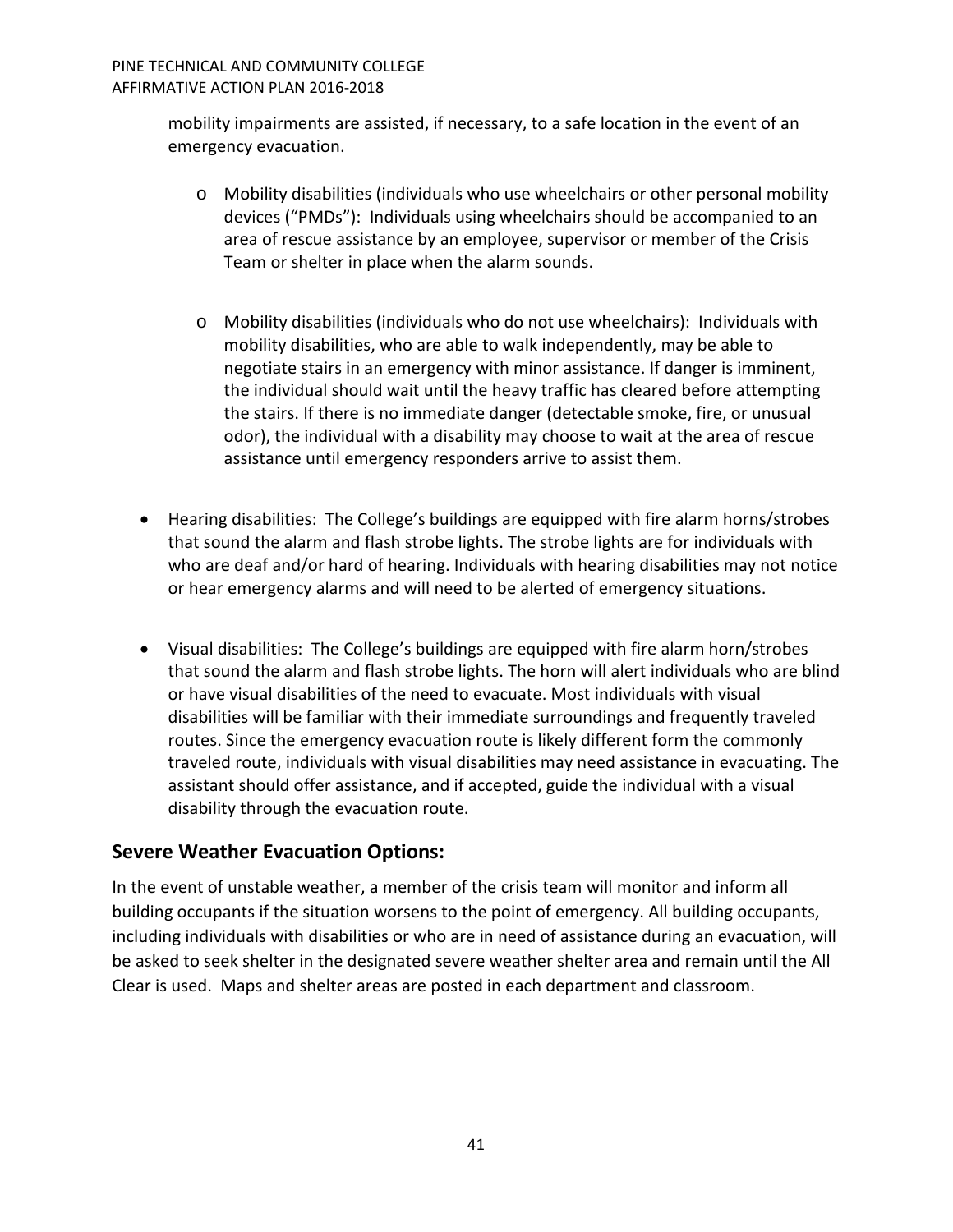mobility impairments are assisted, if necessary, to a safe location in the event of an emergency evacuation.

- o Mobility disabilities (individuals who use wheelchairs or other personal mobility devices ("PMDs"):Individuals using wheelchairs should be accompanied to an area of rescue assistance by an employee, supervisor or member of the Crisis Team or shelter in place when the alarm sounds.
- o Mobility disabilities (individuals who do not use wheelchairs):Individuals with mobility disabilities, who are able to walk independently, may be able to negotiate stairs in an emergency with minor assistance. If danger is imminent, the individual should wait until the heavy traffic has cleared before attempting the stairs. If there is no immediate danger (detectable smoke, fire, or unusual odor), the individual with a disability may choose to wait at the area of rescue assistance until emergency responders arrive to assist them.
- Hearing disabilities:The College's buildings are equipped with fire alarm horns/strobes that sound the alarm and flash strobe lights. The strobe lights are for individuals with who are deaf and/or hard of hearing. Individuals with hearing disabilities may not notice or hear emergency alarms and will need to be alerted of emergency situations.
- Visual disabilities: The College's buildings are equipped with fire alarm horn/strobes that sound the alarm and flash strobe lights. The horn will alert individuals who are blind or have visual disabilities of the need to evacuate. Most individuals with visual disabilities will be familiar with their immediate surroundings and frequently traveled routes. Since the emergency evacuation route is likely different form the commonly traveled route, individuals with visual disabilities may need assistance in evacuating. The assistant should offer assistance, and if accepted, guide the individual with a visual disability through the evacuation route.

# <span id="page-40-0"></span>**Severe Weather Evacuation Options:**

In the event of unstable weather, a member of the crisis team will monitor and inform all building occupants if the situation worsens to the point of emergency. All building occupants, including individuals with disabilities or who are in need of assistance during an evacuation, will be asked to seek shelter in the designated severe weather shelter area and remain until the All Clear is used. Maps and shelter areas are posted in each department and classroom.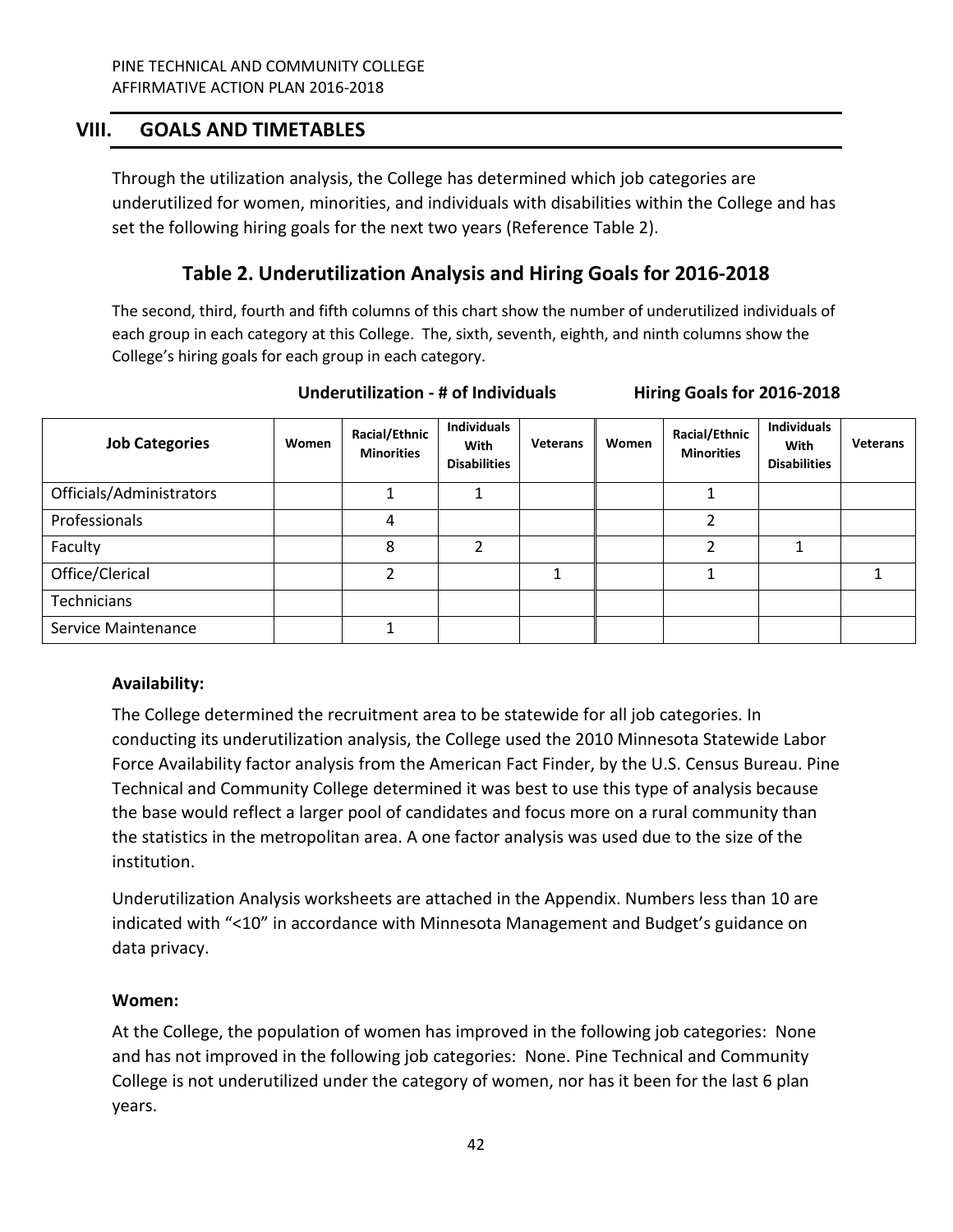# <span id="page-41-0"></span>**VIII. GOALS AND TIMETABLES**

Through the utilization analysis, the College has determined which job categories are underutilized for women, minorities, and individuals with disabilities within the College and has set the following hiring goals for the next two years (Reference Table 2).

# **Table 2. Underutilization Analysis and Hiring Goals for 2016-2018**

The second, third, fourth and fifth columns of this chart show the number of underutilized individuals of each group in each category at this College. The, sixth, seventh, eighth, and ninth columns show the College's hiring goals for each group in each category.

| <b>Job Categories</b>    | Women | Racial/Ethnic<br><b>Minorities</b> | <b>Individuals</b><br>With<br><b>Disabilities</b> | <b>Veterans</b> | Women | Racial/Ethnic<br><b>Minorities</b> | <b>Individuals</b><br>With<br><b>Disabilities</b> | Veterans |
|--------------------------|-------|------------------------------------|---------------------------------------------------|-----------------|-------|------------------------------------|---------------------------------------------------|----------|
| Officials/Administrators |       |                                    |                                                   |                 |       |                                    |                                                   |          |
| Professionals            |       | 4                                  |                                                   |                 |       | ∍                                  |                                                   |          |
| Faculty                  |       | 8                                  | ∍                                                 |                 |       | ົ                                  |                                                   |          |
| Office/Clerical          |       |                                    |                                                   |                 |       |                                    |                                                   |          |
| Technicians              |       |                                    |                                                   |                 |       |                                    |                                                   |          |
| Service Maintenance      |       |                                    |                                                   |                 |       |                                    |                                                   |          |

#### **Underutilization - # of Individuals Hiring Goals for 2016-2018**

# **Availability:**

The College determined the recruitment area to be statewide for all job categories. In conducting its underutilization analysis, the College used the 2010 Minnesota Statewide Labor Force Availability factor analysis from the American Fact Finder, by the U.S. Census Bureau. Pine Technical and Community College determined it was best to use this type of analysis because the base would reflect a larger pool of candidates and focus more on a rural community than the statistics in the metropolitan area. A one factor analysis was used due to the size of the institution.

Underutilization Analysis worksheets are attached in the Appendix. Numbers less than 10 are indicated with "<10" in accordance with Minnesota Management and Budget's guidance on data privacy.

# **Women:**

At the College, the population of women has improved in the following job categories: None and has not improved in the following job categories: None. Pine Technical and Community College is not underutilized under the category of women, nor has it been for the last 6 plan years.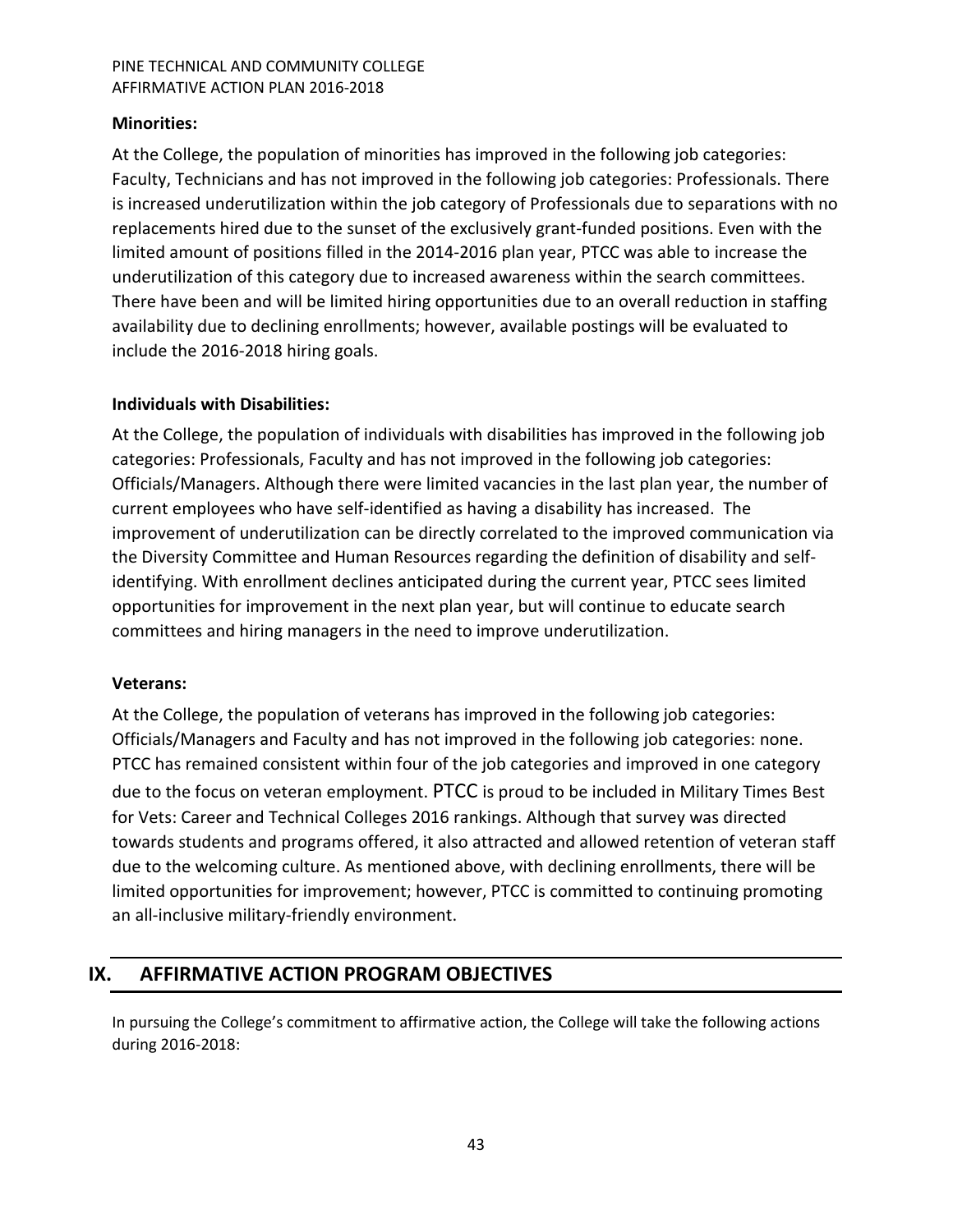# **Minorities:**

At the College, the population of minorities has improved in the following job categories: Faculty, Technicians and has not improved in the following job categories: Professionals. There is increased underutilization within the job category of Professionals due to separations with no replacements hired due to the sunset of the exclusively grant-funded positions. Even with the limited amount of positions filled in the 2014-2016 plan year, PTCC was able to increase the underutilization of this category due to increased awareness within the search committees. There have been and will be limited hiring opportunities due to an overall reduction in staffing availability due to declining enrollments; however, available postings will be evaluated to include the 2016-2018 hiring goals.

# **Individuals with Disabilities:**

At the College, the population of individuals with disabilities has improved in the following job categories: Professionals, Faculty and has not improved in the following job categories: Officials/Managers. Although there were limited vacancies in the last plan year, the number of current employees who have self-identified as having a disability has increased. The improvement of underutilization can be directly correlated to the improved communication via the Diversity Committee and Human Resources regarding the definition of disability and selfidentifying. With enrollment declines anticipated during the current year, PTCC sees limited opportunities for improvement in the next plan year, but will continue to educate search committees and hiring managers in the need to improve underutilization.

# **Veterans:**

At the College, the population of veterans has improved in the following job categories: Officials/Managers and Faculty and has not improved in the following job categories: none. PTCC has remained consistent within four of the job categories and improved in one category due to the focus on veteran employment. PTCC is proud to be included in Military Times Best for Vets: Career and Technical Colleges 2016 rankings. Although that survey was directed towards students and programs offered, it also attracted and allowed retention of veteran staff due to the welcoming culture. As mentioned above, with declining enrollments, there will be limited opportunities for improvement; however, PTCC is committed to continuing promoting an all-inclusive military-friendly environment.

# <span id="page-42-0"></span>**IX. AFFIRMATIVE ACTION PROGRAM OBJECTIVES**

In pursuing the College's commitment to affirmative action, the College will take the following actions during 2016-2018: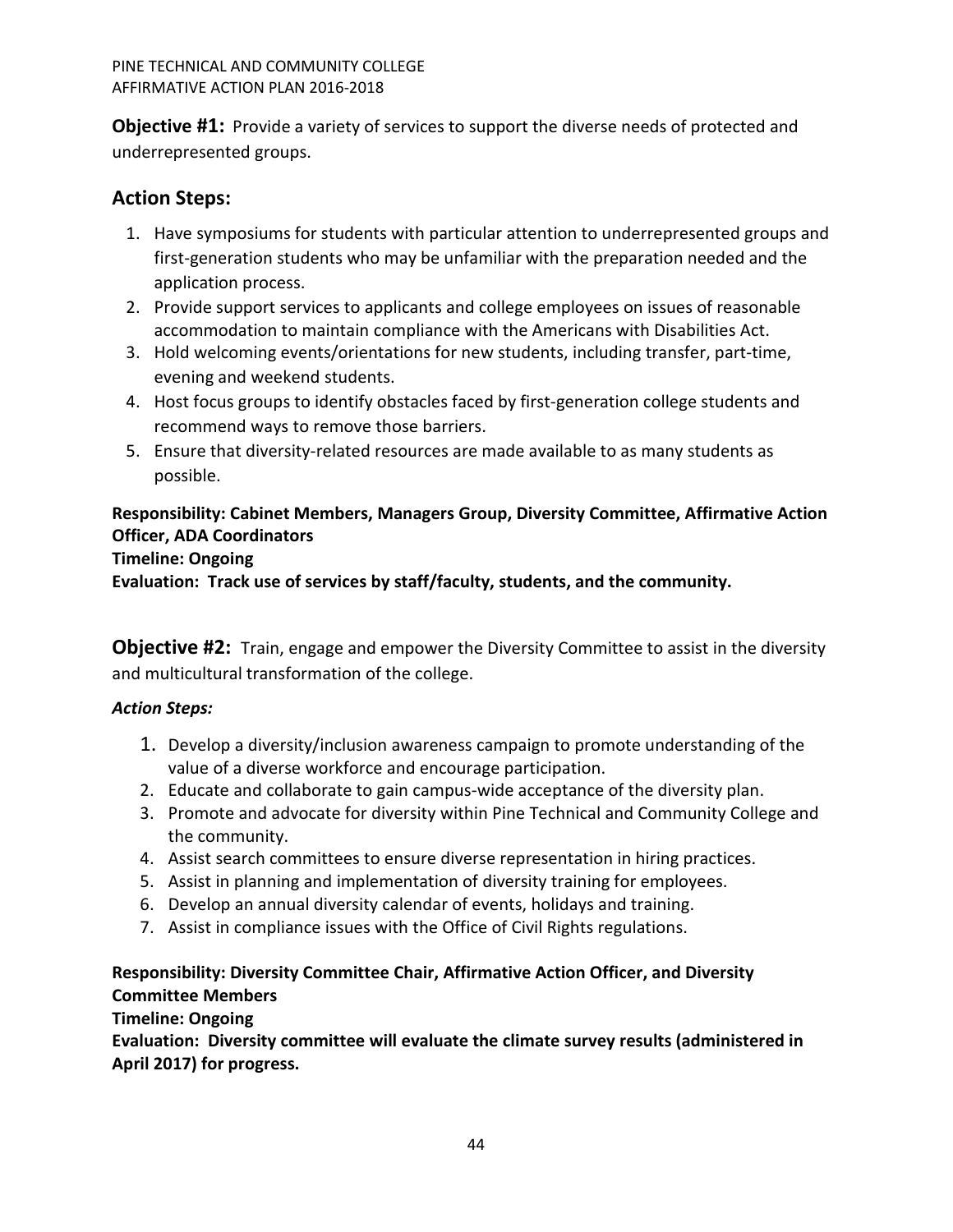<span id="page-43-0"></span>**Objective #1:** Provide a variety of services to support the diverse needs of protected and underrepresented groups.

# <span id="page-43-1"></span>**Action Steps:**

- 1. Have symposiums for students with particular attention to underrepresented groups and first-generation students who may be unfamiliar with the preparation needed and the application process.
- 2. Provide support services to applicants and college employees on issues of reasonable accommodation to maintain compliance with the Americans with Disabilities Act.
- 3. Hold welcoming events/orientations for new students, including transfer, part-time, evening and weekend students.
- 4. Host focus groups to identify obstacles faced by first-generation college students and recommend ways to remove those barriers.
- 5. Ensure that diversity-related resources are made available to as many students as possible.

# **Responsibility: Cabinet Members, Managers Group, Diversity Committee, Affirmative Action Officer, ADA Coordinators**

# **Timeline: Ongoing**

**Evaluation: Track use of services by staff/faculty, students, and the community.** 

<span id="page-43-2"></span>**Objective #2:** Train, engage and empower the Diversity Committee to assist in the diversity and multicultural transformation of the college.

# <span id="page-43-3"></span>*Action Steps:*

- 1. Develop a diversity/inclusion awareness campaign to promote understanding of the value of a diverse workforce and encourage participation.
- 2. Educate and collaborate to gain campus-wide acceptance of the diversity plan.
- 3. Promote and advocate for diversity within Pine Technical and Community College and the community.
- 4. Assist search committees to ensure diverse representation in hiring practices.
- 5. Assist in planning and implementation of diversity training for employees.
- 6. Develop an annual diversity calendar of events, holidays and training.
- 7. Assist in compliance issues with the Office of Civil Rights regulations.

# **Responsibility: Diversity Committee Chair, Affirmative Action Officer, and Diversity Committee Members**

# **Timeline: Ongoing**

**Evaluation: Diversity committee will evaluate the climate survey results (administered in April 2017) for progress.**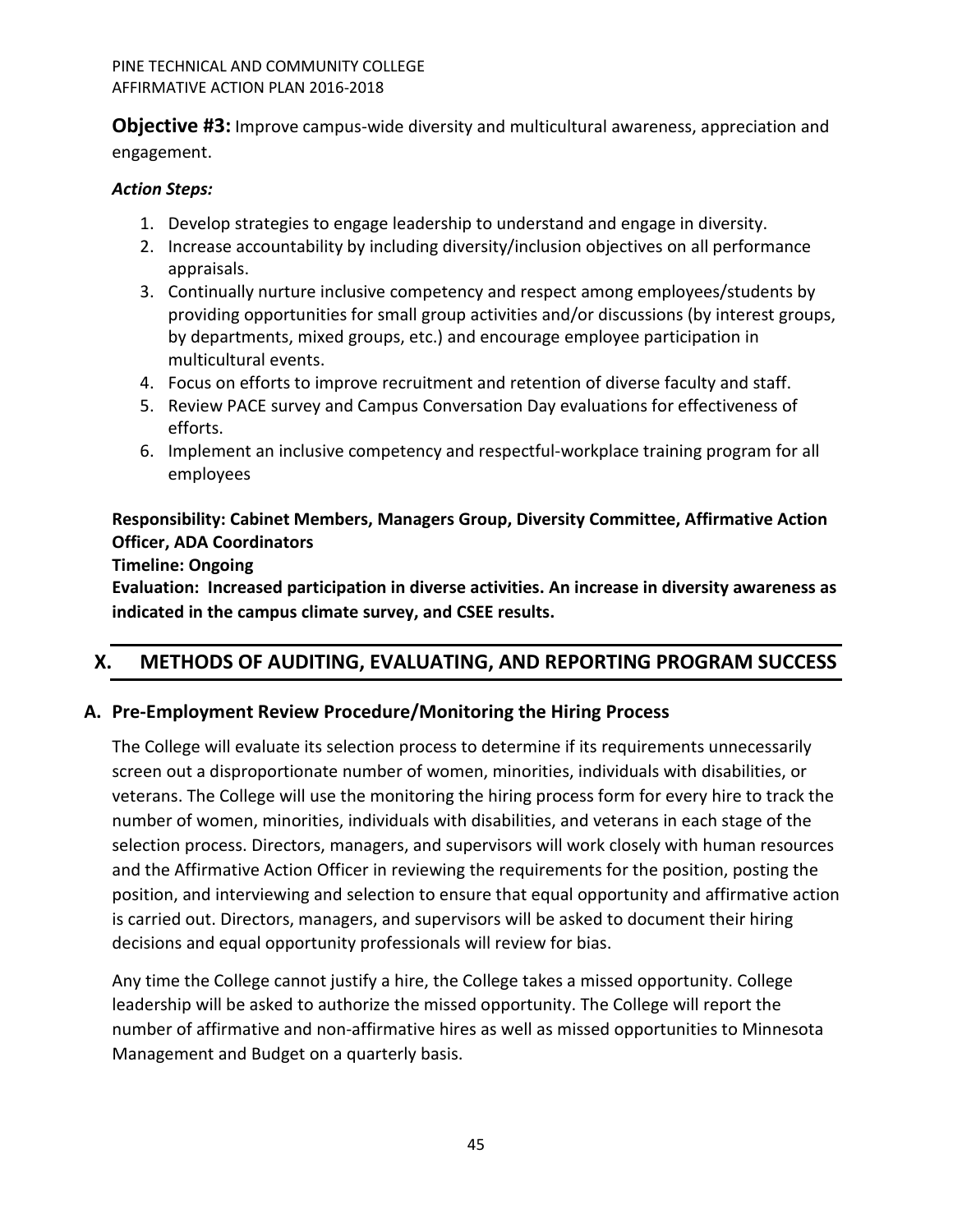<span id="page-44-0"></span>**Objective #3:** Improve campus-wide diversity and multicultural awareness, appreciation and engagement.

# <span id="page-44-1"></span>*Action Steps:*

- 1. Develop strategies to engage leadership to understand and engage in diversity.
- 2. Increase accountability by including diversity/inclusion objectives on all performance appraisals.
- 3. Continually nurture inclusive competency and respect among employees/students by providing opportunities for small group activities and/or discussions (by interest groups, by departments, mixed groups, etc.) and encourage employee participation in multicultural events.
- 4. Focus on efforts to improve recruitment and retention of diverse faculty and staff.
- 5. Review PACE survey and Campus Conversation Day evaluations for effectiveness of efforts.
- 6. Implement an inclusive competency and respectful-workplace training program for all employees

# **Responsibility: Cabinet Members, Managers Group, Diversity Committee, Affirmative Action Officer, ADA Coordinators**

# **Timeline: Ongoing**

**Evaluation: Increased participation in diverse activities. An increase in diversity awareness as indicated in the campus climate survey, and CSEE results.** 

# <span id="page-44-2"></span>**X. METHODS OF AUDITING, EVALUATING, AND REPORTING PROGRAM SUCCESS**

# <span id="page-44-3"></span>**A. Pre-Employment Review Procedure/Monitoring the Hiring Process**

The College will evaluate its selection process to determine if its requirements unnecessarily screen out a disproportionate number of women, minorities, individuals with disabilities, or veterans. The College will use the monitoring the hiring process form for every hire to track the number of women, minorities, individuals with disabilities, and veterans in each stage of the selection process. Directors, managers, and supervisors will work closely with human resources and the Affirmative Action Officer in reviewing the requirements for the position, posting the position, and interviewing and selection to ensure that equal opportunity and affirmative action is carried out. Directors, managers, and supervisors will be asked to document their hiring decisions and equal opportunity professionals will review for bias.

Any time the College cannot justify a hire, the College takes a missed opportunity. College leadership will be asked to authorize the missed opportunity. The College will report the number of affirmative and non-affirmative hires as well as missed opportunities to Minnesota Management and Budget on a quarterly basis.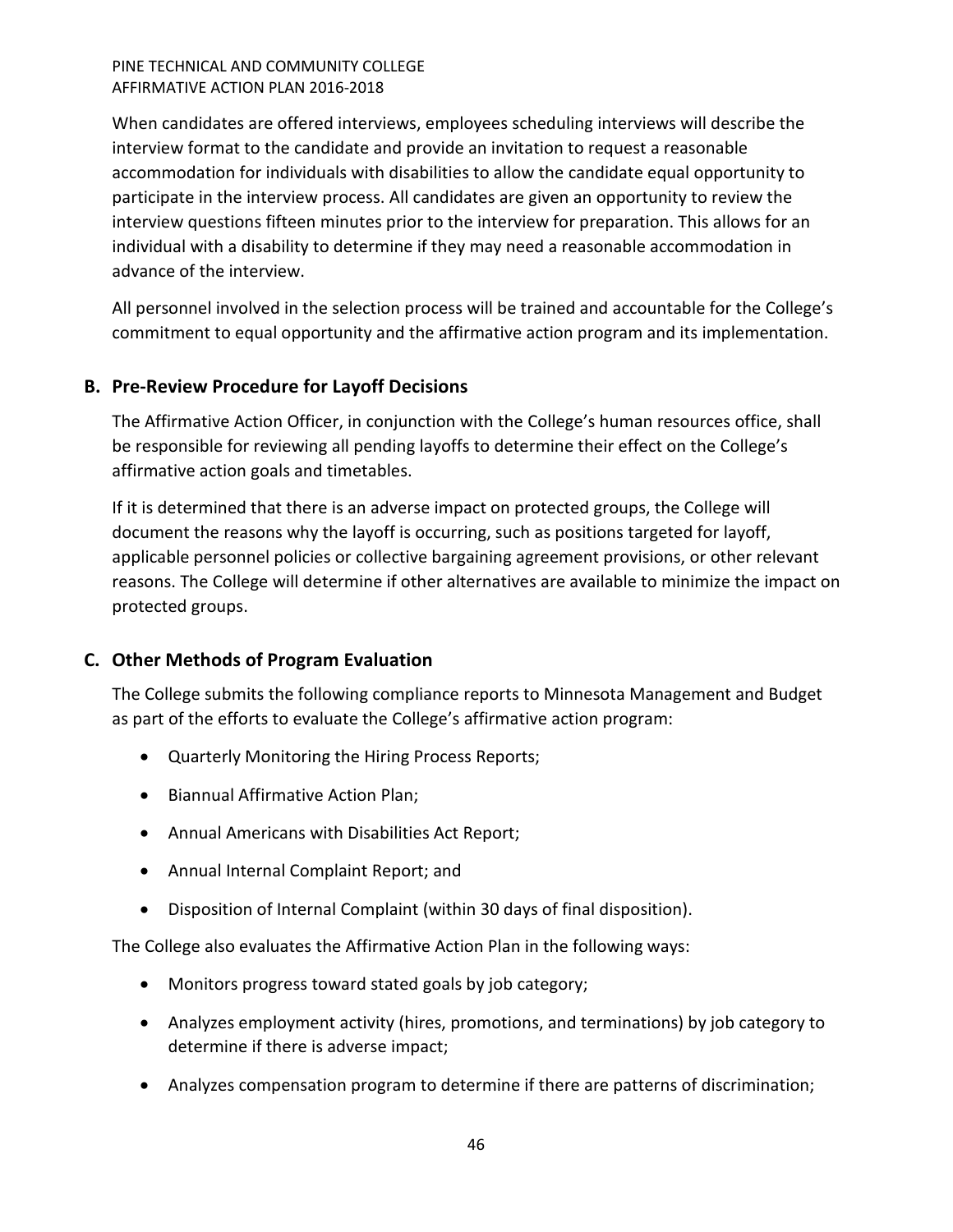When candidates are offered interviews, employees scheduling interviews will describe the interview format to the candidate and provide an invitation to request a reasonable accommodation for individuals with disabilities to allow the candidate equal opportunity to participate in the interview process. All candidates are given an opportunity to review the interview questions fifteen minutes prior to the interview for preparation. This allows for an individual with a disability to determine if they may need a reasonable accommodation in advance of the interview.

All personnel involved in the selection process will be trained and accountable for the College's commitment to equal opportunity and the affirmative action program and its implementation.

# <span id="page-45-0"></span>**B. Pre-Review Procedure for Layoff Decisions**

The Affirmative Action Officer, in conjunction with the College's human resources office, shall be responsible for reviewing all pending layoffs to determine their effect on the College's affirmative action goals and timetables.

If it is determined that there is an adverse impact on protected groups, the College will document the reasons why the layoff is occurring, such as positions targeted for layoff, applicable personnel policies or collective bargaining agreement provisions, or other relevant reasons. The College will determine if other alternatives are available to minimize the impact on protected groups.

# <span id="page-45-1"></span>**C. Other Methods of Program Evaluation**

The College submits the following compliance reports to Minnesota Management and Budget as part of the efforts to evaluate the College's affirmative action program:

- Quarterly Monitoring the Hiring Process Reports;
- Biannual Affirmative Action Plan;
- Annual Americans with Disabilities Act Report;
- Annual Internal Complaint Report; and
- Disposition of Internal Complaint (within 30 days of final disposition).

The College also evaluates the Affirmative Action Plan in the following ways:

- Monitors progress toward stated goals by job category;
- Analyzes employment activity (hires, promotions, and terminations) by job category to determine if there is adverse impact;
- Analyzes compensation program to determine if there are patterns of discrimination;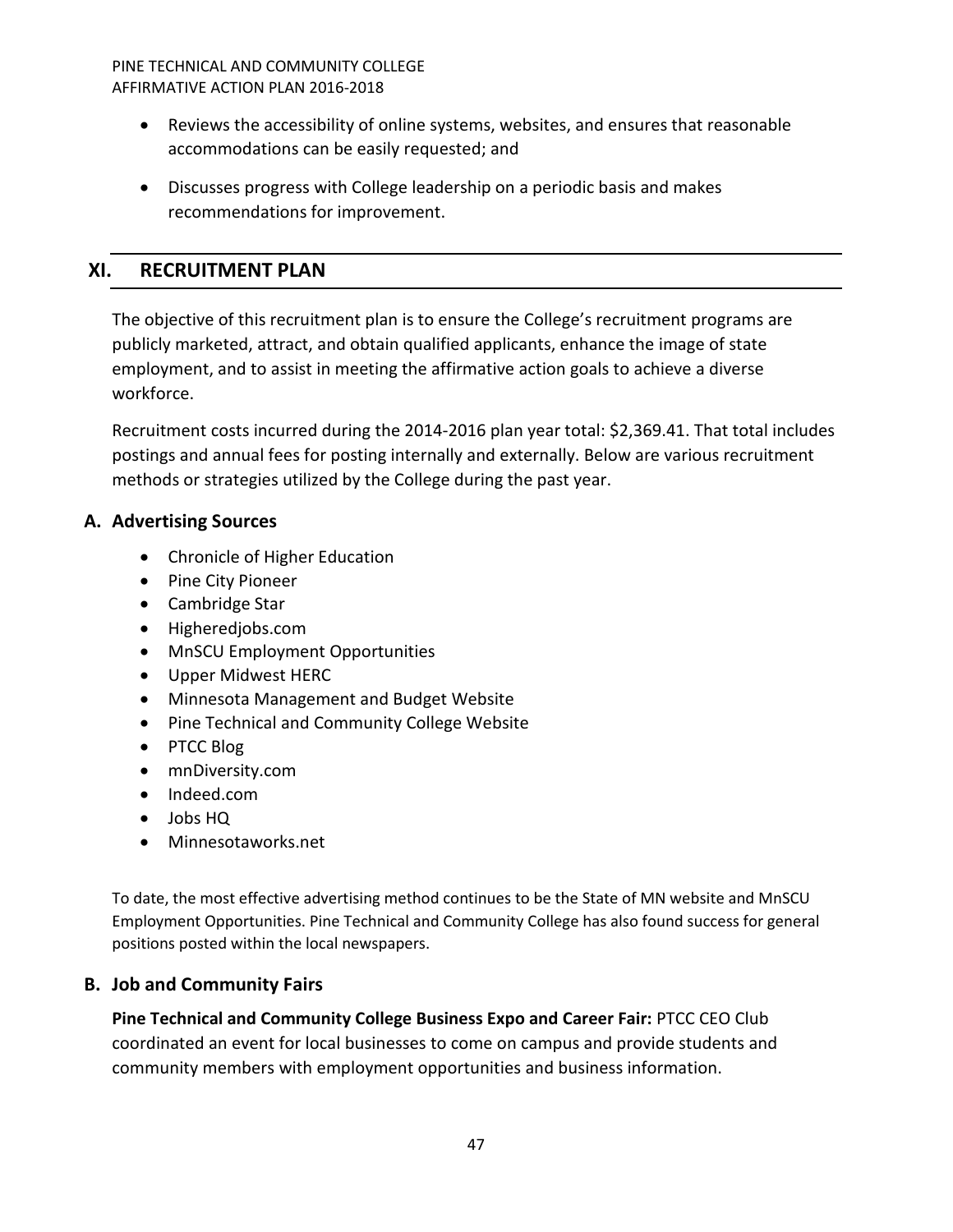- Reviews the accessibility of online systems, websites, and ensures that reasonable accommodations can be easily requested; and
- Discusses progress with College leadership on a periodic basis and makes recommendations for improvement.

# <span id="page-46-0"></span>**XI. RECRUITMENT PLAN**

The objective of this recruitment plan is to ensure the College's recruitment programs are publicly marketed, attract, and obtain qualified applicants, enhance the image of state employment, and to assist in meeting the affirmative action goals to achieve a diverse workforce.

Recruitment costs incurred during the 2014-2016 plan year total: \$2,369.41. That total includes postings and annual fees for posting internally and externally. Below are various recruitment methods or strategies utilized by the College during the past year.

# <span id="page-46-1"></span>**A. Advertising Sources**

- Chronicle of Higher Education
- Pine City Pioneer
- Cambridge Star
- Higheredjobs.com
- MnSCU Employment Opportunities
- Upper Midwest HERC
- Minnesota Management and Budget Website
- Pine Technical and Community College Website
- PTCC Blog
- mnDiversity.com
- Indeed.com
- Jobs HQ
- Minnesotaworks.net

To date, the most effective advertising method continues to be the State of MN website and MnSCU Employment Opportunities. Pine Technical and Community College has also found success for general positions posted within the local newspapers.

# <span id="page-46-2"></span>**B. Job and Community Fairs**

**Pine Technical and Community College Business Expo and Career Fair:** PTCC CEO Club coordinated an event for local businesses to come on campus and provide students and community members with employment opportunities and business information.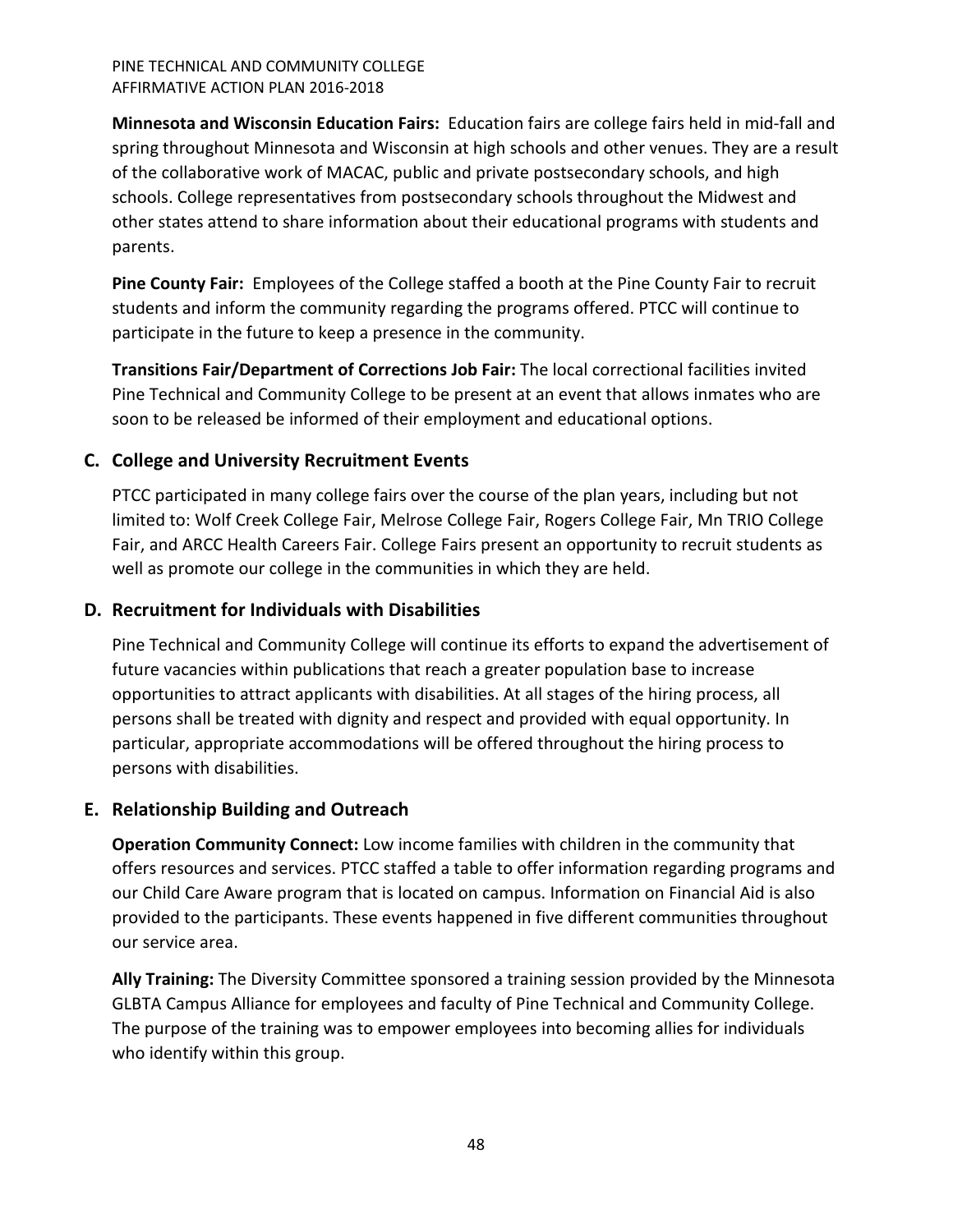**Minnesota and Wisconsin Education Fairs:** Education fairs are college fairs held in mid-fall and spring throughout Minnesota and Wisconsin at high schools and other venues. They are a result of the collaborative work of MACAC, public and private postsecondary schools, and high schools. College representatives from postsecondary schools throughout the Midwest and other states attend to share information about their educational programs with students and parents.

**Pine County Fair:** Employees of the College staffed a booth at the Pine County Fair to recruit students and inform the community regarding the programs offered. PTCC will continue to participate in the future to keep a presence in the community.

**Transitions Fair/Department of Corrections Job Fair:** The local correctional facilities invited Pine Technical and Community College to be present at an event that allows inmates who are soon to be released be informed of their employment and educational options.

# <span id="page-47-0"></span>**C. College and University Recruitment Events**

PTCC participated in many college fairs over the course of the plan years, including but not limited to: Wolf Creek College Fair, Melrose College Fair, Rogers College Fair, Mn TRIO College Fair, and ARCC Health Careers Fair. College Fairs present an opportunity to recruit students as well as promote our college in the communities in which they are held.

# <span id="page-47-1"></span>**D. Recruitment for Individuals with Disabilities**

Pine Technical and Community College will continue its efforts to expand the advertisement of future vacancies within publications that reach a greater population base to increase opportunities to attract applicants with disabilities. At all stages of the hiring process, all persons shall be treated with dignity and respect and provided with equal opportunity. In particular, appropriate accommodations will be offered throughout the hiring process to persons with disabilities.

# <span id="page-47-2"></span>**E. Relationship Building and Outreach**

**Operation Community Connect:** Low income families with children in the community that offers resources and services. PTCC staffed a table to offer information regarding programs and our Child Care Aware program that is located on campus. Information on Financial Aid is also provided to the participants. These events happened in five different communities throughout our service area.

**Ally Training:** The Diversity Committee sponsored a training session provided by the Minnesota GLBTA Campus Alliance for employees and faculty of Pine Technical and Community College. The purpose of the training was to empower employees into becoming allies for individuals who identify within this group.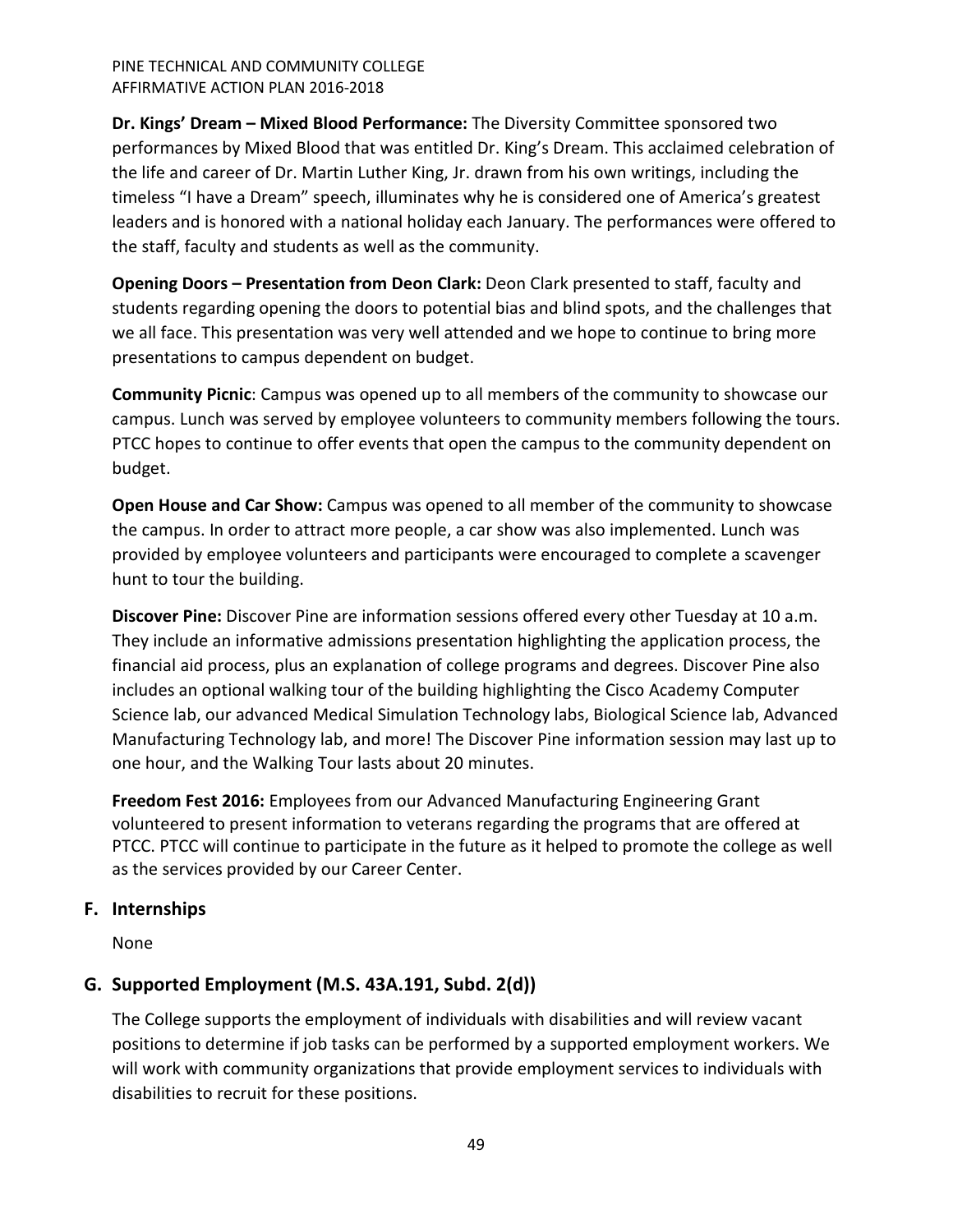**Dr. Kings' Dream – Mixed Blood Performance:** The Diversity Committee sponsored two performances by Mixed Blood that was entitled Dr. King's Dream. This acclaimed celebration of the life and career of Dr. Martin Luther King, Jr. drawn from his own writings, including the timeless "I have a Dream" speech, illuminates why he is considered one of America's greatest leaders and is honored with a national holiday each January. The performances were offered to the staff, faculty and students as well as the community.

**Opening Doors – Presentation from Deon Clark:** Deon Clark presented to staff, faculty and students regarding opening the doors to potential bias and blind spots, and the challenges that we all face. This presentation was very well attended and we hope to continue to bring more presentations to campus dependent on budget.

**Community Picnic**: Campus was opened up to all members of the community to showcase our campus. Lunch was served by employee volunteers to community members following the tours. PTCC hopes to continue to offer events that open the campus to the community dependent on budget.

**Open House and Car Show:** Campus was opened to all member of the community to showcase the campus. In order to attract more people, a car show was also implemented. Lunch was provided by employee volunteers and participants were encouraged to complete a scavenger hunt to tour the building.

**Discover Pine:** Discover Pine are information sessions offered every other Tuesday at 10 a.m. They include an informative admissions presentation highlighting the application process, the financial aid process, plus an explanation of college programs and degrees. Discover Pine also includes an optional walking tour of the building highlighting the Cisco Academy Computer Science lab, our advanced Medical Simulation Technology labs, Biological Science lab, Advanced Manufacturing Technology lab, and more! The Discover Pine information session may last up to one hour, and the Walking Tour lasts about 20 minutes.

**Freedom Fest 2016:** Employees from our Advanced Manufacturing Engineering Grant volunteered to present information to veterans regarding the programs that are offered at PTCC. PTCC will continue to participate in the future as it helped to promote the college as well as the services provided by our Career Center.

# <span id="page-48-0"></span>**F. Internships**

None

# <span id="page-48-1"></span>**G. Supported Employment (M.S. 43A.191, Subd. 2(d))**

The College supports the employment of individuals with disabilities and will review vacant positions to determine if job tasks can be performed by a supported employment workers. We will work with community organizations that provide employment services to individuals with disabilities to recruit for these positions.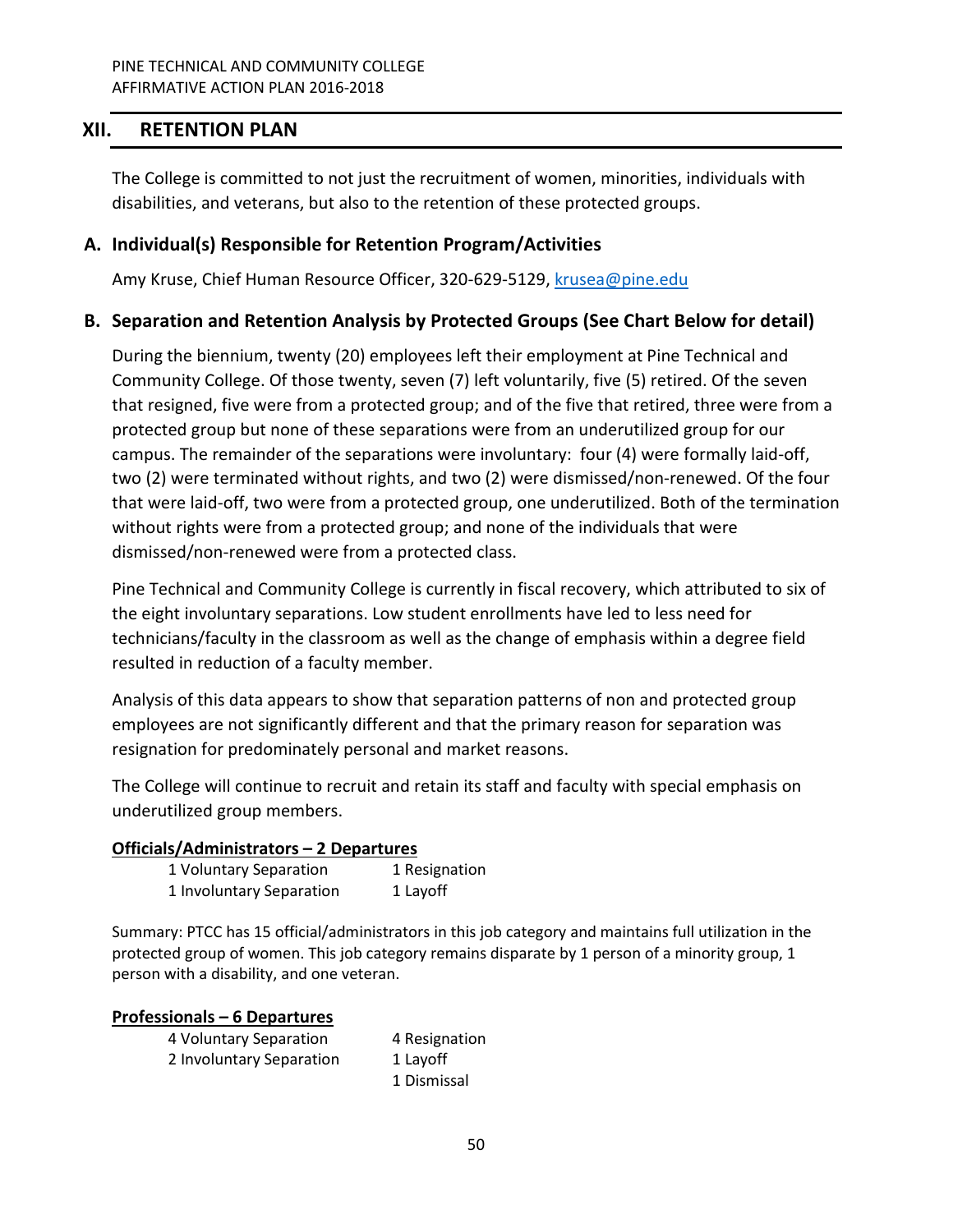# <span id="page-49-0"></span>**XII. RETENTION PLAN**

The College is committed to not just the recruitment of women, minorities, individuals with disabilities, and veterans, but also to the retention of these protected groups.

# <span id="page-49-1"></span>**A. Individual(s) Responsible for Retention Program/Activities**

Amy Kruse, Chief Human Resource Officer, 320-629-5129, [krusea@pine.edu](mailto:krusea@pine.edu)

# <span id="page-49-2"></span>**B. Separation and Retention Analysis by Protected Groups (See Chart Below for detail)**

During the biennium, twenty (20) employees left their employment at Pine Technical and Community College. Of those twenty, seven (7) left voluntarily, five (5) retired. Of the seven that resigned, five were from a protected group; and of the five that retired, three were from a protected group but none of these separations were from an underutilized group for our campus. The remainder of the separations were involuntary: four (4) were formally laid-off, two (2) were terminated without rights, and two (2) were dismissed/non-renewed. Of the four that were laid-off, two were from a protected group, one underutilized. Both of the termination without rights were from a protected group; and none of the individuals that were dismissed/non-renewed were from a protected class.

Pine Technical and Community College is currently in fiscal recovery, which attributed to six of the eight involuntary separations. Low student enrollments have led to less need for technicians/faculty in the classroom as well as the change of emphasis within a degree field resulted in reduction of a faculty member.

Analysis of this data appears to show that separation patterns of non and protected group employees are not significantly different and that the primary reason for separation was resignation for predominately personal and market reasons.

The College will continue to recruit and retain its staff and faculty with special emphasis on underutilized group members.

#### **Officials/Administrators – 2 Departures**

| 1 Voluntary Separation   | 1 Resignation |
|--------------------------|---------------|
| 1 Involuntary Separation | 1 Layoff      |

Summary: PTCC has 15 official/administrators in this job category and maintains full utilization in the protected group of women. This job category remains disparate by 1 person of a minority group, 1 person with a disability, and one veteran.

#### **Professionals – 6 Departures**

4 Voluntary Separation 4 Resignation 2 Involuntary Separation 1 Layoff 1 Dismissal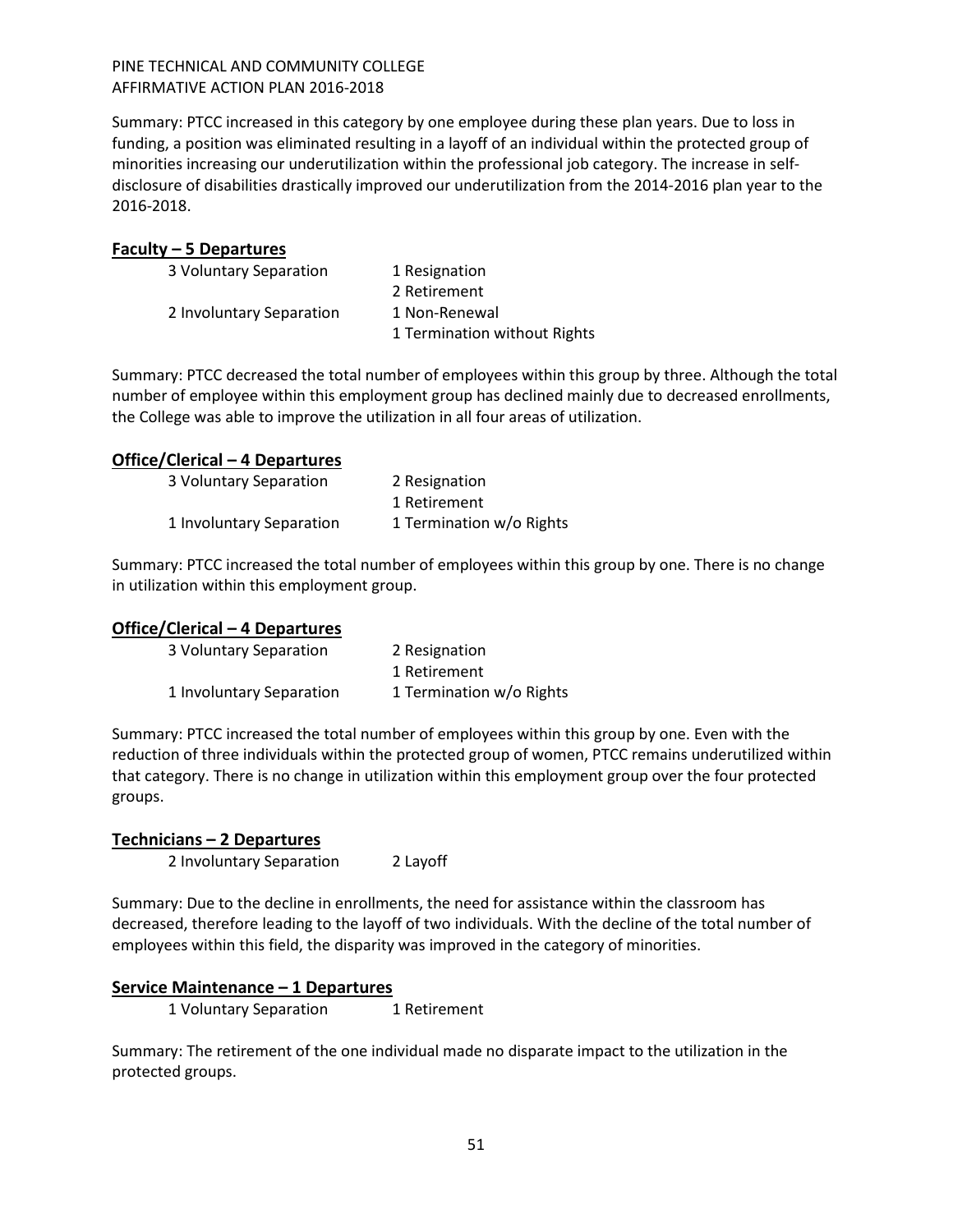Summary: PTCC increased in this category by one employee during these plan years. Due to loss in funding, a position was eliminated resulting in a layoff of an individual within the protected group of minorities increasing our underutilization within the professional job category. The increase in selfdisclosure of disabilities drastically improved our underutilization from the 2014-2016 plan year to the 2016-2018.

#### **Faculty – 5 Departures**

| 1 Resignation                |
|------------------------------|
| 2 Retirement                 |
| 1 Non-Renewal                |
| 1 Termination without Rights |
|                              |

Summary: PTCC decreased the total number of employees within this group by three. Although the total number of employee within this employment group has declined mainly due to decreased enrollments, the College was able to improve the utilization in all four areas of utilization.

# **Office/Clerical – 4 Departures**

| 3 Voluntary Separation   | 2 Resignation            |
|--------------------------|--------------------------|
|                          | 1 Retirement             |
| 1 Involuntary Separation | 1 Termination w/o Rights |

Summary: PTCC increased the total number of employees within this group by one. There is no change in utilization within this employment group.

# **Office/Clerical – 4 Departures**

| 3 Voluntary Separation   | 2 Resignation            |
|--------------------------|--------------------------|
|                          | 1 Retirement             |
| 1 Involuntary Separation | 1 Termination w/o Rights |

Summary: PTCC increased the total number of employees within this group by one. Even with the reduction of three individuals within the protected group of women, PTCC remains underutilized within that category. There is no change in utilization within this employment group over the four protected groups.

#### **Technicians – 2 Departures**

2 Involuntary Separation 2 Layoff

Summary: Due to the decline in enrollments, the need for assistance within the classroom has decreased, therefore leading to the layoff of two individuals. With the decline of the total number of employees within this field, the disparity was improved in the category of minorities.

#### **Service Maintenance – 1 Departures**

1 Voluntary Separation 1 Retirement

Summary: The retirement of the one individual made no disparate impact to the utilization in the protected groups.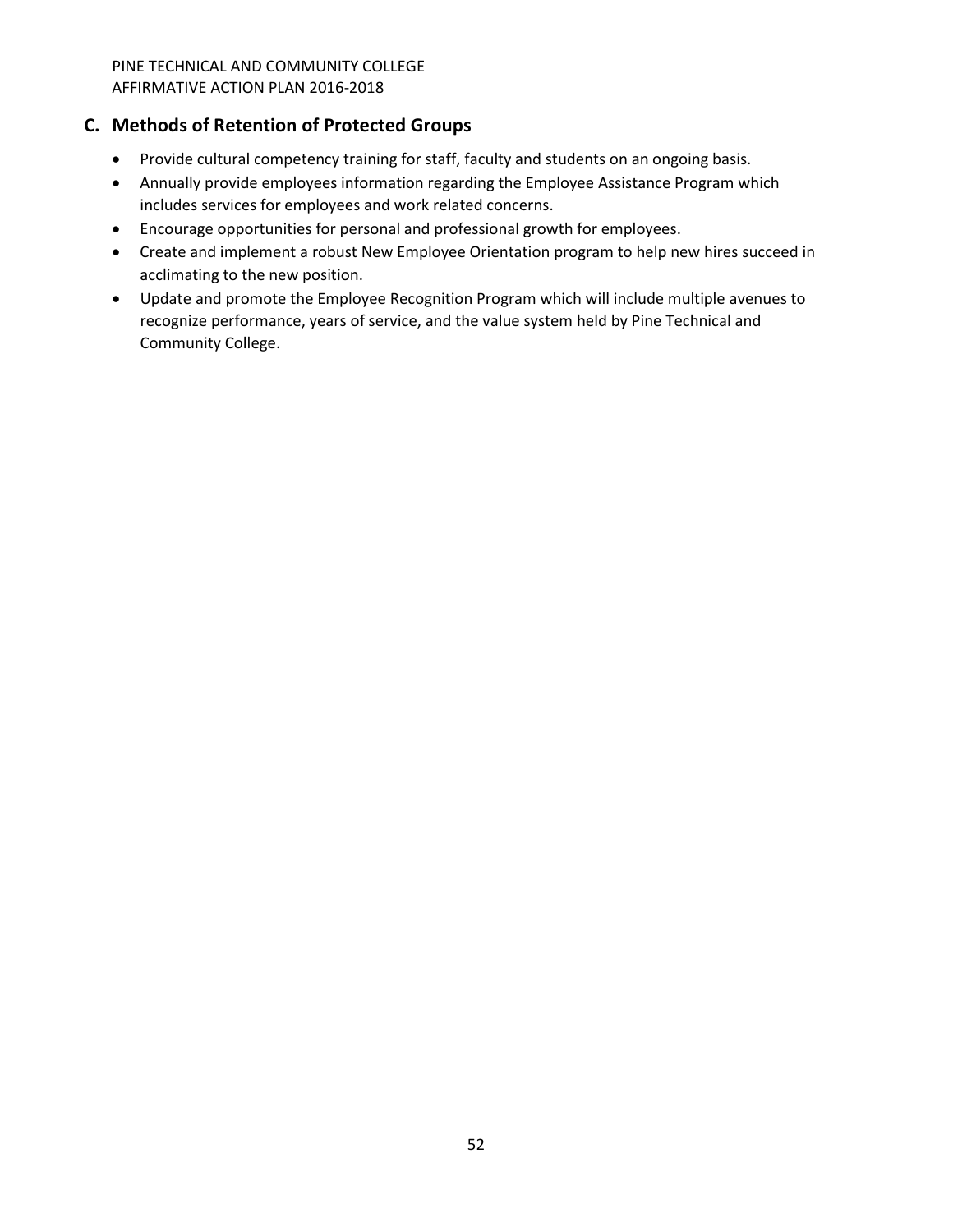# <span id="page-51-0"></span>**C. Methods of Retention of Protected Groups**

- Provide cultural competency training for staff, faculty and students on an ongoing basis.
- Annually provide employees information regarding the Employee Assistance Program which includes services for employees and work related concerns.
- Encourage opportunities for personal and professional growth for employees.
- Create and implement a robust New Employee Orientation program to help new hires succeed in acclimating to the new position.
- Update and promote the Employee Recognition Program which will include multiple avenues to recognize performance, years of service, and the value system held by Pine Technical and Community College.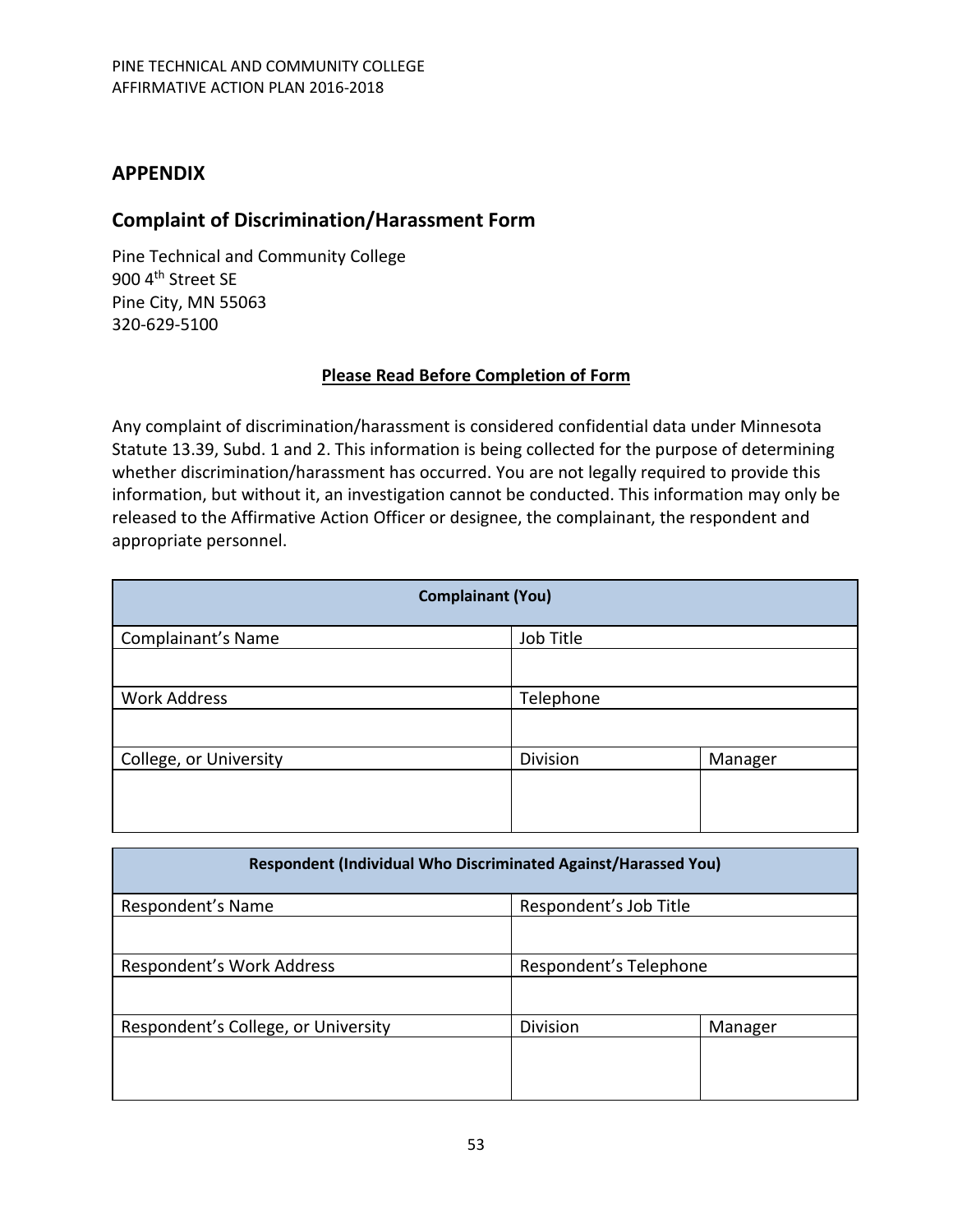# <span id="page-52-0"></span>**APPENDIX**

# <span id="page-52-1"></span>**Complaint of Discrimination/Harassment Form**

Pine Technical and Community College 900 4<sup>th</sup> Street SE Pine City, MN 55063 320-629-5100

# **Please Read Before Completion of Form**

Any complaint of discrimination/harassment is considered confidential data under Minnesota Statute 13.39, Subd. 1 and 2. This information is being collected for the purpose of determining whether discrimination/harassment has occurred. You are not legally required to provide this information, but without it, an investigation cannot be conducted. This information may only be released to the Affirmative Action Officer or designee, the complainant, the respondent and appropriate personnel.

| <b>Complainant (You)</b> |           |         |  |  |  |
|--------------------------|-----------|---------|--|--|--|
| Complainant's Name       | Job Title |         |  |  |  |
|                          |           |         |  |  |  |
| <b>Work Address</b>      | Telephone |         |  |  |  |
|                          |           |         |  |  |  |
| College, or University   | Division  | Manager |  |  |  |
|                          |           |         |  |  |  |

| Respondent (Individual Who Discriminated Against/Harassed You) |                        |         |  |  |
|----------------------------------------------------------------|------------------------|---------|--|--|
| Respondent's Name<br>Respondent's Job Title                    |                        |         |  |  |
|                                                                |                        |         |  |  |
| Respondent's Work Address                                      | Respondent's Telephone |         |  |  |
|                                                                |                        |         |  |  |
| Respondent's College, or University                            | <b>Division</b>        | Manager |  |  |
|                                                                |                        |         |  |  |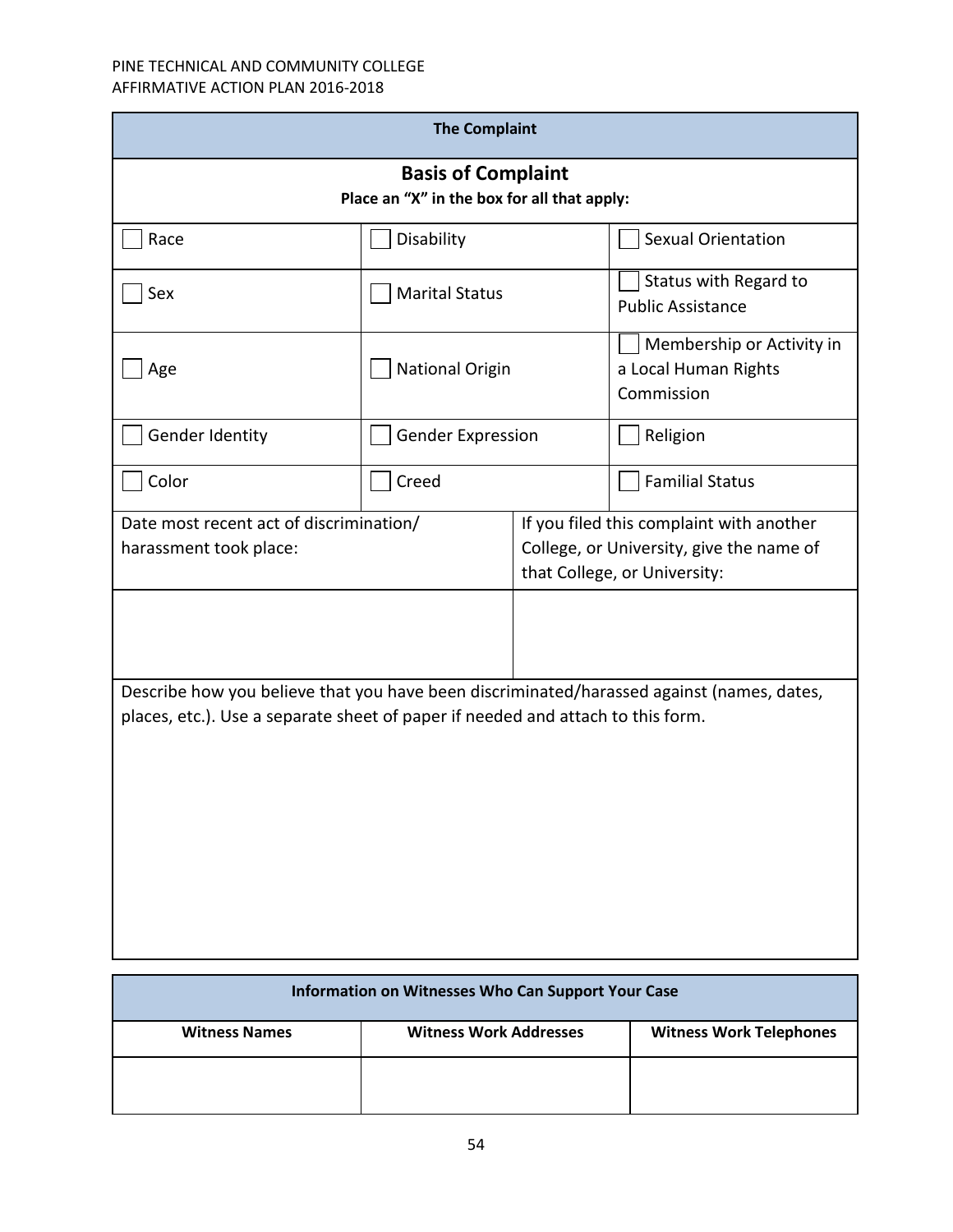| <b>The Complaint</b>                                                                                                                                                         |                          |                                                                                                                      |                                                                 |  |  |  |  |
|------------------------------------------------------------------------------------------------------------------------------------------------------------------------------|--------------------------|----------------------------------------------------------------------------------------------------------------------|-----------------------------------------------------------------|--|--|--|--|
| <b>Basis of Complaint</b><br>Place an "X" in the box for all that apply:                                                                                                     |                          |                                                                                                                      |                                                                 |  |  |  |  |
| Race                                                                                                                                                                         | Disability               |                                                                                                                      | <b>Sexual Orientation</b>                                       |  |  |  |  |
| Sex                                                                                                                                                                          | <b>Marital Status</b>    |                                                                                                                      | Status with Regard to<br><b>Public Assistance</b>               |  |  |  |  |
| Age                                                                                                                                                                          | <b>National Origin</b>   |                                                                                                                      | Membership or Activity in<br>a Local Human Rights<br>Commission |  |  |  |  |
| Gender Identity                                                                                                                                                              | <b>Gender Expression</b> |                                                                                                                      | Religion                                                        |  |  |  |  |
| Color                                                                                                                                                                        | Creed                    |                                                                                                                      | <b>Familial Status</b>                                          |  |  |  |  |
| Date most recent act of discrimination/<br>harassment took place:                                                                                                            |                          | If you filed this complaint with another<br>College, or University, give the name of<br>that College, or University: |                                                                 |  |  |  |  |
|                                                                                                                                                                              |                          |                                                                                                                      |                                                                 |  |  |  |  |
| Describe how you believe that you have been discriminated/harassed against (names, dates,<br>places, etc.). Use a separate sheet of paper if needed and attach to this form. |                          |                                                                                                                      |                                                                 |  |  |  |  |

| Information on Witnesses Who Can Support Your Case |                               |                                |  |  |  |  |  |
|----------------------------------------------------|-------------------------------|--------------------------------|--|--|--|--|--|
| <b>Witness Names</b>                               | <b>Witness Work Addresses</b> | <b>Witness Work Telephones</b> |  |  |  |  |  |
|                                                    |                               |                                |  |  |  |  |  |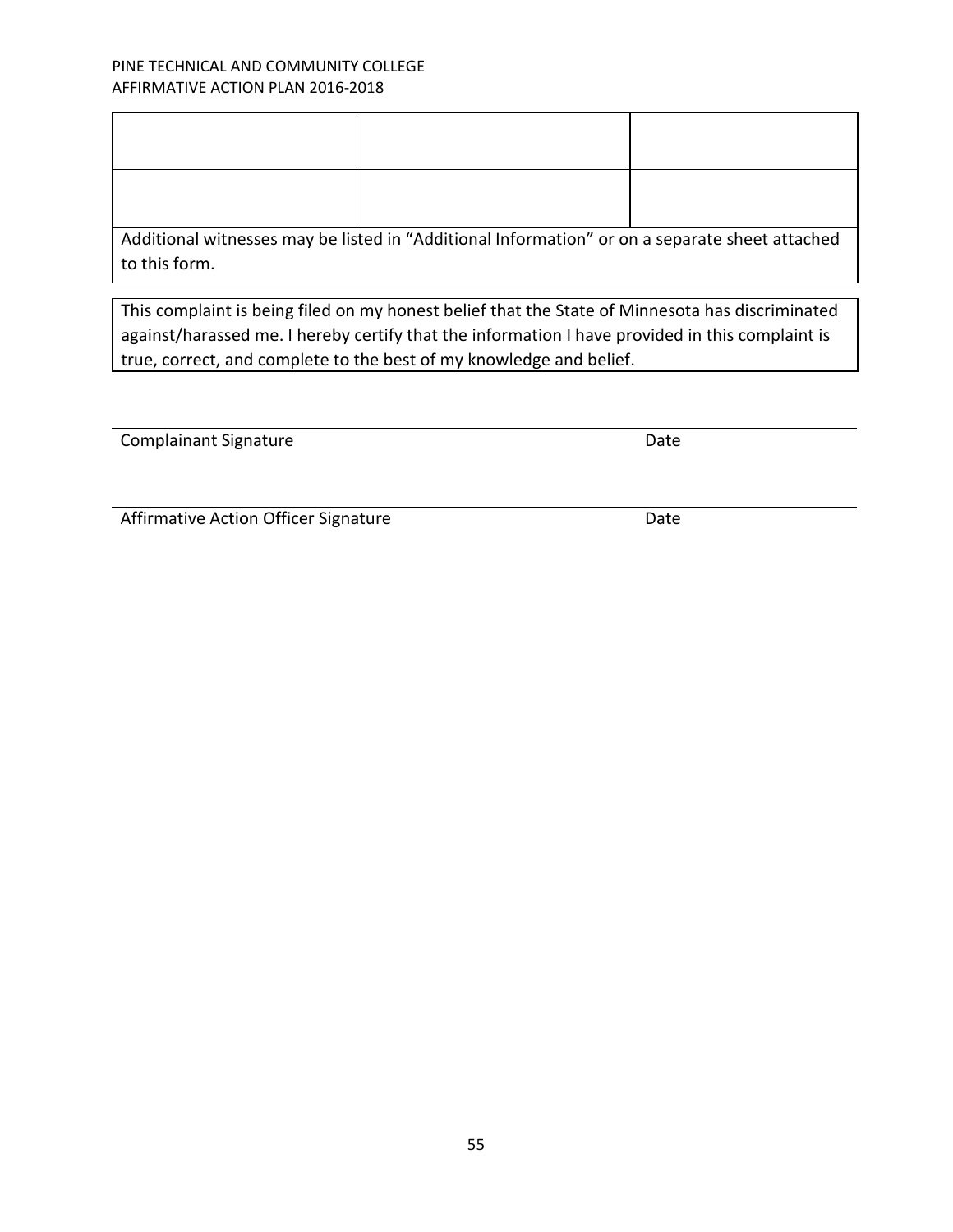| to this form. | Additional witnesses may be listed in "Additional Information" or on a separate sheet attached |  |
|---------------|------------------------------------------------------------------------------------------------|--|

This complaint is being filed on my honest belief that the State of Minnesota has discriminated against/harassed me. I hereby certify that the information I have provided in this complaint is true, correct, and complete to the best of my knowledge and belief.

Complainant Signature **Date** Date

Affirmative Action Officer Signature **Date**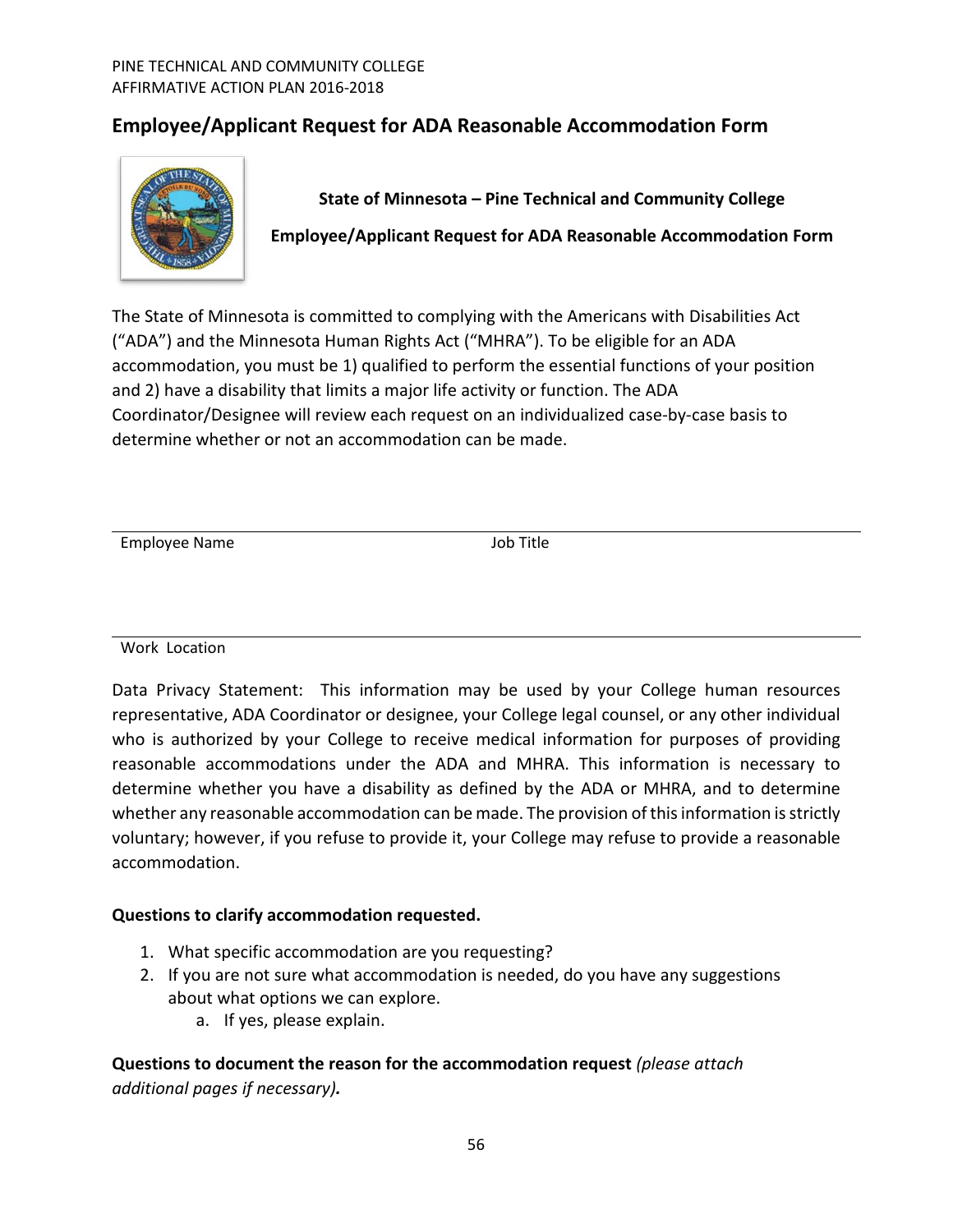# <span id="page-55-0"></span>**Employee/Applicant Request for ADA Reasonable Accommodation Form**



**State of Minnesota – Pine Technical and Community College Employee/Applicant Request for ADA Reasonable Accommodation Form**

The State of Minnesota is committed to complying with the Americans with Disabilities Act ("ADA") and the Minnesota Human Rights Act ("MHRA"). To be eligible for an ADA accommodation, you must be 1) qualified to perform the essential functions of your position and 2) have a disability that limits a major life activity or function. The ADA Coordinator/Designee will review each request on an individualized case-by-case basis to determine whether or not an accommodation can be made.

Employee Name Job Title

Work Location

Data Privacy Statement: This information may be used by your College human resources representative, ADA Coordinator or designee, your College legal counsel, or any other individual who is authorized by your College to receive medical information for purposes of providing reasonable accommodations under the ADA and MHRA. This information is necessary to determine whether you have a disability as defined by the ADA or MHRA, and to determine whether any reasonable accommodation can be made. The provision of this information is strictly voluntary; however, if you refuse to provide it, your College may refuse to provide a reasonable accommodation.

# **Questions to clarify accommodation requested.**

- 1. What specific accommodation are you requesting?
- 2. If you are not sure what accommodation is needed, do you have any suggestions about what options we can explore.
	- a. If yes, please explain.

**Questions to document the reason for the accommodation request** *(please attach additional pages if necessary).*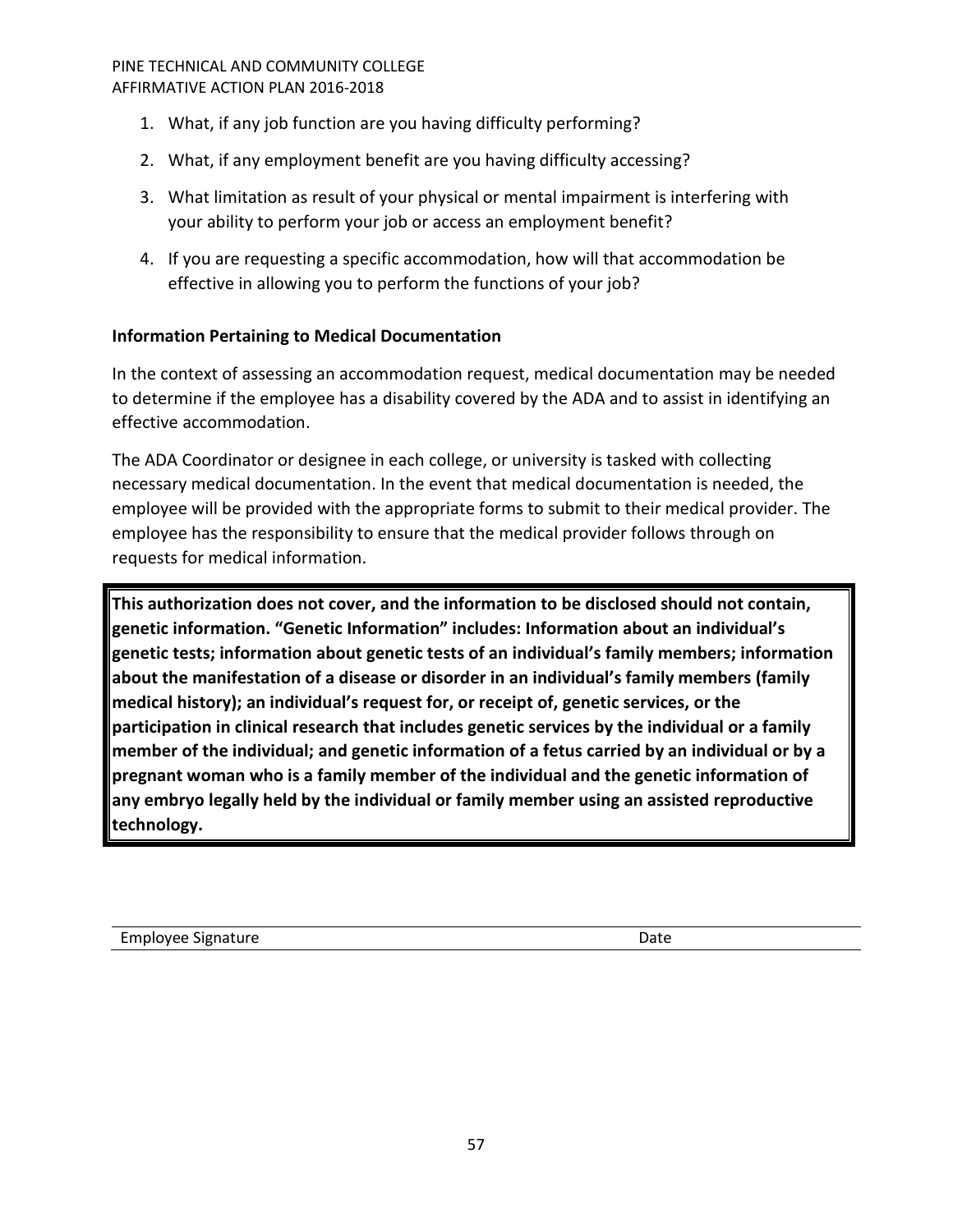- 1. What, if any job function are you having difficulty performing?
- 2. What, if any employment benefit are you having difficulty accessing?
- 3. What limitation as result of your physical or mental impairment is interfering with your ability to perform your job or access an employment benefit?
- 4. If you are requesting a specific accommodation, how will that accommodation be effective in allowing you to perform the functions of your job?

# **Information Pertaining to Medical Documentation**

In the context of assessing an accommodation request, medical documentation may be needed to determine if the employee has a disability covered by the ADA and to assist in identifying an effective accommodation.

The ADA Coordinator or designee in each college, or university is tasked with collecting necessary medical documentation. In the event that medical documentation is needed, the employee will be provided with the appropriate forms to submit to their medical provider. The employee has the responsibility to ensure that the medical provider follows through on requests for medical information.

**This authorization does not cover, and the information to be disclosed should not contain, genetic information. "Genetic Information" includes: Information about an individual's genetic tests; information about genetic tests of an individual's family members; information about the manifestation of a disease or disorder in an individual's family members (family medical history); an individual's request for, or receipt of, genetic services, or the participation in clinical research that includes genetic services by the individual or a family member of the individual; and genetic information of a fetus carried by an individual or by a pregnant woman who is a family member of the individual and the genetic information of any embryo legally held by the individual or family member using an assisted reproductive technology.**

Employee Signature **Date** Date **Date**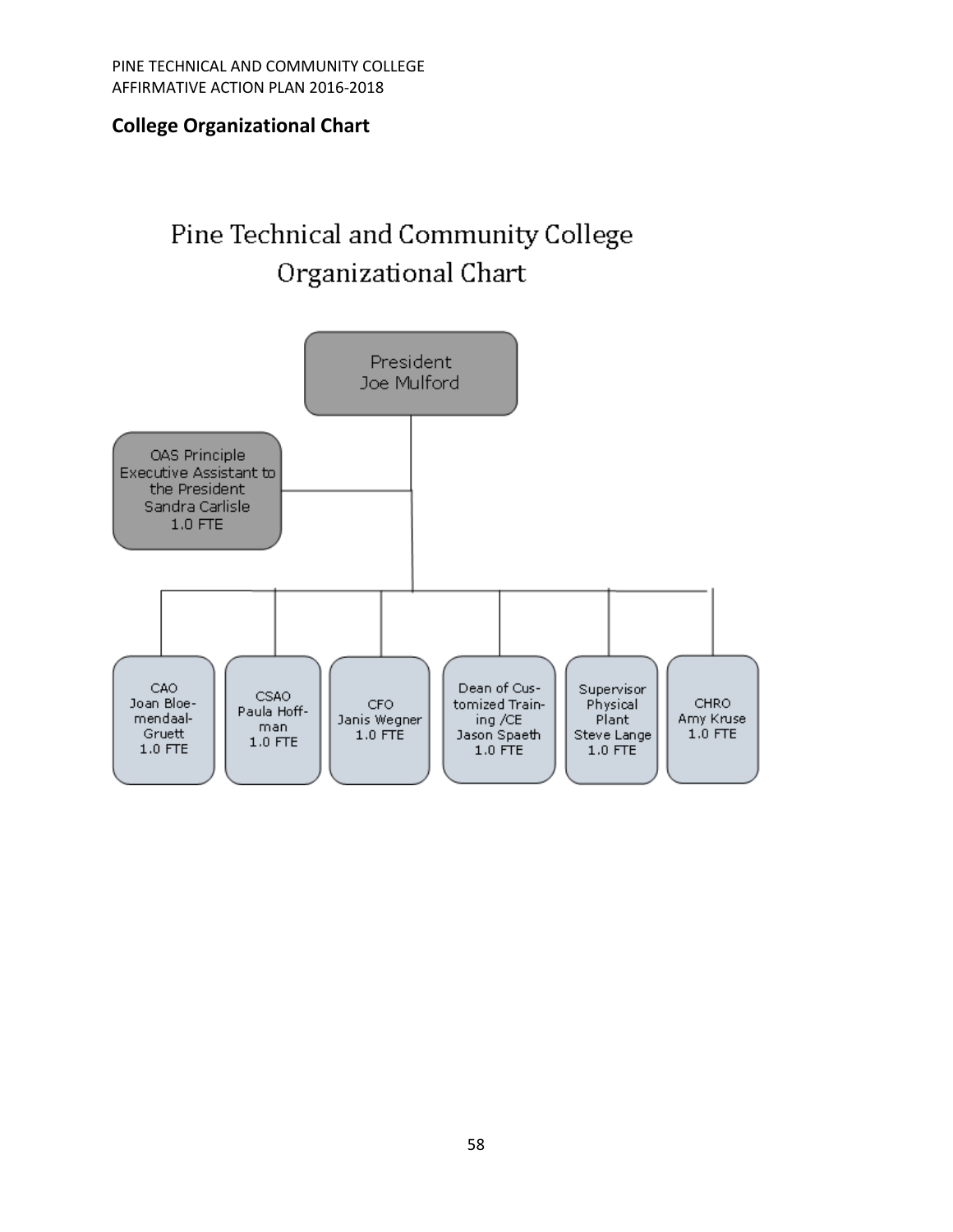# <span id="page-57-0"></span>**College Organizational Chart**

# Pine Technical and Community College Organizational Chart

<span id="page-57-1"></span>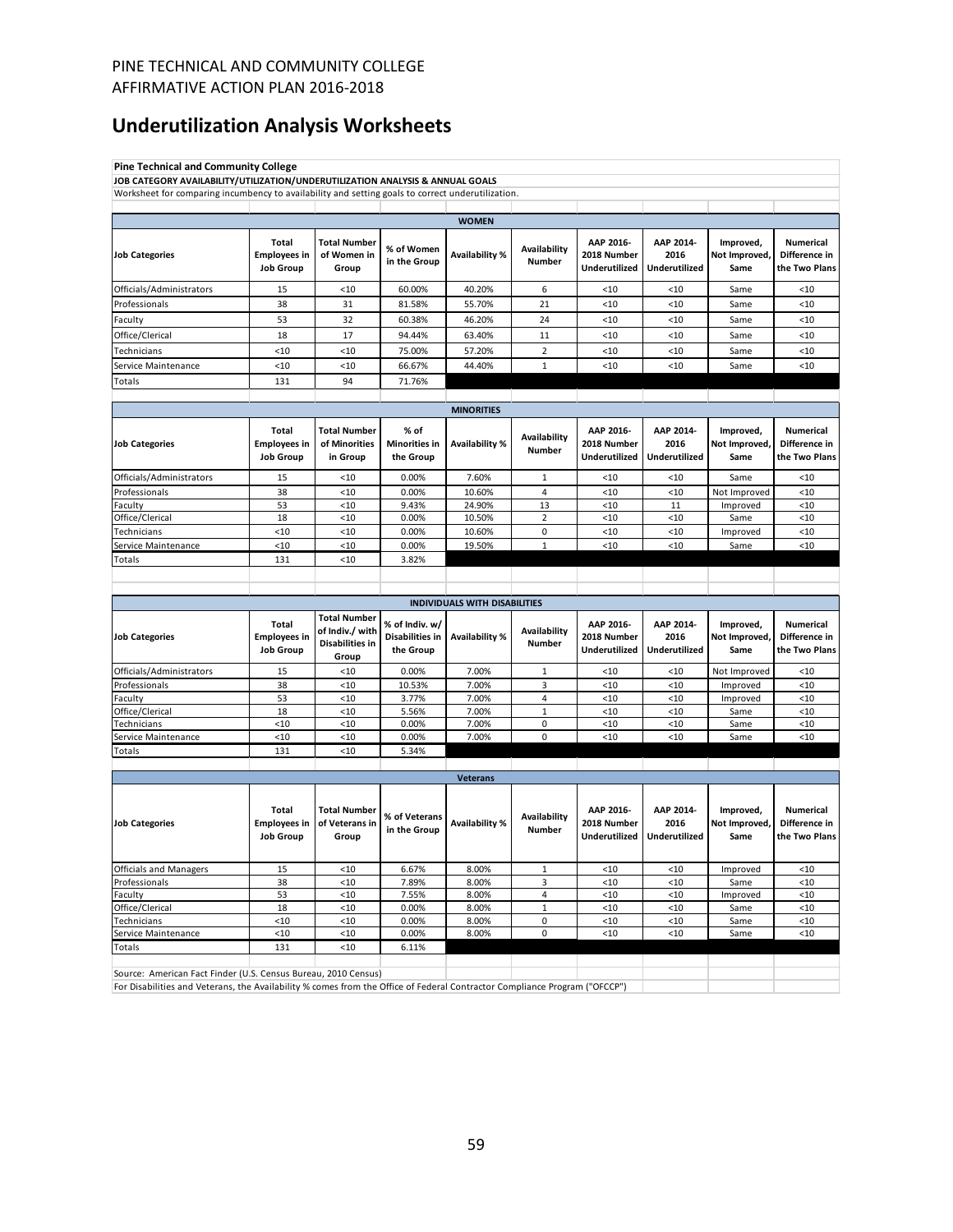# **Underutilization Analysis Worksheets**

<span id="page-58-0"></span>

| <b>Pine Technical and Community College</b>                                                                                                                                                  |                                                         |                                                                  |                                                |                                      |                                      |                                                  |                                           |                                    |                                                    |
|----------------------------------------------------------------------------------------------------------------------------------------------------------------------------------------------|---------------------------------------------------------|------------------------------------------------------------------|------------------------------------------------|--------------------------------------|--------------------------------------|--------------------------------------------------|-------------------------------------------|------------------------------------|----------------------------------------------------|
| JOB CATEGORY AVAILABILITY/UTILIZATION/UNDERUTILIZATION ANALYSIS & ANNUAL GOALS                                                                                                               |                                                         |                                                                  |                                                |                                      |                                      |                                                  |                                           |                                    |                                                    |
| Worksheet for comparing incumbency to availability and setting goals to correct underutilization.                                                                                            |                                                         |                                                                  |                                                |                                      |                                      |                                                  |                                           |                                    |                                                    |
|                                                                                                                                                                                              |                                                         |                                                                  |                                                |                                      |                                      |                                                  |                                           |                                    |                                                    |
|                                                                                                                                                                                              |                                                         |                                                                  |                                                | <b>WOMEN</b>                         |                                      |                                                  |                                           |                                    |                                                    |
| <b>Job Categories</b>                                                                                                                                                                        | Total<br><b>Employees in</b><br><b>Job Group</b>        | <b>Total Number</b><br>of Women in<br>Group                      | % of Women<br>in the Group                     | Availability %                       | <b>Availability</b><br><b>Number</b> | AAP 2016-<br>2018 Number<br>Underutilized        | AAP 2014-<br>2016<br><b>Underutilized</b> | Improved,<br>Not Improved,<br>Same | Numerical<br>Difference in<br>the Two Plans        |
| Officials/Administrators                                                                                                                                                                     | 15                                                      | $10$                                                             | 60.00%                                         | 40.20%                               | 6                                    | $<$ 10                                           | < 10                                      | Same                               | $<$ 10                                             |
| Professionals                                                                                                                                                                                | 38                                                      | 31                                                               | 81.58%                                         | 55.70%                               | 21                                   | < 10                                             | < 10                                      | Same                               | < 10                                               |
| Faculty                                                                                                                                                                                      | 53                                                      | 32                                                               | 60.38%                                         | 46.20%                               | 24                                   | < 10                                             | < 10                                      | Same                               | < 10                                               |
| Office/Clerical                                                                                                                                                                              | 18                                                      | 17                                                               | 94.44%                                         | 63.40%                               | 11                                   | $<$ 10                                           | $<$ 10                                    | Same                               | $<$ 10                                             |
| Technicians                                                                                                                                                                                  | < 10                                                    | < 10                                                             | 75.00%                                         | 57.20%                               | $\overline{2}$                       | < 10                                             | < 10                                      | Same                               | < 10                                               |
| Service Maintenance                                                                                                                                                                          | < 10                                                    | < 10                                                             | 66.67%                                         | 44.40%                               | $\mathbf{1}$                         | < 10                                             | < 10                                      | Same                               | < 10                                               |
| Totals                                                                                                                                                                                       | 131                                                     | 94                                                               | 71.76%                                         |                                      |                                      |                                                  |                                           |                                    |                                                    |
|                                                                                                                                                                                              |                                                         |                                                                  |                                                |                                      |                                      |                                                  |                                           |                                    |                                                    |
|                                                                                                                                                                                              |                                                         |                                                                  |                                                | <b>MINORITIES</b>                    |                                      |                                                  |                                           |                                    |                                                    |
| <b>Job Categories</b>                                                                                                                                                                        | Total<br><b>Employees in</b><br><b>Job Group</b>        | <b>Total Number</b><br>of Minorities<br>in Group                 | % of<br><b>Minorities in</b><br>the Group      | Availability %                       | Availability<br><b>Number</b>        | AAP 2016-<br>2018 Number<br>Underutilized        | AAP 2014-<br>2016<br><b>Underutilized</b> | Improved,<br>Not Improved,<br>Same | Numerical<br>Difference in<br>the Two Plans        |
| Officials/Administrators                                                                                                                                                                     | 15                                                      | < 10                                                             | 0.00%                                          | 7.60%                                | 1                                    | < 10                                             | < 10                                      | Same                               | < 10                                               |
| Professionals                                                                                                                                                                                | 38                                                      | < 10                                                             | 0.00%                                          | 10.60%                               | 4                                    | < 10                                             | < 10                                      | Not Improved                       | < 10                                               |
| Faculty                                                                                                                                                                                      | 53                                                      | < 10                                                             | 9.43%                                          | 24.90%                               | 13                                   | < 10                                             | 11                                        | Improved                           | < 10                                               |
| Office/Clerical                                                                                                                                                                              | 18<br>< 10                                              | < 10<br>< 10                                                     | 0.00%<br>0.00%                                 | 10.50%                               | 2<br>0                               | < 10<br>< 10                                     | <10<br>< 10                               | Same                               | < 10<br>$<$ 10                                     |
| Technicians<br>Service Maintenance                                                                                                                                                           | < 10                                                    | < 10                                                             | 0.00%                                          | 10.60%<br>19.50%                     | $\mathbf{1}$                         | < 10                                             | < 10                                      | Improved<br>Same                   | < 10                                               |
| Totals                                                                                                                                                                                       | 131                                                     | < 10                                                             | 3.82%                                          |                                      |                                      |                                                  |                                           |                                    |                                                    |
|                                                                                                                                                                                              |                                                         |                                                                  |                                                |                                      |                                      |                                                  |                                           |                                    |                                                    |
|                                                                                                                                                                                              |                                                         |                                                                  |                                                |                                      |                                      |                                                  |                                           |                                    |                                                    |
|                                                                                                                                                                                              |                                                         |                                                                  |                                                | <b>INDIVIDUALS WITH DISABILITIES</b> |                                      |                                                  |                                           |                                    |                                                    |
| <b>Job Categories</b>                                                                                                                                                                        | Total<br><b>Employees in</b><br><b>Job Group</b>        | <b>Total Number</b><br>of Indiv./ with<br><b>Disabilities in</b> | % of Indiv. w/<br>Disabilities in<br>the Group | Availability %                       | Availability<br><b>Number</b>        | AAP 2016-<br>2018 Number<br>Underutilized        | AAP 2014-<br>2016<br>Underutilized        | Improved,<br>Not Improved,<br>Same | Numerical<br>Difference in<br>the Two Plans        |
|                                                                                                                                                                                              |                                                         | Group                                                            |                                                |                                      |                                      |                                                  |                                           |                                    |                                                    |
| Officials/Administrators<br>Professionals                                                                                                                                                    | 15<br>38                                                | < 10<br>< 10                                                     | 0.00%<br>10.53%                                | 7.00%<br>7.00%                       | $\mathbf{1}$<br>3                    | < 10<br>< 10                                     | <10<br>$<$ 10                             | Not Improved<br>Improved           | $<$ 10<br>$<$ 10                                   |
| Faculty                                                                                                                                                                                      | 53                                                      | < 10                                                             | 3.77%                                          | 7.00%                                | 4                                    | < 10                                             | < 10                                      | Improved                           | ${}_{<10}$                                         |
| Office/Clerical                                                                                                                                                                              | 18                                                      | < 10                                                             | 5.56%                                          | 7.00%                                | $\mathbf{1}$                         | < 10                                             | < 10                                      | Same                               | $<$ 10                                             |
| Technicians                                                                                                                                                                                  | < 10                                                    | < 10                                                             | 0.00%                                          | 7.00%                                | 0                                    | < 10                                             | $<$ 10                                    | Same                               | ${}_{<10}$                                         |
| Service Maintenance                                                                                                                                                                          | < 10                                                    | < 10                                                             | 0.00%                                          | 7.00%                                | 0                                    | < 10                                             | < 10                                      | Same                               | < 10                                               |
| Totals                                                                                                                                                                                       | 131                                                     | < 10                                                             | 5.34%                                          |                                      |                                      |                                                  |                                           |                                    |                                                    |
|                                                                                                                                                                                              |                                                         |                                                                  |                                                |                                      |                                      |                                                  |                                           |                                    |                                                    |
| <b>Job Categories</b>                                                                                                                                                                        | <b>Total</b><br><b>Employees in</b><br><b>Job Group</b> | <b>Total Number</b><br>of Veterans in<br>Group                   | % of Veterans<br>in the Group                  | <b>Veterans</b><br>Availability %    | Availability<br><b>Number</b>        | AAP 2016-<br>2018 Number<br><b>Underutilized</b> | AAP 2014-<br>2016<br>Underutilized        | Improved,<br>Not Improved,<br>Same | <b>Numerical</b><br>Difference in<br>the Two Plans |
| <b>Officials and Managers</b>                                                                                                                                                                | 15                                                      | < 10                                                             | 6.67%                                          | 8.00%                                | $\mathbf{1}$                         | <10                                              | <10                                       | Improved                           | <10                                                |
| Professionals                                                                                                                                                                                | 38                                                      | < 10                                                             | 7.89%                                          | 8.00%                                | 3                                    | <10                                              | $<$ 10                                    | Same                               | <10                                                |
| Faculty                                                                                                                                                                                      | 53                                                      | $<10$                                                            | 7.55%                                          | 8.00%                                | 4                                    | <10                                              | $<10$                                     | Improved                           | <10                                                |
| Office/Clerical                                                                                                                                                                              | 18                                                      | $<10$                                                            | 0.00%                                          | 8.00%                                | $\mathbf 1$                          | <10                                              | $<10$                                     | Same                               | $<$ 10                                             |
| Technicians                                                                                                                                                                                  | < 10                                                    | ${<}10$                                                          | 0.00%                                          | 8.00%                                | 0                                    | <10                                              | $<10$                                     | Same                               | <10                                                |
| Service Maintenance                                                                                                                                                                          | < 10                                                    | < 10                                                             | 0.00%                                          | 8.00%                                | 0                                    | <10                                              | <10                                       | Same                               | < 10                                               |
| Totals                                                                                                                                                                                       | 131                                                     | < 10                                                             | 6.11%                                          |                                      |                                      |                                                  |                                           |                                    |                                                    |
| Source: American Fact Finder (U.S. Census Bureau, 2010 Census)<br>For Disabilities and Veterans, the Availability % comes from the Office of Federal Contractor Compliance Program ("OFCCP") |                                                         |                                                                  |                                                |                                      |                                      |                                                  |                                           |                                    |                                                    |